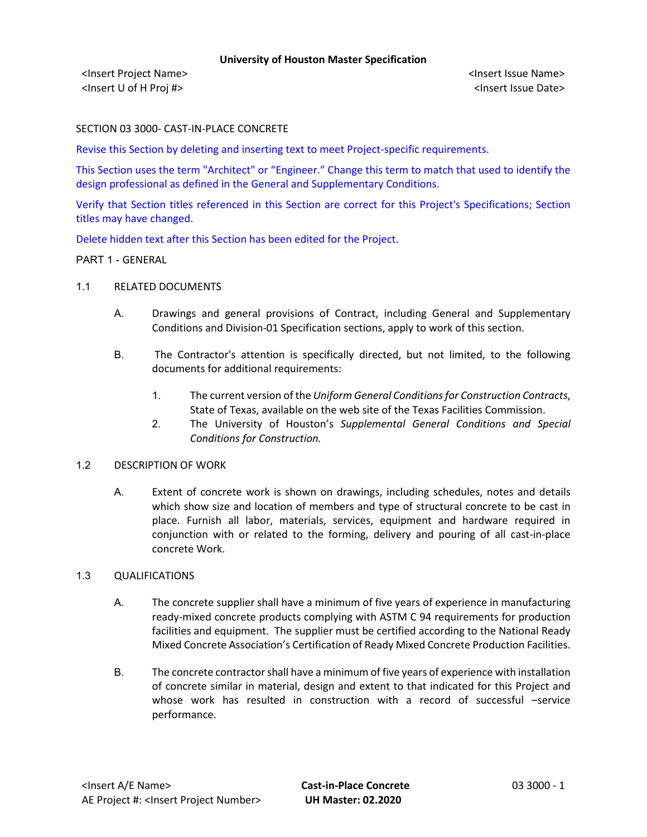<Insert Project Name> <Insert Issue Name> <Insert U of H Proj #> <Insert Issue Date>

SECTION 03 3000- CAST-IN-PLACE CONCRETE

Revise this Section by deleting and inserting text to meet Project-specific requirements.

This Section uses the term "Architect" or "Engineer." Change this term to match that used to identify the design professional as defined in the General and Supplementary Conditions.

Verify that Section titles referenced in this Section are correct for this Project's Specifications; Section titles may have changed.

Delete hidden text after this Section has been edited for the Project.

### PART 1 - GENERAL

### 1.1 RELATED DOCUMENTS

- A. Drawings and general provisions of Contract, including General and Supplementary Conditions and Division-01 Specification sections, apply to work of this section.
- B. The Contractor's attention is specifically directed, but not limited, to the following documents for additional requirements:
	- 1. The current version of the *Uniform General Conditions for Construction Contracts*, State of Texas, available on the web site of the Texas Facilities Commission.
	- 2. The University of Houston's *Supplemental General Conditions and Special Conditions for Construction.*

### 1.2 DESCRIPTION OF WORK

A. Extent of concrete work is shown on drawings, including schedules, notes and details which show size and location of members and type of structural concrete to be cast in place. Furnish all labor, materials, services, equipment and hardware required in conjunction with or related to the forming, delivery and pouring of all cast-in-place concrete Work.

### 1.3 QUALIFICATIONS

- A. The concrete supplier shall have a minimum of five years of experience in manufacturing ready-mixed concrete products complying with ASTM C 94 requirements for production facilities and equipment. The supplier must be certified according to the National Ready Mixed Concrete Association's Certification of Ready Mixed Concrete Production Facilities.
- B. The concrete contractor shall have a minimum of five years of experience with installation of concrete similar in material, design and extent to that indicated for this Project and whose work has resulted in construction with a record of successful -service performance.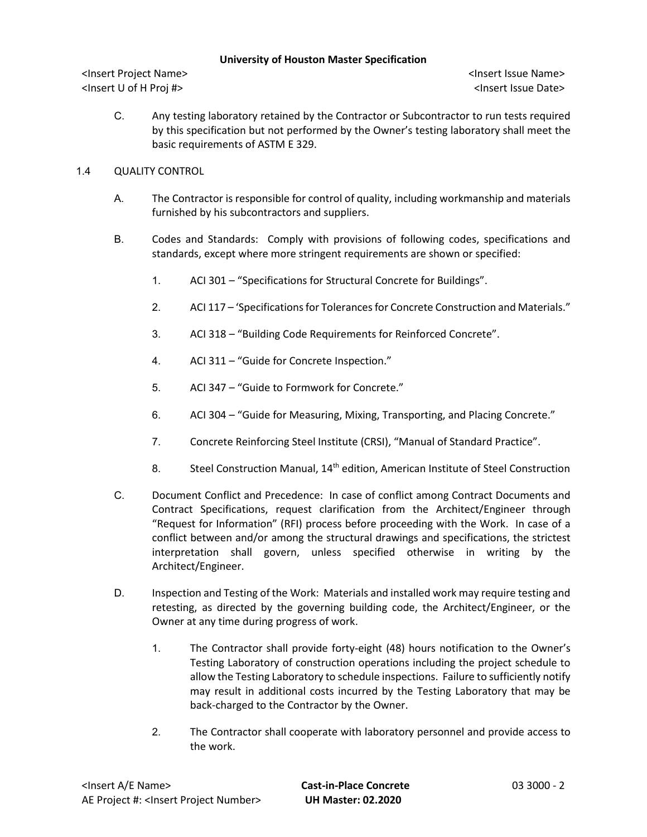<Insert Project Name> <Insert Issue Name> <Insert U of H Proj #> <Insert Issue Date>

C. Any testing laboratory retained by the Contractor or Subcontractor to run tests required by this specification but not performed by the Owner's testing laboratory shall meet the basic requirements of ASTM E 329.

# 1.4 QUALITY CONTROL

- A. The Contractor is responsible for control of quality, including workmanship and materials furnished by his subcontractors and suppliers.
- B. Codes and Standards: Comply with provisions of following codes, specifications and standards, except where more stringent requirements are shown or specified:
	- 1. ACI 301 "Specifications for Structural Concrete for Buildings".
	- 2. ACI 117 'Specifications for Tolerancesfor Concrete Construction and Materials."
	- 3. ACI 318 "Building Code Requirements for Reinforced Concrete".
	- 4. ACI 311 "Guide for Concrete Inspection."
	- 5. ACI 347 "Guide to Formwork for Concrete."
	- 6. ACI 304 "Guide for Measuring, Mixing, Transporting, and Placing Concrete."
	- 7. Concrete Reinforcing Steel Institute (CRSI), "Manual of Standard Practice".
	- 8. Steel Construction Manual, 14<sup>th</sup> edition, American Institute of Steel Construction
- C. Document Conflict and Precedence: In case of conflict among Contract Documents and Contract Specifications, request clarification from the Architect/Engineer through "Request for Information" (RFI) process before proceeding with the Work. In case of a conflict between and/or among the structural drawings and specifications, the strictest interpretation shall govern, unless specified otherwise in writing by the Architect/Engineer.
- D. Inspection and Testing of the Work: Materials and installed work may require testing and retesting, as directed by the governing building code, the Architect/Engineer, or the Owner at any time during progress of work.
	- 1. The Contractor shall provide forty-eight (48) hours notification to the Owner's Testing Laboratory of construction operations including the project schedule to allow the Testing Laboratory to schedule inspections. Failure to sufficiently notify may result in additional costs incurred by the Testing Laboratory that may be back-charged to the Contractor by the Owner.
	- 2. The Contractor shall cooperate with laboratory personnel and provide access to the work.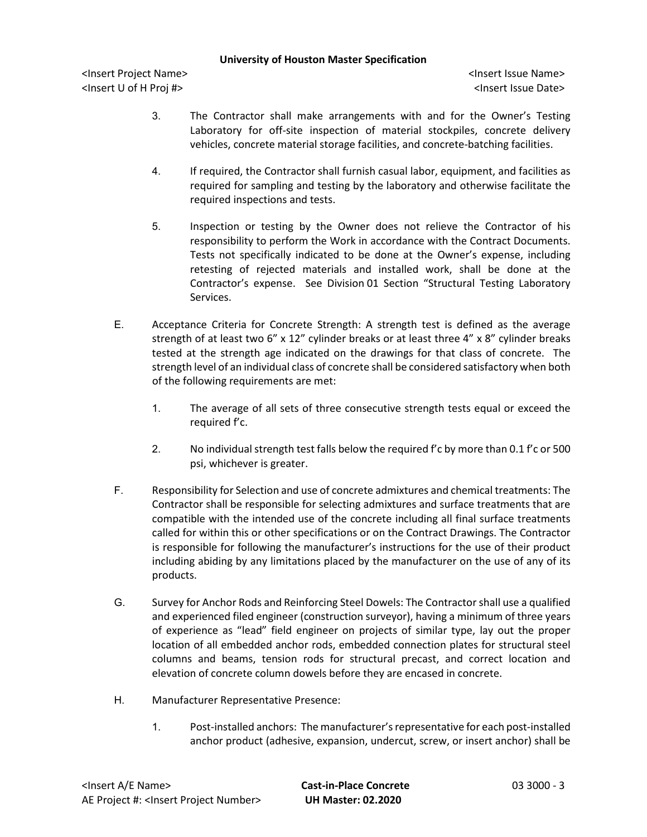- 3. The Contractor shall make arrangements with and for the Owner's Testing Laboratory for off-site inspection of material stockpiles, concrete delivery vehicles, concrete material storage facilities, and concrete-batching facilities.
- 4. If required, the Contractor shall furnish casual labor, equipment, and facilities as required for sampling and testing by the laboratory and otherwise facilitate the required inspections and tests.
- 5. Inspection or testing by the Owner does not relieve the Contractor of his responsibility to perform the Work in accordance with the Contract Documents. Tests not specifically indicated to be done at the Owner's expense, including retesting of rejected materials and installed work, shall be done at the Contractor's expense. See Division 01 Section "Structural Testing Laboratory Services.
- E. Acceptance Criteria for Concrete Strength: A strength test is defined as the average strength of at least two 6" x 12" cylinder breaks or at least three 4" x 8" cylinder breaks tested at the strength age indicated on the drawings for that class of concrete. The strength level of an individual class of concrete shall be considered satisfactory when both of the following requirements are met:
	- 1. The average of all sets of three consecutive strength tests equal or exceed the required f'c.
	- 2. No individual strength test falls below the required f'c by more than 0.1 f'c or 500 psi, whichever is greater.
- F. Responsibility for Selection and use of concrete admixtures and chemical treatments: The Contractor shall be responsible for selecting admixtures and surface treatments that are compatible with the intended use of the concrete including all final surface treatments called for within this or other specifications or on the Contract Drawings. The Contractor is responsible for following the manufacturer's instructions for the use of their product including abiding by any limitations placed by the manufacturer on the use of any of its products.
- G. Survey for Anchor Rods and Reinforcing Steel Dowels: The Contractor shall use a qualified and experienced filed engineer (construction surveyor), having a minimum of three years of experience as "lead" field engineer on projects of similar type, lay out the proper location of all embedded anchor rods, embedded connection plates for structural steel columns and beams, tension rods for structural precast, and correct location and elevation of concrete column dowels before they are encased in concrete.
- H. Manufacturer Representative Presence:
	- 1. Post-installed anchors: The manufacturer's representative for each post-installed anchor product (adhesive, expansion, undercut, screw, or insert anchor) shall be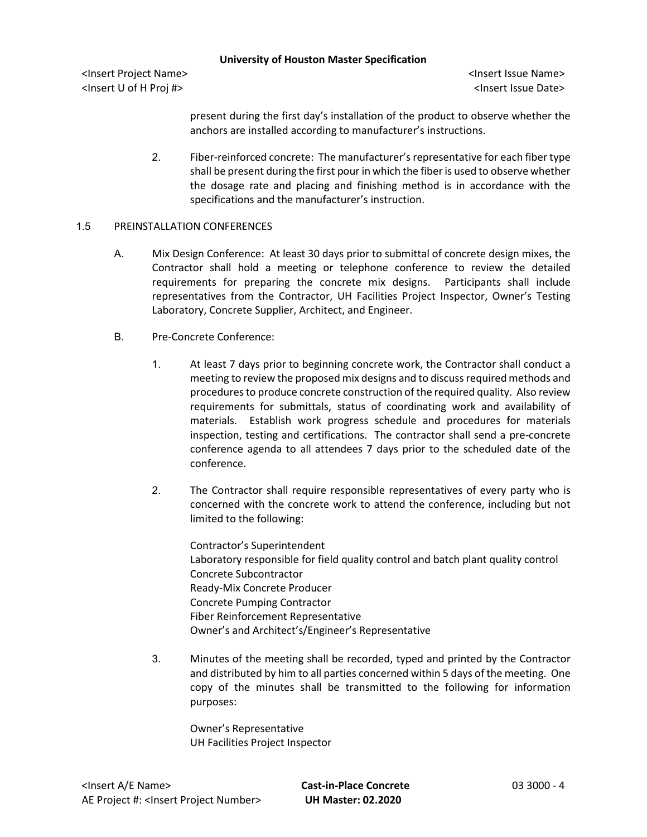<Insert Project Name> <Insert Issue Name> <Insert U of H Proj #> <Insert Issue Date>

present during the first day's installation of the product to observe whether the anchors are installed according to manufacturer's instructions.

2. Fiber-reinforced concrete: The manufacturer's representative for each fiber type shall be present during the first pour in which the fiber is used to observe whether the dosage rate and placing and finishing method is in accordance with the specifications and the manufacturer's instruction.

### 1.5 PREINSTALLATION CONFERENCES

- A. Mix Design Conference: At least 30 days prior to submittal of concrete design mixes, the Contractor shall hold a meeting or telephone conference to review the detailed requirements for preparing the concrete mix designs. Participants shall include representatives from the Contractor, UH Facilities Project Inspector, Owner's Testing Laboratory, Concrete Supplier, Architect, and Engineer.
- B. Pre-Concrete Conference:
	- 1. At least 7 days prior to beginning concrete work, the Contractor shall conduct a meeting to review the proposed mix designs and to discuss required methods and procedures to produce concrete construction of the required quality. Also review requirements for submittals, status of coordinating work and availability of materials. Establish work progress schedule and procedures for materials inspection, testing and certifications. The contractor shall send a pre-concrete conference agenda to all attendees 7 days prior to the scheduled date of the conference.
	- 2. The Contractor shall require responsible representatives of every party who is concerned with the concrete work to attend the conference, including but not limited to the following:

Contractor's Superintendent Laboratory responsible for field quality control and batch plant quality control Concrete Subcontractor Ready-Mix Concrete Producer Concrete Pumping Contractor Fiber Reinforcement Representative Owner's and Architect's/Engineer's Representative

3. Minutes of the meeting shall be recorded, typed and printed by the Contractor and distributed by him to all parties concerned within 5 days of the meeting. One copy of the minutes shall be transmitted to the following for information purposes:

Owner's Representative UH Facilities Project Inspector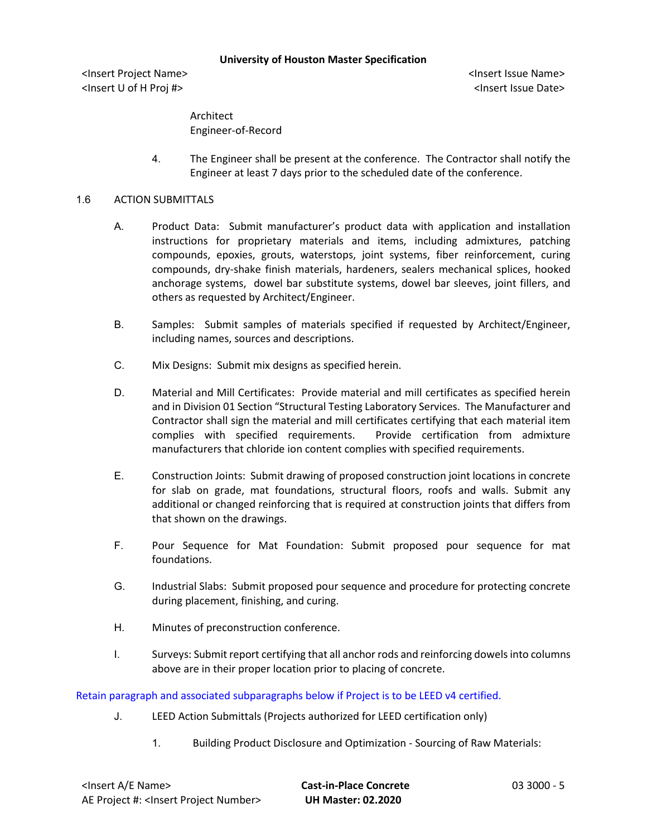<Insert Project Name> <Insert Issue Name> <Insert U of H Proj #> <Insert Issue Date>

Architect Engineer-of-Record

4. The Engineer shall be present at the conference. The Contractor shall notify the Engineer at least 7 days prior to the scheduled date of the conference.

### 1.6 ACTION SUBMITTALS

- A. Product Data: Submit manufacturer's product data with application and installation instructions for proprietary materials and items, including admixtures, patching compounds, epoxies, grouts, waterstops, joint systems, fiber reinforcement, curing compounds, dry-shake finish materials, hardeners, sealers mechanical splices, hooked anchorage systems, dowel bar substitute systems, dowel bar sleeves, joint fillers, and others as requested by Architect/Engineer.
- B. Samples: Submit samples of materials specified if requested by Architect/Engineer, including names, sources and descriptions.
- C. Mix Designs: Submit mix designs as specified herein.
- D. Material and Mill Certificates: Provide material and mill certificates as specified herein and in Division 01 Section "Structural Testing Laboratory Services. The Manufacturer and Contractor shall sign the material and mill certificates certifying that each material item complies with specified requirements. Provide certification from admixture manufacturers that chloride ion content complies with specified requirements.
- E. Construction Joints: Submit drawing of proposed construction joint locations in concrete for slab on grade, mat foundations, structural floors, roofs and walls. Submit any additional or changed reinforcing that is required at construction joints that differs from that shown on the drawings.
- F. Pour Sequence for Mat Foundation: Submit proposed pour sequence for mat foundations.
- G. Industrial Slabs: Submit proposed pour sequence and procedure for protecting concrete during placement, finishing, and curing.
- H. Minutes of preconstruction conference.
- I. Surveys: Submit report certifying that all anchor rods and reinforcing dowels into columns above are in their proper location prior to placing of concrete.

Retain paragraph and associated subparagraphs below if Project is to be LEED v4 certified.

- J. LEED Action Submittals (Projects authorized for LEED certification only)
	- 1. Building Product Disclosure and Optimization Sourcing of Raw Materials: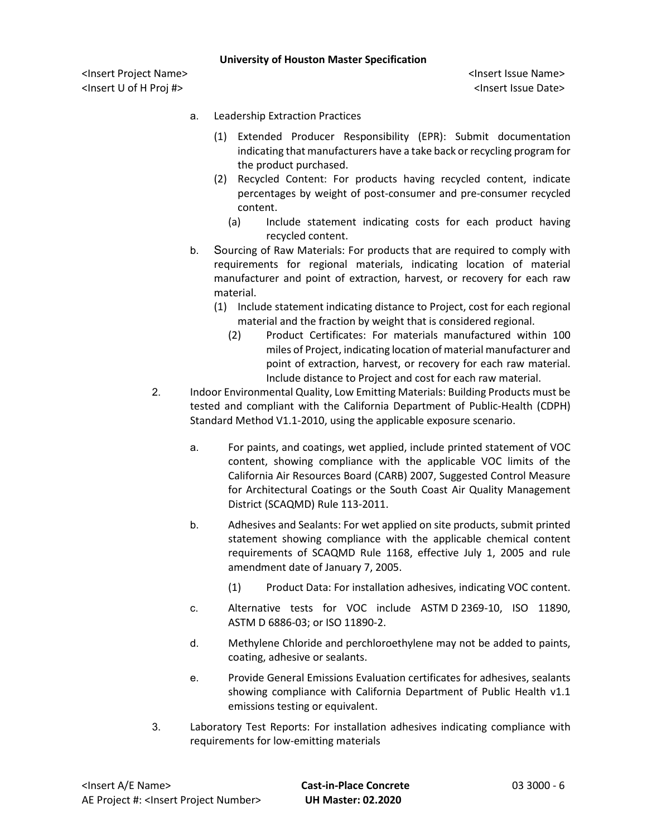- a. Leadership Extraction Practices
	- (1) Extended Producer Responsibility (EPR): Submit documentation indicating that manufacturers have a take back or recycling program for the product purchased.
	- (2) Recycled Content: For products having recycled content, indicate percentages by weight of post-consumer and pre-consumer recycled content.
		- (a) Include statement indicating costs for each product having recycled content.
- b. Sourcing of Raw Materials: For products that are required to comply with requirements for regional materials, indicating location of material manufacturer and point of extraction, harvest, or recovery for each raw material.
	- (1) Include statement indicating distance to Project, cost for each regional material and the fraction by weight that is considered regional.
		- (2) Product Certificates: For materials manufactured within 100 miles of Project, indicating location of material manufacturer and point of extraction, harvest, or recovery for each raw material. Include distance to Project and cost for each raw material.
- 2. Indoor Environmental Quality, Low Emitting Materials: Building Products must be tested and compliant with the California Department of Public-Health (CDPH) Standard Method V1.1-2010, using the applicable exposure scenario.
	- a. For paints, and coatings, wet applied, include printed statement of VOC content, showing compliance with the applicable VOC limits of the California Air Resources Board (CARB) 2007, Suggested Control Measure for Architectural Coatings or the South Coast Air Quality Management District (SCAQMD) Rule 113-2011.
	- b. Adhesives and Sealants: For wet applied on site products, submit printed statement showing compliance with the applicable chemical content requirements of SCAQMD Rule 1168, effective July 1, 2005 and rule amendment date of January 7, 2005.
		- (1) Product Data: For installation adhesives, indicating VOC content.
	- c. Alternative tests for VOC include ASTM D 2369-10, ISO 11890, ASTM D 6886-03; or ISO 11890-2.
	- d. Methylene Chloride and perchloroethylene may not be added to paints, coating, adhesive or sealants.
	- e. Provide General Emissions Evaluation certificates for adhesives, sealants showing compliance with California Department of Public Health v1.1 emissions testing or equivalent.
- 3. Laboratory Test Reports: For installation adhesives indicating compliance with requirements for low-emitting materials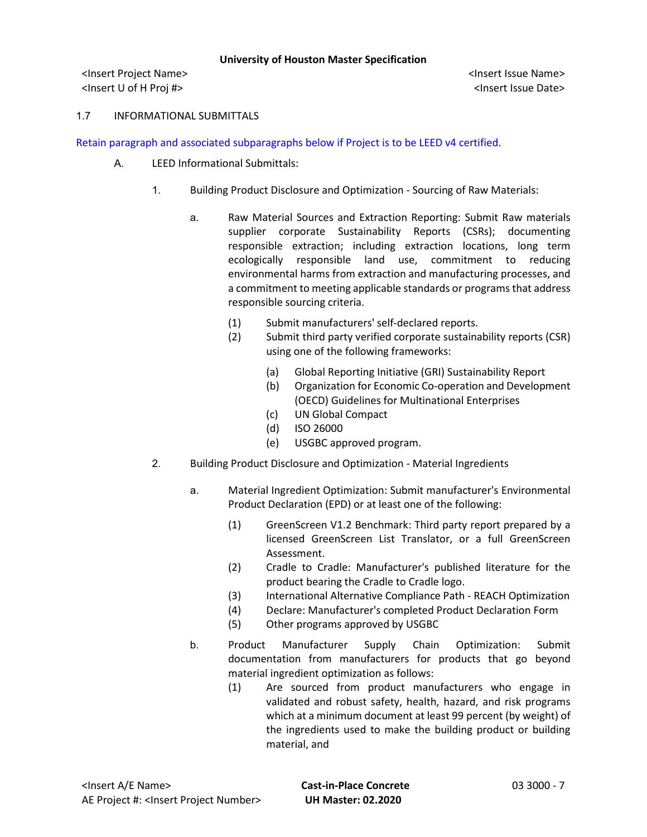<Insert Project Name> <Insert Issue Name> <Insert U of H Proj #> <Insert Issue Date>

### 1.7 INFORMATIONAL SUBMITTALS

Retain paragraph and associated subparagraphs below if Project is to be LEED v4 certified.

- A. LEED Informational Submittals:
	- 1. Building Product Disclosure and Optimization Sourcing of Raw Materials:
		- a. Raw Material Sources and Extraction Reporting: Submit Raw materials supplier corporate Sustainability Reports (CSRs); documenting responsible extraction; including extraction locations, long term ecologically responsible land use, commitment to reducing environmental harms from extraction and manufacturing processes, and a commitment to meeting applicable standards or programs that address responsible sourcing criteria.
			- (1) Submit manufacturers' self-declared reports.
			- (2) Submit third party verified corporate sustainability reports (CSR) using one of the following frameworks:
				- (a) Global Reporting Initiative (GRI) Sustainability Report
				- (b) Organization for Economic Co-operation and Development (OECD) Guidelines for Multinational Enterprises
				- (c) UN Global Compact
				- (d) ISO 26000
				- (e) USGBC approved program.
	- 2. Building Product Disclosure and Optimization Material Ingredients
		- a. Material Ingredient Optimization: Submit manufacturer's Environmental Product Declaration (EPD) or at least one of the following:
			- (1) GreenScreen V1.2 Benchmark: Third party report prepared by a licensed GreenScreen List Translator, or a full GreenScreen Assessment.
			- (2) Cradle to Cradle: Manufacturer's published literature for the product bearing the Cradle to Cradle logo.
			- (3) International Alternative Compliance Path REACH Optimization
			- (4) Declare: Manufacturer's completed Product Declaration Form
			- (5) Other programs approved by USGBC
		- b. Product Manufacturer Supply Chain Optimization: Submit documentation from manufacturers for products that go beyond material ingredient optimization as follows:
			- (1) Are sourced from product manufacturers who engage in validated and robust safety, health, hazard, and risk programs which at a minimum document at least 99 percent (by weight) of the ingredients used to make the building product or building material, and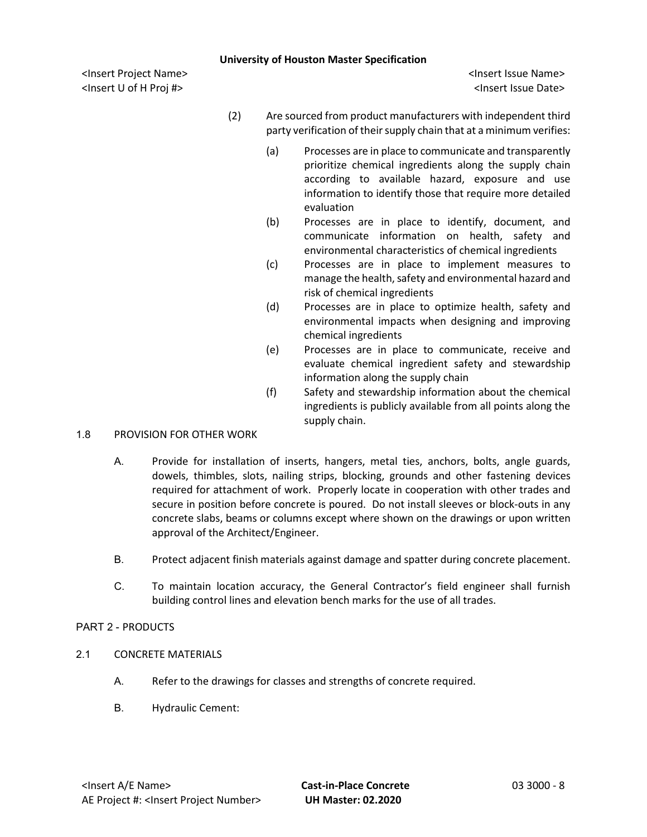<Insert Project Name> <Insert Issue Name> <Insert U of H Proj #> <Insert Issue Date>

- (2) Are sourced from product manufacturers with independent third party verification of their supply chain that at a minimum verifies:
	- (a) Processes are in place to communicate and transparently prioritize chemical ingredients along the supply chain according to available hazard, exposure and use information to identify those that require more detailed evaluation
	- (b) Processes are in place to identify, document, and communicate information on health, safety and environmental characteristics of chemical ingredients
	- (c) Processes are in place to implement measures to manage the health, safety and environmental hazard and risk of chemical ingredients
	- (d) Processes are in place to optimize health, safety and environmental impacts when designing and improving chemical ingredients
	- (e) Processes are in place to communicate, receive and evaluate chemical ingredient safety and stewardship information along the supply chain
	- (f) Safety and stewardship information about the chemical ingredients is publicly available from all points along the supply chain.

## 1.8 PROVISION FOR OTHER WORK

- A. Provide for installation of inserts, hangers, metal ties, anchors, bolts, angle guards, dowels, thimbles, slots, nailing strips, blocking, grounds and other fastening devices required for attachment of work. Properly locate in cooperation with other trades and secure in position before concrete is poured. Do not install sleeves or block-outs in any concrete slabs, beams or columns except where shown on the drawings or upon written approval of the Architect/Engineer.
- B. Protect adjacent finish materials against damage and spatter during concrete placement.
- C. To maintain location accuracy, the General Contractor's field engineer shall furnish building control lines and elevation bench marks for the use of all trades.

## PART 2 - PRODUCTS

- 2.1 CONCRETE MATERIALS
	- A. Refer to the drawings for classes and strengths of concrete required.
	- B. Hydraulic Cement: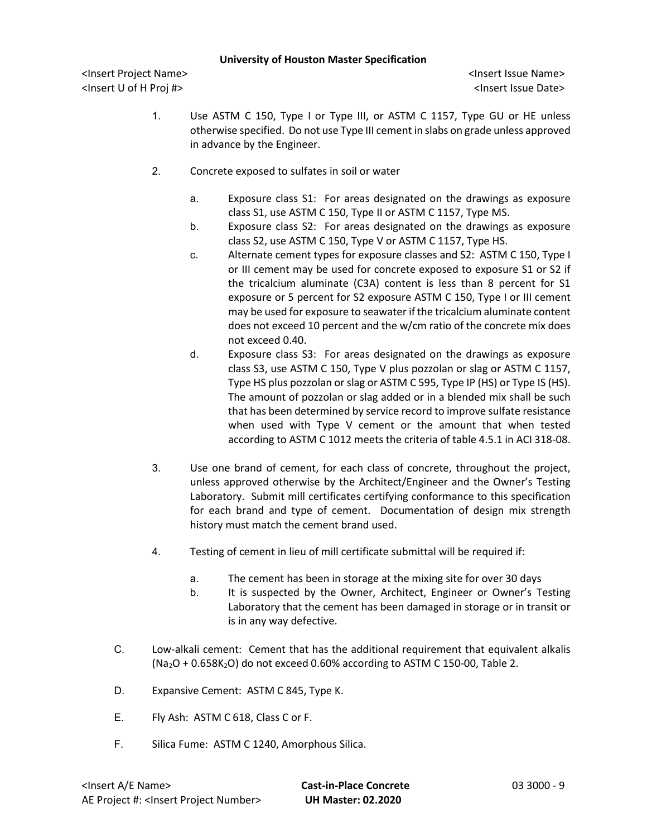- 1. Use ASTM C 150, Type I or Type III, or ASTM C 1157, Type GU or HE unless otherwise specified. Do not use Type III cement in slabs on grade unless approved in advance by the Engineer.
- 2. Concrete exposed to sulfates in soil or water
	- a. Exposure class S1: For areas designated on the drawings as exposure class S1, use ASTM C 150, Type II or ASTM C 1157, Type MS.
	- b. Exposure class S2: For areas designated on the drawings as exposure class S2, use ASTM C 150, Type V or ASTM C 1157, Type HS.
	- c. Alternate cement types for exposure classes and S2: ASTM C 150, Type I or III cement may be used for concrete exposed to exposure S1 or S2 if the tricalcium aluminate (C3A) content is less than 8 percent for S1 exposure or 5 percent for S2 exposure ASTM C 150, Type I or III cement may be used for exposure to seawater if the tricalcium aluminate content does not exceed 10 percent and the w/cm ratio of the concrete mix does not exceed 0.40.
	- d. Exposure class S3: For areas designated on the drawings as exposure class S3, use ASTM C 150, Type V plus pozzolan or slag or ASTM C 1157, Type HS plus pozzolan or slag or ASTM C 595, Type IP (HS) or Type IS (HS). The amount of pozzolan or slag added or in a blended mix shall be such that has been determined by service record to improve sulfate resistance when used with Type V cement or the amount that when tested according to ASTM C 1012 meets the criteria of table 4.5.1 in ACI 318-08.
- 3. Use one brand of cement, for each class of concrete, throughout the project, unless approved otherwise by the Architect/Engineer and the Owner's Testing Laboratory. Submit mill certificates certifying conformance to this specification for each brand and type of cement. Documentation of design mix strength history must match the cement brand used.
- 4. Testing of cement in lieu of mill certificate submittal will be required if:
	- a. The cement has been in storage at the mixing site for over 30 days
	- b. It is suspected by the Owner, Architect, Engineer or Owner's Testing Laboratory that the cement has been damaged in storage or in transit or is in any way defective.
- C. Low-alkali cement: Cement that has the additional requirement that equivalent alkalis  $(Na<sub>2</sub>O + 0.658K<sub>2</sub>O)$  do not exceed 0.60% according to ASTM C 150-00, Table 2.
- D. Expansive Cement: ASTM C 845, Type K.
- E. Fly Ash: ASTM C 618, Class C or F.
- F. Silica Fume: ASTM C 1240, Amorphous Silica.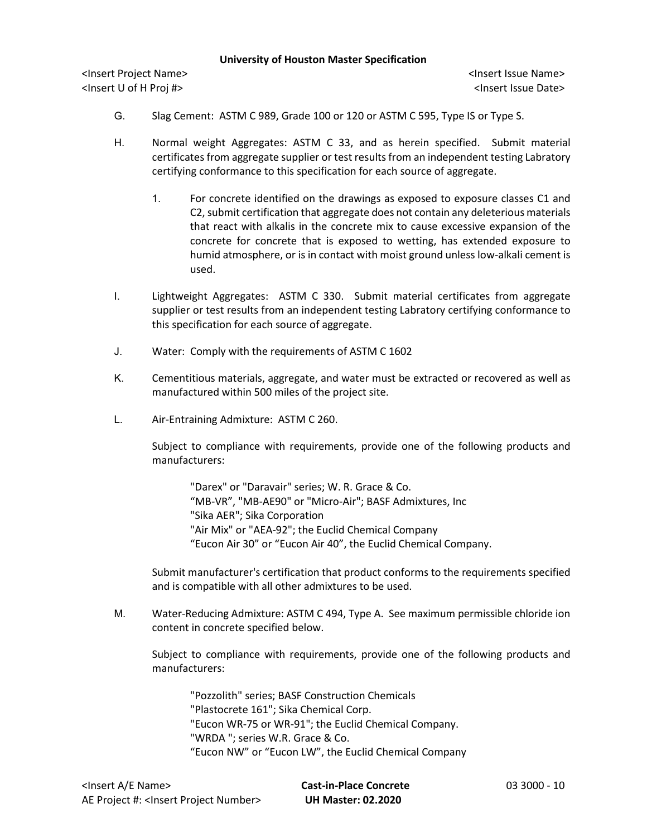<Insert Project Name> <Insert Issue Name> <Insert U of H Proj #> <Insert Issue Date>

- G. Slag Cement: ASTM C 989, Grade 100 or 120 or ASTM C 595, Type IS or Type S.
- H. Normal weight Aggregates: ASTM C 33, and as herein specified. Submit material certificates from aggregate supplier or test results from an independent testing Labratory certifying conformance to this specification for each source of aggregate.
	- 1. For concrete identified on the drawings as exposed to exposure classes C1 and C2,submit certification that aggregate does not contain any deleterious materials that react with alkalis in the concrete mix to cause excessive expansion of the concrete for concrete that is exposed to wetting, has extended exposure to humid atmosphere, or is in contact with moist ground unless low-alkali cement is used.
- I. Lightweight Aggregates: ASTM C 330. Submit material certificates from aggregate supplier or test results from an independent testing Labratory certifying conformance to this specification for each source of aggregate.
- J. Water: Comply with the requirements of ASTM C 1602
- K. Cementitious materials, aggregate, and water must be extracted or recovered as well as manufactured within 500 miles of the project site.
- L. Air-Entraining Admixture: ASTM C 260.

Subject to compliance with requirements, provide one of the following products and manufacturers:

"Darex" or "Daravair" series; W. R. Grace & Co. "MB-VR", "MB-AE90" or "Micro-Air"; BASF Admixtures, Inc "Sika AER"; Sika Corporation "Air Mix" or "AEA-92"; the Euclid Chemical Company "Eucon Air 30" or "Eucon Air 40", the Euclid Chemical Company.

Submit manufacturer's certification that product conforms to the requirements specified and is compatible with all other admixtures to be used.

M. Water-Reducing Admixture: ASTM C 494, Type A. See maximum permissible chloride ion content in concrete specified below.

Subject to compliance with requirements, provide one of the following products and manufacturers:

"Pozzolith" series; BASF Construction Chemicals "Plastocrete 161"; Sika Chemical Corp. "Eucon WR-75 or WR-91"; the Euclid Chemical Company. "WRDA "; series W.R. Grace & Co. "Eucon NW" or "Eucon LW", the Euclid Chemical Company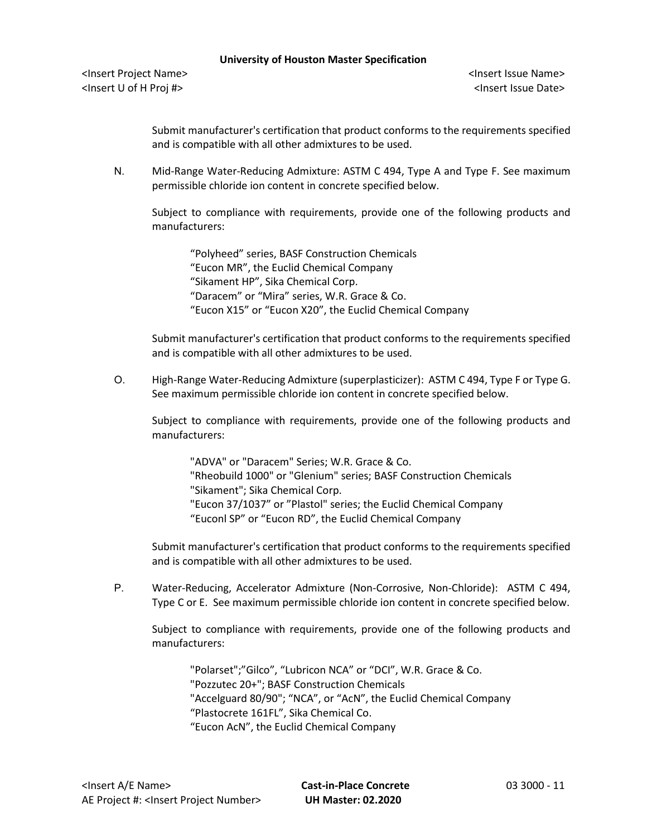<Insert Project Name> <Insert Issue Name> <Insert U of H Proj #> <Insert Issue Date>

Submit manufacturer's certification that product conforms to the requirements specified and is compatible with all other admixtures to be used.

N. Mid-Range Water-Reducing Admixture: ASTM C 494, Type A and Type F. See maximum permissible chloride ion content in concrete specified below.

Subject to compliance with requirements, provide one of the following products and manufacturers:

"Polyheed" series, BASF Construction Chemicals "Eucon MR", the Euclid Chemical Company "Sikament HP", Sika Chemical Corp. "Daracem" or "Mira" series, W.R. Grace & Co. "Eucon X15" or "Eucon X20", the Euclid Chemical Company

Submit manufacturer's certification that product conforms to the requirements specified and is compatible with all other admixtures to be used.

O. High-Range Water-Reducing Admixture (superplasticizer): ASTM C 494, Type F or Type G. See maximum permissible chloride ion content in concrete specified below.

Subject to compliance with requirements, provide one of the following products and manufacturers:

"ADVA" or "Daracem" Series; W.R. Grace & Co. "Rheobuild 1000" or "Glenium" series; BASF Construction Chemicals "Sikament"; Sika Chemical Corp. "Eucon 37/1037" or "Plastol" series; the Euclid Chemical Company "Euconl SP" or "Eucon RD", the Euclid Chemical Company

Submit manufacturer's certification that product conforms to the requirements specified and is compatible with all other admixtures to be used.

P. Water-Reducing, Accelerator Admixture (Non-Corrosive, Non-Chloride): ASTM C 494, Type C or E. See maximum permissible chloride ion content in concrete specified below.

Subject to compliance with requirements, provide one of the following products and manufacturers:

"Polarset";"Gilco", "Lubricon NCA" or "DCI", W.R. Grace & Co. "Pozzutec 20+"; BASF Construction Chemicals "Accelguard 80/90"; "NCA", or "AcN", the Euclid Chemical Company "Plastocrete 161FL", Sika Chemical Co. "Eucon AcN", the Euclid Chemical Company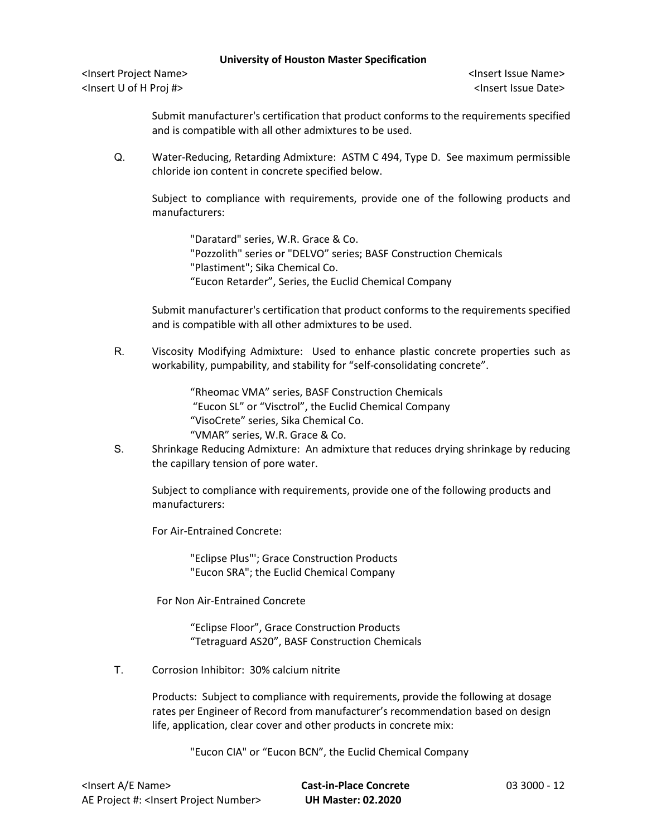<Insert Project Name> <Insert Issue Name> <Insert U of H Proj #> <Insert Issue Date>

Submit manufacturer's certification that product conforms to the requirements specified and is compatible with all other admixtures to be used.

Q. Water-Reducing, Retarding Admixture: ASTM C 494, Type D. See maximum permissible chloride ion content in concrete specified below.

Subject to compliance with requirements, provide one of the following products and manufacturers:

"Daratard" series, W.R. Grace & Co. "Pozzolith" series or "DELVO" series; BASF Construction Chemicals "Plastiment"; Sika Chemical Co. "Eucon Retarder", Series, the Euclid Chemical Company

Submit manufacturer's certification that product conforms to the requirements specified and is compatible with all other admixtures to be used.

R. Viscosity Modifying Admixture: Used to enhance plastic concrete properties such as workability, pumpability, and stability for "self-consolidating concrete".

> "Rheomac VMA" series, BASF Construction Chemicals "Eucon SL" or "Visctrol", the Euclid Chemical Company "VisoCrete" series, Sika Chemical Co. "VMAR" series, W.R. Grace & Co.

S. Shrinkage Reducing Admixture: An admixture that reduces drying shrinkage by reducing the capillary tension of pore water.

Subject to compliance with requirements, provide one of the following products and manufacturers:

For Air-Entrained Concrete:

"Eclipse Plus"'; Grace Construction Products "Eucon SRA"; the Euclid Chemical Company

For Non Air-Entrained Concrete

"Eclipse Floor", Grace Construction Products "Tetraguard AS20", BASF Construction Chemicals

T. Corrosion Inhibitor: 30% calcium nitrite

Products: Subject to compliance with requirements, provide the following at dosage rates per Engineer of Record from manufacturer's recommendation based on design life, application, clear cover and other products in concrete mix:

"Eucon CIA" or "Eucon BCN", the Euclid Chemical Company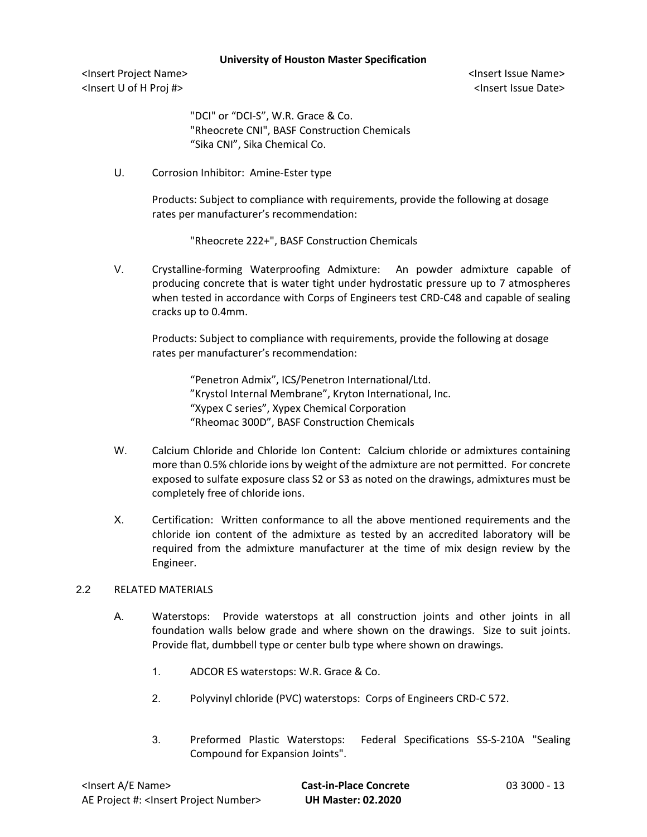<Insert Project Name> <Insert Issue Name> <Insert U of H Proj #> <Insert Issue Date>

"DCI" or "DCI-S", W.R. Grace & Co. "Rheocrete CNI", BASF Construction Chemicals "Sika CNI", Sika Chemical Co.

U. Corrosion Inhibitor: Amine-Ester type

Products: Subject to compliance with requirements, provide the following at dosage rates per manufacturer's recommendation:

"Rheocrete 222+", BASF Construction Chemicals

V. Crystalline-forming Waterproofing Admixture: An powder admixture capable of producing concrete that is water tight under hydrostatic pressure up to 7 atmospheres when tested in accordance with Corps of Engineers test CRD-C48 and capable of sealing cracks up to 0.4mm.

Products: Subject to compliance with requirements, provide the following at dosage rates per manufacturer's recommendation:

"Penetron Admix", ICS/Penetron International/Ltd. "Krystol Internal Membrane", Kryton International, Inc. "Xypex C series", Xypex Chemical Corporation "Rheomac 300D", BASF Construction Chemicals

- W. Calcium Chloride and Chloride Ion Content: Calcium chloride or admixtures containing more than 0.5% chloride ions by weight of the admixture are not permitted. For concrete exposed to sulfate exposure class S2 or S3 as noted on the drawings, admixtures must be completely free of chloride ions.
- X. Certification: Written conformance to all the above mentioned requirements and the chloride ion content of the admixture as tested by an accredited laboratory will be required from the admixture manufacturer at the time of mix design review by the Engineer.

### 2.2 RELATED MATERIALS

- A. Waterstops: Provide waterstops at all construction joints and other joints in all foundation walls below grade and where shown on the drawings. Size to suit joints. Provide flat, dumbbell type or center bulb type where shown on drawings.
	- 1. ADCOR ES waterstops: W.R. Grace & Co.
	- 2. Polyvinyl chloride (PVC) waterstops: Corps of Engineers CRD-C 572.
	- 3. Preformed Plastic Waterstops: Federal Specifications SS-S-210A "Sealing Compound for Expansion Joints".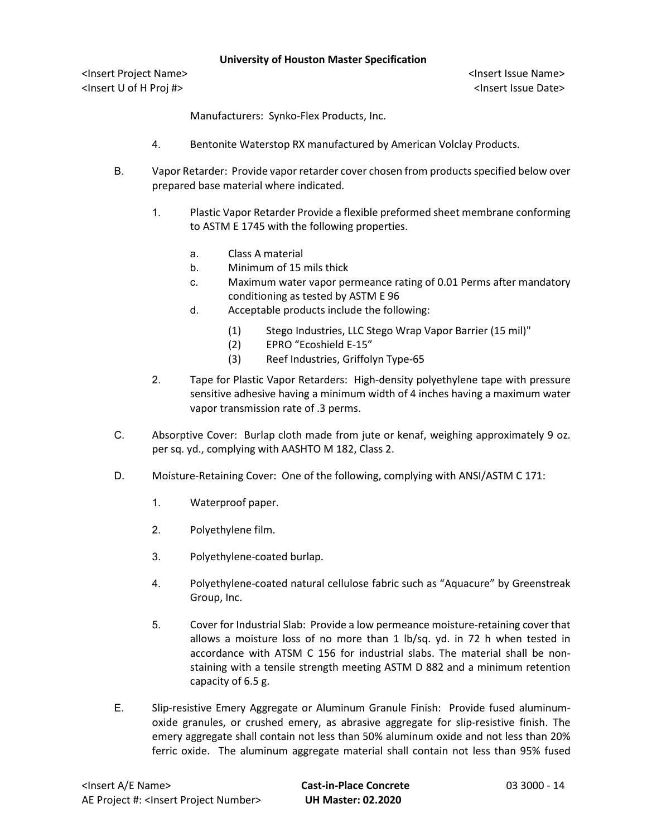<Insert Project Name> <Insert Issue Name> <Insert U of H Proj #> <Insert Issue Date>

Manufacturers: Synko-Flex Products, Inc.

- 4. Bentonite Waterstop RX manufactured by American Volclay Products.
- B. Vapor Retarder: Provide vapor retarder cover chosen from products specified below over prepared base material where indicated.
	- 1. Plastic Vapor Retarder Provide a flexible preformed sheet membrane conforming to ASTM E 1745 with the following properties.
		- a. Class A material
		- b. Minimum of 15 mils thick
		- c. Maximum water vapor permeance rating of 0.01 Perms after mandatory conditioning as tested by ASTM E 96
		- d. Acceptable products include the following:
			- (1) Stego Industries, LLC Stego Wrap Vapor Barrier (15 mil)"
			- (2) EPRO "Ecoshield E-15"
			- (3) Reef Industries, Griffolyn Type-65
	- 2. Tape for Plastic Vapor Retarders: High-density polyethylene tape with pressure sensitive adhesive having a minimum width of 4 inches having a maximum water vapor transmission rate of .3 perms.
- C. Absorptive Cover: Burlap cloth made from jute or kenaf, weighing approximately 9 oz. per sq. yd., complying with AASHTO M 182, Class 2.
- D. Moisture-Retaining Cover: One of the following, complying with ANSI/ASTM C 171:
	- 1. Waterproof paper.
	- 2. Polyethylene film.
	- 3. Polyethylene-coated burlap.
	- 4. Polyethylene-coated natural cellulose fabric such as "Aquacure" by Greenstreak Group, Inc.
	- 5. Cover for Industrial Slab: Provide a low permeance moisture-retaining cover that allows a moisture loss of no more than 1 lb/sq. yd. in 72 h when tested in accordance with ATSM C 156 for industrial slabs. The material shall be nonstaining with a tensile strength meeting ASTM D 882 and a minimum retention capacity of 6.5 g.
- E. Slip-resistive Emery Aggregate or Aluminum Granule Finish: Provide fused aluminumoxide granules, or crushed emery, as abrasive aggregate for slip-resistive finish. The emery aggregate shall contain not less than 50% aluminum oxide and not less than 20% ferric oxide. The aluminum aggregate material shall contain not less than 95% fused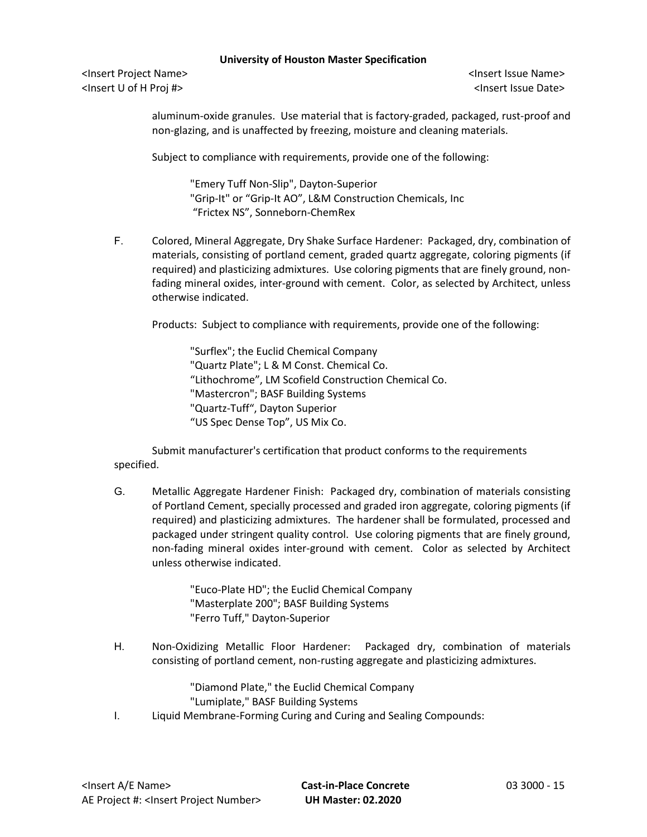<Insert Project Name> <Insert Issue Name> <Insert U of H Proj #> <Insert Issue Date>

aluminum-oxide granules. Use material that is factory-graded, packaged, rust-proof and non-glazing, and is unaffected by freezing, moisture and cleaning materials.

Subject to compliance with requirements, provide one of the following:

"Emery Tuff Non-Slip", Dayton-Superior "Grip-It" or "Grip-It AO", L&M Construction Chemicals, Inc "Frictex NS", Sonneborn-ChemRex

F. Colored, Mineral Aggregate, Dry Shake Surface Hardener: Packaged, dry, combination of materials, consisting of portland cement, graded quartz aggregate, coloring pigments (if required) and plasticizing admixtures. Use coloring pigments that are finely ground, nonfading mineral oxides, inter-ground with cement. Color, as selected by Architect, unless otherwise indicated.

Products: Subject to compliance with requirements, provide one of the following:

"Surflex"; the Euclid Chemical Company "Quartz Plate"; L & M Const. Chemical Co. "Lithochrome", LM Scofield Construction Chemical Co. "Mastercron"; BASF Building Systems "Quartz-Tuff", Dayton Superior "US Spec Dense Top", US Mix Co.

Submit manufacturer's certification that product conforms to the requirements specified.

G. Metallic Aggregate Hardener Finish: Packaged dry, combination of materials consisting of Portland Cement, specially processed and graded iron aggregate, coloring pigments (if required) and plasticizing admixtures. The hardener shall be formulated, processed and packaged under stringent quality control. Use coloring pigments that are finely ground, non-fading mineral oxides inter-ground with cement. Color as selected by Architect unless otherwise indicated.

> "Euco-Plate HD"; the Euclid Chemical Company "Masterplate 200"; BASF Building Systems "Ferro Tuff," Dayton-Superior

H. Non-Oxidizing Metallic Floor Hardener: Packaged dry, combination of materials consisting of portland cement, non-rusting aggregate and plasticizing admixtures.

> "Diamond Plate," the Euclid Chemical Company "Lumiplate," BASF Building Systems

I. Liquid Membrane-Forming Curing and Curing and Sealing Compounds: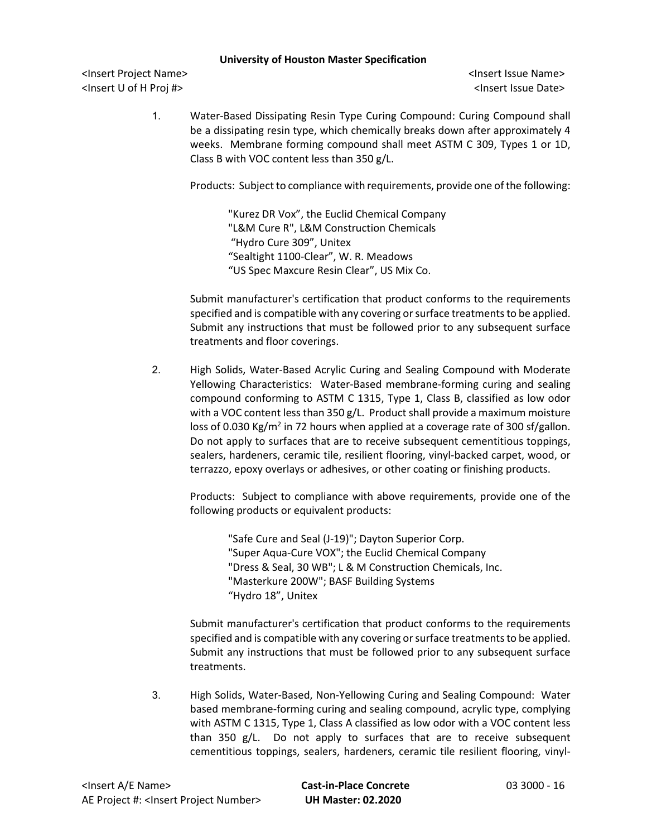<Insert Project Name> <Insert Issue Name> <Insert U of H Proj #> <Insert Issue Date>

1. Water-Based Dissipating Resin Type Curing Compound: Curing Compound shall be a dissipating resin type, which chemically breaks down after approximately 4 weeks. Membrane forming compound shall meet ASTM C 309, Types 1 or 1D, Class B with VOC content less than 350 g/L.

Products: Subject to compliance with requirements, provide one of the following:

"Kurez DR Vox", the Euclid Chemical Company "L&M Cure R", L&M Construction Chemicals "Hydro Cure 309", Unitex "Sealtight 1100-Clear", W. R. Meadows "US Spec Maxcure Resin Clear", US Mix Co.

Submit manufacturer's certification that product conforms to the requirements specified and is compatible with any covering or surface treatments to be applied. Submit any instructions that must be followed prior to any subsequent surface treatments and floor coverings.

2. High Solids, Water-Based Acrylic Curing and Sealing Compound with Moderate Yellowing Characteristics: Water-Based membrane-forming curing and sealing compound conforming to ASTM C 1315, Type 1, Class B, classified as low odor with a VOC content less than 350 g/L. Product shall provide a maximum moisture loss of 0.030 Kg/m<sup>2</sup> in 72 hours when applied at a coverage rate of 300 sf/gallon. Do not apply to surfaces that are to receive subsequent cementitious toppings, sealers, hardeners, ceramic tile, resilient flooring, vinyl-backed carpet, wood, or terrazzo, epoxy overlays or adhesives, or other coating or finishing products.

Products: Subject to compliance with above requirements, provide one of the following products or equivalent products:

"Safe Cure and Seal (J-19)"; Dayton Superior Corp. "Super Aqua-Cure VOX"; the Euclid Chemical Company "Dress & Seal, 30 WB"; L & M Construction Chemicals, Inc. "Masterkure 200W"; BASF Building Systems "Hydro 18", Unitex

Submit manufacturer's certification that product conforms to the requirements specified and is compatible with any covering or surface treatments to be applied. Submit any instructions that must be followed prior to any subsequent surface treatments.

3. High Solids, Water-Based, Non-Yellowing Curing and Sealing Compound: Water based membrane-forming curing and sealing compound, acrylic type, complying with ASTM C 1315, Type 1, Class A classified as low odor with a VOC content less than 350 g/L. Do not apply to surfaces that are to receive subsequent cementitious toppings, sealers, hardeners, ceramic tile resilient flooring, vinyl-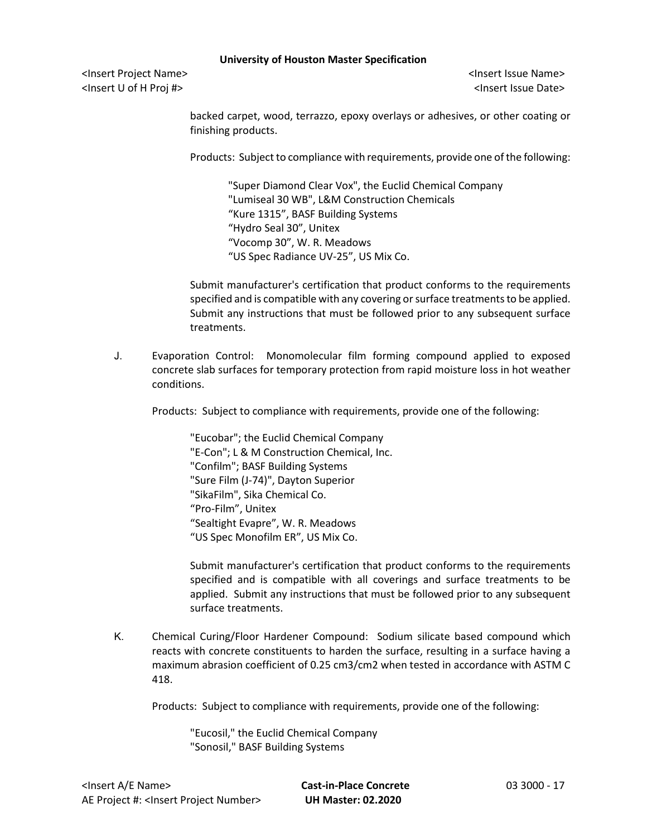<Insert Project Name> <Insert Issue Name> <Insert U of H Proj #> <Insert Issue Date>

backed carpet, wood, terrazzo, epoxy overlays or adhesives, or other coating or finishing products.

Products: Subject to compliance with requirements, provide one of the following:

"Super Diamond Clear Vox", the Euclid Chemical Company "Lumiseal 30 WB", L&M Construction Chemicals "Kure 1315", BASF Building Systems "Hydro Seal 30", Unitex "Vocomp 30", W. R. Meadows "US Spec Radiance UV-25", US Mix Co.

Submit manufacturer's certification that product conforms to the requirements specified and is compatible with any covering or surface treatments to be applied. Submit any instructions that must be followed prior to any subsequent surface treatments.

J. Evaporation Control: Monomolecular film forming compound applied to exposed concrete slab surfaces for temporary protection from rapid moisture loss in hot weather conditions.

Products: Subject to compliance with requirements, provide one of the following:

"Eucobar"; the Euclid Chemical Company "E-Con"; L & M Construction Chemical, Inc. "Confilm"; BASF Building Systems "Sure Film (J-74)", Dayton Superior "SikaFilm", Sika Chemical Co. "Pro-Film", Unitex "Sealtight Evapre", W. R. Meadows "US Spec Monofilm ER", US Mix Co.

Submit manufacturer's certification that product conforms to the requirements specified and is compatible with all coverings and surface treatments to be applied. Submit any instructions that must be followed prior to any subsequent surface treatments.

K. Chemical Curing/Floor Hardener Compound: Sodium silicate based compound which reacts with concrete constituents to harden the surface, resulting in a surface having a maximum abrasion coefficient of 0.25 cm3/cm2 when tested in accordance with ASTM C 418.

Products: Subject to compliance with requirements, provide one of the following:

"Eucosil," the Euclid Chemical Company "Sonosil," BASF Building Systems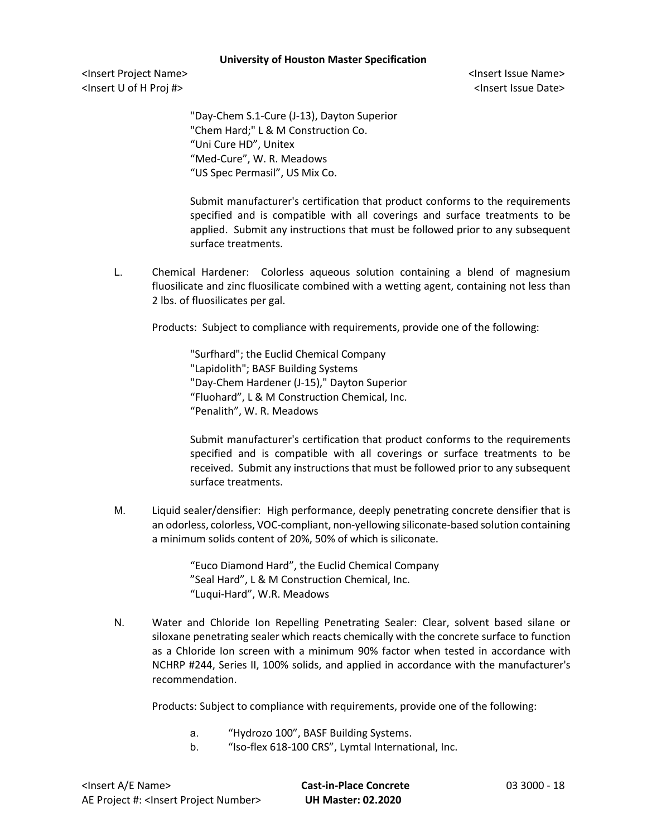<Insert Project Name> <Insert Issue Name> <Insert U of H Proj #> <Insert Issue Date>

"Day-Chem S.1-Cure (J-13), Dayton Superior "Chem Hard;" L & M Construction Co. "Uni Cure HD", Unitex "Med-Cure", W. R. Meadows "US Spec Permasil", US Mix Co.

Submit manufacturer's certification that product conforms to the requirements specified and is compatible with all coverings and surface treatments to be applied. Submit any instructions that must be followed prior to any subsequent surface treatments.

L. Chemical Hardener: Colorless aqueous solution containing a blend of magnesium fluosilicate and zinc fluosilicate combined with a wetting agent, containing not less than 2 lbs. of fluosilicates per gal.

Products: Subject to compliance with requirements, provide one of the following:

"Surfhard"; the Euclid Chemical Company "Lapidolith"; BASF Building Systems "Day-Chem Hardener (J-15)," Dayton Superior "Fluohard", L & M Construction Chemical, Inc. "Penalith", W. R. Meadows

Submit manufacturer's certification that product conforms to the requirements specified and is compatible with all coverings or surface treatments to be received. Submit any instructions that must be followed prior to any subsequent surface treatments.

M. Liquid sealer/densifier: High performance, deeply penetrating concrete densifier that is an odorless, colorless, VOC-compliant, non-yellowing siliconate-based solution containing a minimum solids content of 20%, 50% of which is siliconate.

> "Euco Diamond Hard", the Euclid Chemical Company "Seal Hard", L & M Construction Chemical, Inc. "Luqui-Hard", W.R. Meadows

N. Water and Chloride Ion Repelling Penetrating Sealer: Clear, solvent based silane or siloxane penetrating sealer which reacts chemically with the concrete surface to function as a Chloride Ion screen with a minimum 90% factor when tested in accordance with NCHRP #244, Series II, 100% solids, and applied in accordance with the manufacturer's recommendation.

Products: Subject to compliance with requirements, provide one of the following:

- a. "Hydrozo 100", BASF Building Systems.
- b. "Iso-flex 618-100 CRS", Lymtal International, Inc.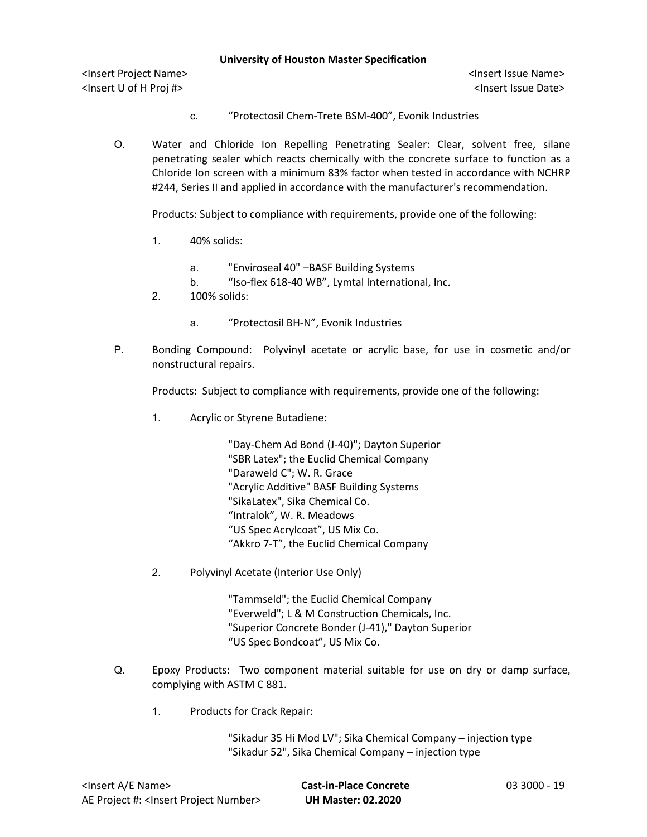<Insert Project Name> <Insert Issue Name> <Insert U of H Proj #> <Insert Issue Date>

- c. "Protectosil Chem-Trete BSM-400", Evonik Industries
- O. Water and Chloride Ion Repelling Penetrating Sealer: Clear, solvent free, silane penetrating sealer which reacts chemically with the concrete surface to function as a Chloride Ion screen with a minimum 83% factor when tested in accordance with NCHRP #244, Series II and applied in accordance with the manufacturer's recommendation.

Products: Subject to compliance with requirements, provide one of the following:

- 1. 40% solids:
	- a. "Enviroseal 40" –BASF Building Systems
	- b. "Iso-flex 618-40 WB", Lymtal International, Inc.
- 2. 100% solids:
	- a. "Protectosil BH-N", Evonik Industries
- P. Bonding Compound: Polyvinyl acetate or acrylic base, for use in cosmetic and/or nonstructural repairs.

Products: Subject to compliance with requirements, provide one of the following:

1. Acrylic or Styrene Butadiene:

"Day-Chem Ad Bond (J-40)"; Dayton Superior "SBR Latex"; the Euclid Chemical Company "Daraweld C"; W. R. Grace "Acrylic Additive" BASF Building Systems "SikaLatex", Sika Chemical Co. "Intralok", W. R. Meadows "US Spec Acrylcoat", US Mix Co. "Akkro 7-T", the Euclid Chemical Company

2. Polyvinyl Acetate (Interior Use Only)

"Tammseld"; the Euclid Chemical Company "Everweld"; L & M Construction Chemicals, Inc. "Superior Concrete Bonder (J-41)," Dayton Superior "US Spec Bondcoat", US Mix Co.

- Q. Epoxy Products: Two component material suitable for use on dry or damp surface, complying with ASTM C 881.
	- 1. Products for Crack Repair:

"Sikadur 35 Hi Mod LV"; Sika Chemical Company – injection type "Sikadur 52", Sika Chemical Company – injection type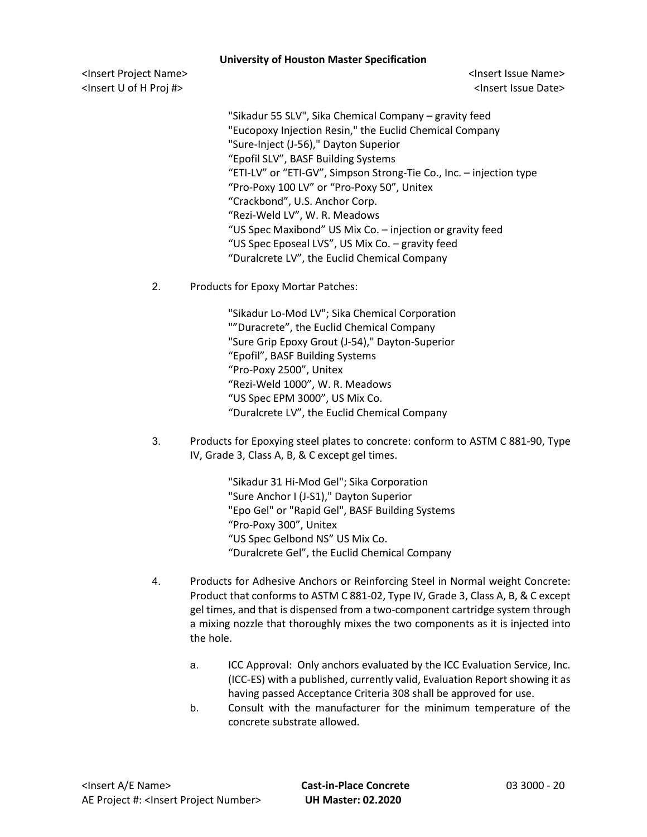<Insert Project Name> <Insert Issue Name> <Insert U of H Proj #> <Insert Issue Date>

"Sikadur 55 SLV", Sika Chemical Company – gravity feed "Eucopoxy Injection Resin," the Euclid Chemical Company "Sure-Inject (J-56)," Dayton Superior "Epofil SLV", BASF Building Systems "ETI-LV" or "ETI-GV", Simpson Strong-Tie Co., Inc. – injection type "Pro-Poxy 100 LV" or "Pro-Poxy 50", Unitex "Crackbond", U.S. Anchor Corp. "Rezi-Weld LV", W. R. Meadows "US Spec Maxibond" US Mix Co. – injection or gravity feed "US Spec Eposeal LVS", US Mix Co. – gravity feed "Duralcrete LV", the Euclid Chemical Company

2. Products for Epoxy Mortar Patches:

"Sikadur Lo-Mod LV"; Sika Chemical Corporation ""Duracrete", the Euclid Chemical Company "Sure Grip Epoxy Grout (J-54)," Dayton-Superior "Epofil", BASF Building Systems "Pro-Poxy 2500", Unitex "Rezi-Weld 1000", W. R. Meadows "US Spec EPM 3000", US Mix Co. "Duralcrete LV", the Euclid Chemical Company

3. Products for Epoxying steel plates to concrete: conform to ASTM C 881-90, Type IV, Grade 3, Class A, B, & C except gel times.

> "Sikadur 31 Hi-Mod Gel"; Sika Corporation "Sure Anchor I (J-S1)," Dayton Superior "Epo Gel" or "Rapid Gel", BASF Building Systems "Pro-Poxy 300", Unitex "US Spec Gelbond NS" US Mix Co. "Duralcrete Gel", the Euclid Chemical Company

- 4. Products for Adhesive Anchors or Reinforcing Steel in Normal weight Concrete: Product that conforms to ASTM C 881-02, Type IV, Grade 3, Class A, B, & C except gel times, and that is dispensed from a two-component cartridge system through a mixing nozzle that thoroughly mixes the two components as it is injected into the hole.
	- a. ICC Approval: Only anchors evaluated by the ICC Evaluation Service, Inc. (ICC-ES) with a published, currently valid, Evaluation Report showing it as having passed Acceptance Criteria 308 shall be approved for use.
	- b. Consult with the manufacturer for the minimum temperature of the concrete substrate allowed.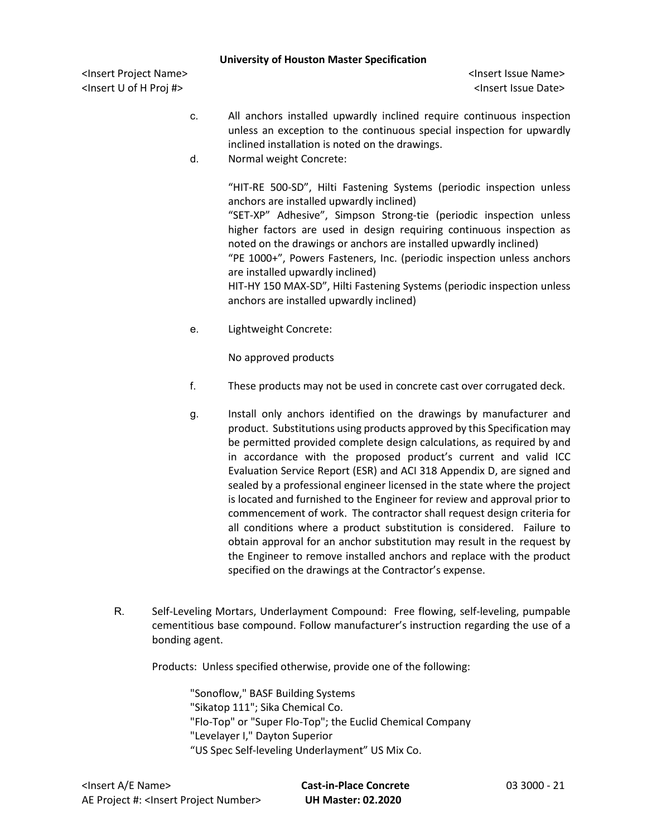<Insert Project Name> <Insert Issue Name> <Insert U of H Proj #> <Insert Issue Date>

- c. All anchors installed upwardly inclined require continuous inspection unless an exception to the continuous special inspection for upwardly inclined installation is noted on the drawings.
- d. Normal weight Concrete:

"HIT-RE 500-SD", Hilti Fastening Systems (periodic inspection unless anchors are installed upwardly inclined)

"SET-XP" Adhesive", Simpson Strong-tie (periodic inspection unless higher factors are used in design requiring continuous inspection as noted on the drawings or anchors are installed upwardly inclined)

"PE 1000+", Powers Fasteners, Inc. (periodic inspection unless anchors are installed upwardly inclined)

HIT-HY 150 MAX-SD", Hilti Fastening Systems (periodic inspection unless anchors are installed upwardly inclined)

e. Lightweight Concrete:

No approved products

- f. These products may not be used in concrete cast over corrugated deck.
- g. Install only anchors identified on the drawings by manufacturer and product. Substitutions using products approved by this Specification may be permitted provided complete design calculations, as required by and in accordance with the proposed product's current and valid ICC Evaluation Service Report (ESR) and ACI 318 Appendix D, are signed and sealed by a professional engineer licensed in the state where the project is located and furnished to the Engineer for review and approval prior to commencement of work. The contractor shall request design criteria for all conditions where a product substitution is considered. Failure to obtain approval for an anchor substitution may result in the request by the Engineer to remove installed anchors and replace with the product specified on the drawings at the Contractor's expense.
- R. Self-Leveling Mortars, Underlayment Compound: Free flowing, self-leveling, pumpable cementitious base compound. Follow manufacturer's instruction regarding the use of a bonding agent.

Products: Unless specified otherwise, provide one of the following:

"Sonoflow," BASF Building Systems "Sikatop 111"; Sika Chemical Co. "Flo-Top" or "Super Flo-Top"; the Euclid Chemical Company "Levelayer I," Dayton Superior "US Spec Self-leveling Underlayment" US Mix Co.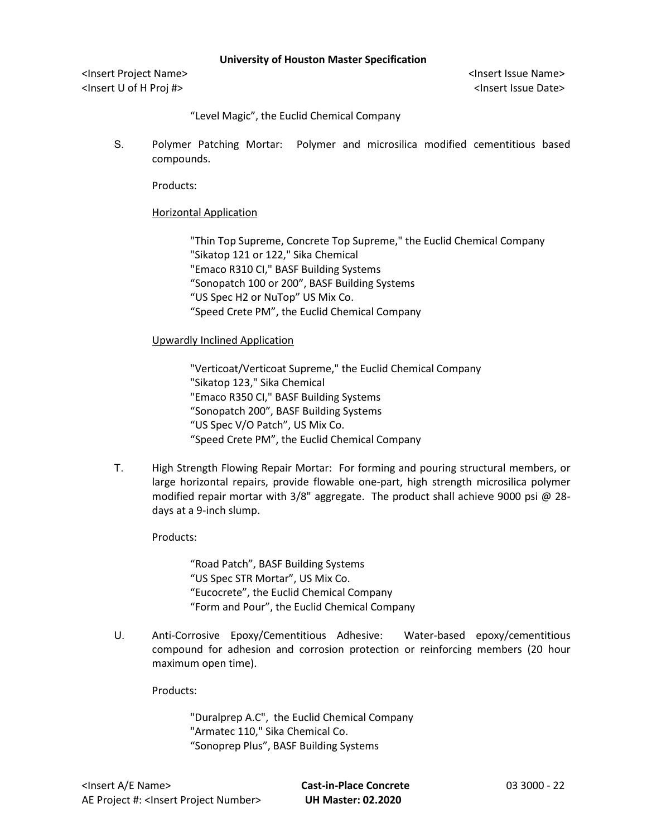<Insert Project Name> <Insert Issue Name> <Insert U of H Proj #> <Insert Issue Date>

"Level Magic", the Euclid Chemical Company

S. Polymer Patching Mortar: Polymer and microsilica modified cementitious based compounds.

Products:

### Horizontal Application

"Thin Top Supreme, Concrete Top Supreme," the Euclid Chemical Company "Sikatop 121 or 122," Sika Chemical "Emaco R310 CI," BASF Building Systems "Sonopatch 100 or 200", BASF Building Systems "US Spec H2 or NuTop" US Mix Co. "Speed Crete PM", the Euclid Chemical Company

### Upwardly Inclined Application

"Verticoat/Verticoat Supreme," the Euclid Chemical Company "Sikatop 123," Sika Chemical "Emaco R350 CI," BASF Building Systems "Sonopatch 200", BASF Building Systems "US Spec V/O Patch", US Mix Co. "Speed Crete PM", the Euclid Chemical Company

T. High Strength Flowing Repair Mortar: For forming and pouring structural members, or large horizontal repairs, provide flowable one-part, high strength microsilica polymer modified repair mortar with 3/8" aggregate. The product shall achieve 9000 psi @ 28 days at a 9-inch slump.

## Products:

"Road Patch", BASF Building Systems "US Spec STR Mortar", US Mix Co. "Eucocrete", the Euclid Chemical Company "Form and Pour", the Euclid Chemical Company

U. Anti-Corrosive Epoxy/Cementitious Adhesive: Water-based epoxy/cementitious compound for adhesion and corrosion protection or reinforcing members (20 hour maximum open time).

Products:

"Duralprep A.C", the Euclid Chemical Company "Armatec 110," Sika Chemical Co. "Sonoprep Plus", BASF Building Systems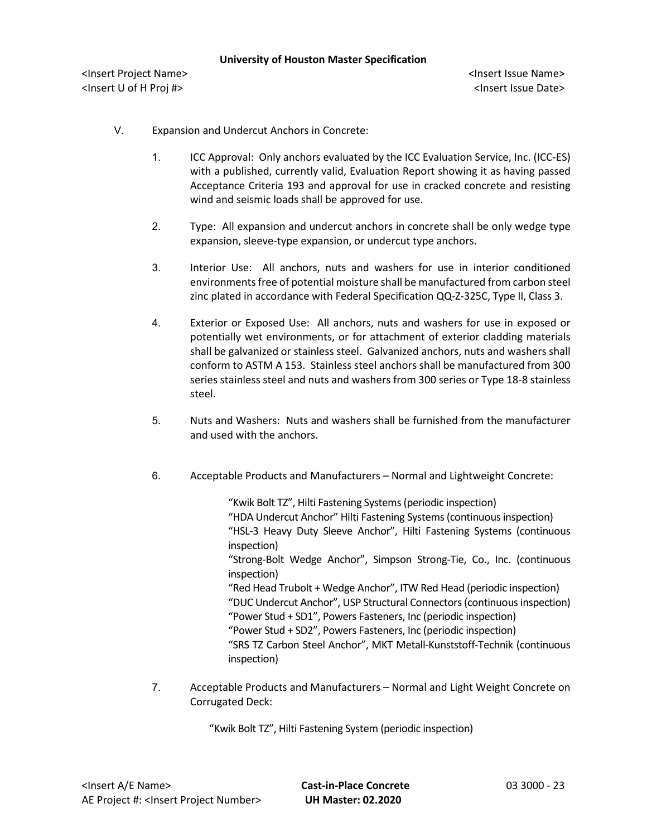- V. Expansion and Undercut Anchors in Concrete:
	- 1. ICC Approval: Only anchors evaluated by the ICC Evaluation Service, Inc. (ICC-ES) with a published, currently valid, Evaluation Report showing it as having passed Acceptance Criteria 193 and approval for use in cracked concrete and resisting wind and seismic loads shall be approved for use.
	- 2. Type: All expansion and undercut anchors in concrete shall be only wedge type expansion, sleeve-type expansion, or undercut type anchors.
	- 3. Interior Use: All anchors, nuts and washers for use in interior conditioned environments free of potential moisture shall be manufactured from carbon steel zinc plated in accordance with Federal Specification QQ-Z-325C, Type II, Class 3.
	- 4. Exterior or Exposed Use: All anchors, nuts and washers for use in exposed or potentially wet environments, or for attachment of exterior cladding materials shall be galvanized or stainless steel. Galvanized anchors, nuts and washers shall conform to ASTM A 153. Stainless steel anchors shall be manufactured from 300 series stainless steel and nuts and washers from 300 series or Type 18-8 stainless steel.
	- 5. Nuts and Washers: Nuts and washers shall be furnished from the manufacturer and used with the anchors.
	- 6. Acceptable Products and Manufacturers Normal and Lightweight Concrete:

"Kwik Bolt TZ", Hilti Fastening Systems(periodic inspection) "HDA Undercut Anchor" Hilti Fastening Systems(continuous inspection) "HSL-3 Heavy Duty Sleeve Anchor", Hilti Fastening Systems (continuous inspection) "Strong-Bolt Wedge Anchor", Simpson Strong-Tie, Co., Inc. (continuous inspection) "Red Head Trubolt + Wedge Anchor", ITW Red Head (periodic inspection) "DUC Undercut Anchor", USP Structural Connectors(continuous inspection) "Power Stud + SD1", Powers Fasteners, Inc (periodic inspection) "Power Stud + SD2", Powers Fasteners, Inc (periodic inspection) "SRS TZ Carbon Steel Anchor", MKT Metall-Kunststoff-Technik (continuous inspection)

7. Acceptable Products and Manufacturers – Normal and Light Weight Concrete on Corrugated Deck:

"Kwik Bolt TZ", Hilti Fastening System (periodic inspection)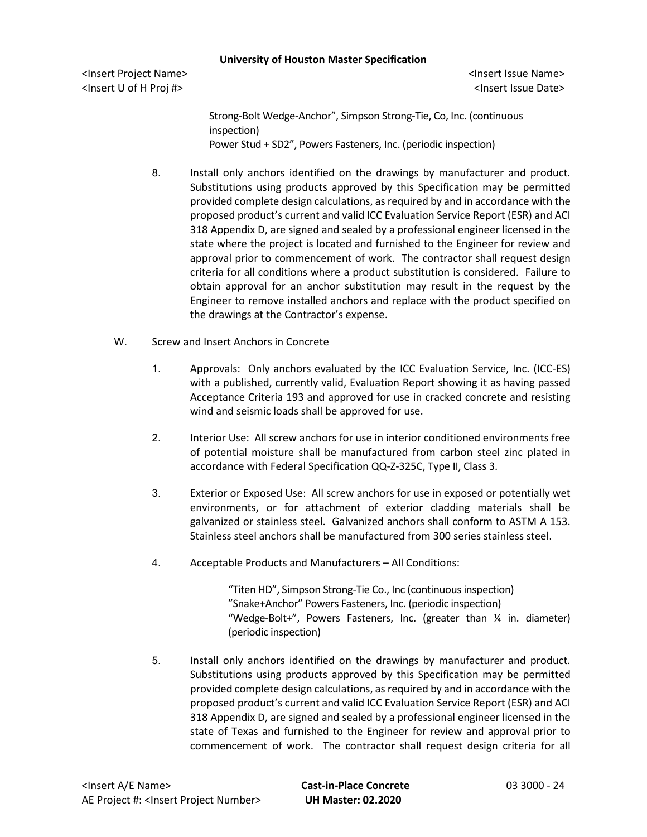<Insert Project Name> <Insert Issue Name> <Insert U of H Proj #> <Insert Issue Date>

Strong-Bolt Wedge-Anchor", Simpson Strong-Tie, Co, Inc. (continuous inspection) Power Stud + SD2", Powers Fasteners, Inc. (periodic inspection)

- 8. Install only anchors identified on the drawings by manufacturer and product. Substitutions using products approved by this Specification may be permitted provided complete design calculations, as required by and in accordance with the proposed product's current and valid ICC Evaluation Service Report (ESR) and ACI 318 Appendix D, are signed and sealed by a professional engineer licensed in the state where the project is located and furnished to the Engineer for review and approval prior to commencement of work. The contractor shall request design criteria for all conditions where a product substitution is considered. Failure to obtain approval for an anchor substitution may result in the request by the Engineer to remove installed anchors and replace with the product specified on the drawings at the Contractor's expense.
- W. Screw and Insert Anchors in Concrete
	- 1. Approvals: Only anchors evaluated by the ICC Evaluation Service, Inc. (ICC-ES) with a published, currently valid, Evaluation Report showing it as having passed Acceptance Criteria 193 and approved for use in cracked concrete and resisting wind and seismic loads shall be approved for use.
	- 2. Interior Use: All screw anchors for use in interior conditioned environments free of potential moisture shall be manufactured from carbon steel zinc plated in accordance with Federal Specification QQ-Z-325C, Type II, Class 3.
	- 3. Exterior or Exposed Use: All screw anchors for use in exposed or potentially wet environments, or for attachment of exterior cladding materials shall be galvanized or stainless steel. Galvanized anchors shall conform to ASTM A 153. Stainless steel anchors shall be manufactured from 300 series stainless steel.
	- 4. Acceptable Products and Manufacturers All Conditions:

"Titen HD", Simpson Strong-Tie Co., Inc (continuous inspection) "Snake+Anchor" Powers Fasteners, Inc. (periodic inspection) "Wedge-Bolt+", Powers Fasteners, Inc. (greater than ¼ in. diameter) (periodic inspection)

5. Install only anchors identified on the drawings by manufacturer and product. Substitutions using products approved by this Specification may be permitted provided complete design calculations, as required by and in accordance with the proposed product's current and valid ICC Evaluation Service Report (ESR) and ACI 318 Appendix D, are signed and sealed by a professional engineer licensed in the state of Texas and furnished to the Engineer for review and approval prior to commencement of work. The contractor shall request design criteria for all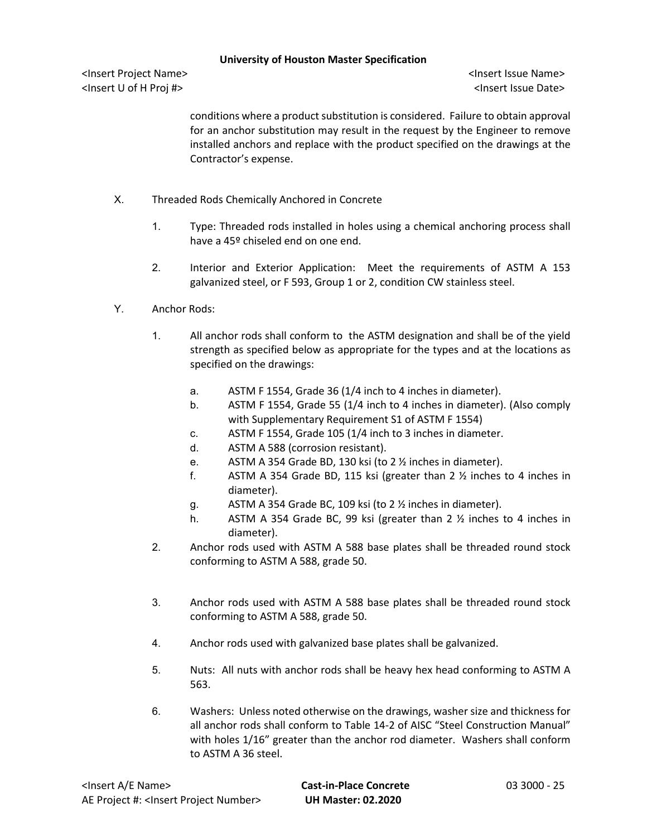<Insert Project Name> <Insert Issue Name> <Insert U of H Proj #> <Insert Issue Date>

conditions where a product substitution is considered. Failure to obtain approval for an anchor substitution may result in the request by the Engineer to remove installed anchors and replace with the product specified on the drawings at the Contractor's expense.

- X. Threaded Rods Chemically Anchored in Concrete
	- 1. Type: Threaded rods installed in holes using a chemical anchoring process shall have a 45º chiseled end on one end.
	- 2. Interior and Exterior Application: Meet the requirements of ASTM A 153 galvanized steel, or F 593, Group 1 or 2, condition CW stainless steel.
- Y. Anchor Rods:
	- 1. All anchor rods shall conform to the ASTM designation and shall be of the yield strength as specified below as appropriate for the types and at the locations as specified on the drawings:
		- a. ASTM F 1554, Grade 36 (1/4 inch to 4 inches in diameter).
		- b. ASTM F 1554, Grade 55 (1/4 inch to 4 inches in diameter). (Also comply with Supplementary Requirement S1 of ASTM F 1554)
		- c. ASTM F 1554, Grade 105 (1/4 inch to 3 inches in diameter.
		- d. ASTM A 588 (corrosion resistant).
		- e. ASTM A 354 Grade BD, 130 ksi (to 2 ½ inches in diameter).
		- f. ASTM A 354 Grade BD, 115 ksi (greater than 2 ½ inches to 4 inches in diameter).
		- g. ASTM A 354 Grade BC, 109 ksi (to 2 ½ inches in diameter).
		- h. ASTM A 354 Grade BC, 99 ksi (greater than 2 ½ inches to 4 inches in diameter).
	- 2. Anchor rods used with ASTM A 588 base plates shall be threaded round stock conforming to ASTM A 588, grade 50.
	- 3. Anchor rods used with ASTM A 588 base plates shall be threaded round stock conforming to ASTM A 588, grade 50.
	- 4. Anchor rods used with galvanized base plates shall be galvanized.
	- 5. Nuts: All nuts with anchor rods shall be heavy hex head conforming to ASTM A 563.
	- 6. Washers: Unless noted otherwise on the drawings, washer size and thickness for all anchor rods shall conform to Table 14-2 of AISC "Steel Construction Manual" with holes 1/16" greater than the anchor rod diameter. Washers shall conform to ASTM A 36 steel.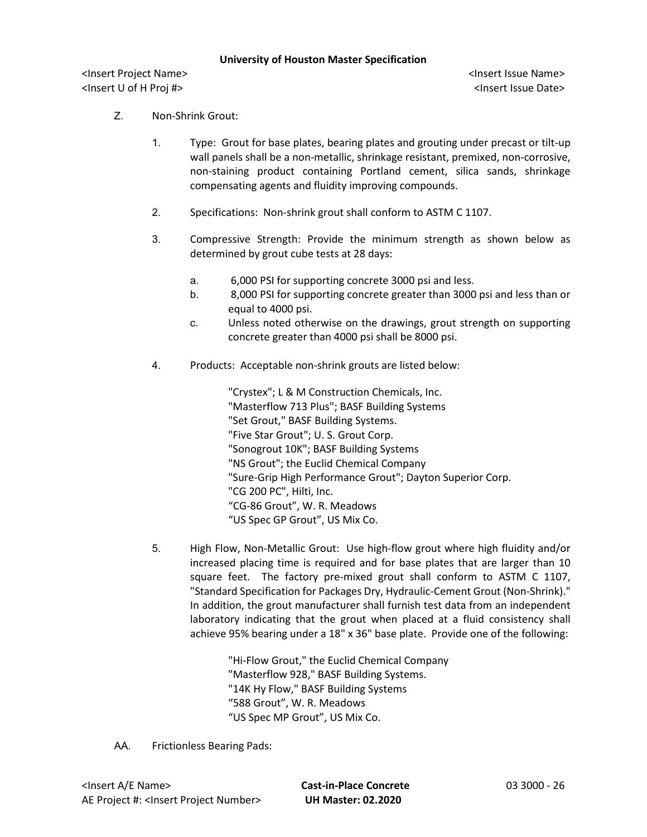<Insert Project Name> <Insert Issue Name> <Insert U of H Proj #> <Insert Issue Date>

- Z. Non-Shrink Grout:
	- 1. Type: Grout for base plates, bearing plates and grouting under precast or tilt-up wall panels shall be a non-metallic, shrinkage resistant, premixed, non-corrosive, non-staining product containing Portland cement, silica sands, shrinkage compensating agents and fluidity improving compounds.
	- 2. Specifications: Non-shrink grout shall conform to ASTM C 1107.
	- 3. Compressive Strength: Provide the minimum strength as shown below as determined by grout cube tests at 28 days:
		- a. 6,000 PSI for supporting concrete 3000 psi and less.
		- b. 8,000 PSI for supporting concrete greater than 3000 psi and less than or equal to 4000 psi.
		- c. Unless noted otherwise on the drawings, grout strength on supporting concrete greater than 4000 psi shall be 8000 psi.
	- 4. Products: Acceptable non-shrink grouts are listed below:

"Crystex"; L & M Construction Chemicals, Inc. "Masterflow 713 Plus"; BASF Building Systems "Set Grout," BASF Building Systems. "Five Star Grout"; U. S. Grout Corp. "Sonogrout 10K"; BASF Building Systems "NS Grout"; the Euclid Chemical Company "Sure-Grip High Performance Grout"; Dayton Superior Corp. "CG 200 PC", Hilti, Inc. "CG-86 Grout", W. R. Meadows "US Spec GP Grout", US Mix Co.

5. High Flow, Non-Metallic Grout: Use high-flow grout where high fluidity and/or increased placing time is required and for base plates that are larger than 10 square feet. The factory pre-mixed grout shall conform to ASTM C 1107, "Standard Specification for Packages Dry, Hydraulic-Cement Grout (Non-Shrink)." In addition, the grout manufacturer shall furnish test data from an independent laboratory indicating that the grout when placed at a fluid consistency shall achieve 95% bearing under a 18" x 36" base plate. Provide one of the following:

> "Hi-Flow Grout," the Euclid Chemical Company "Masterflow 928," BASF Building Systems. "14K Hy Flow," BASF Building Systems "588 Grout", W. R. Meadows "US Spec MP Grout", US Mix Co.

AA. Frictionless Bearing Pads: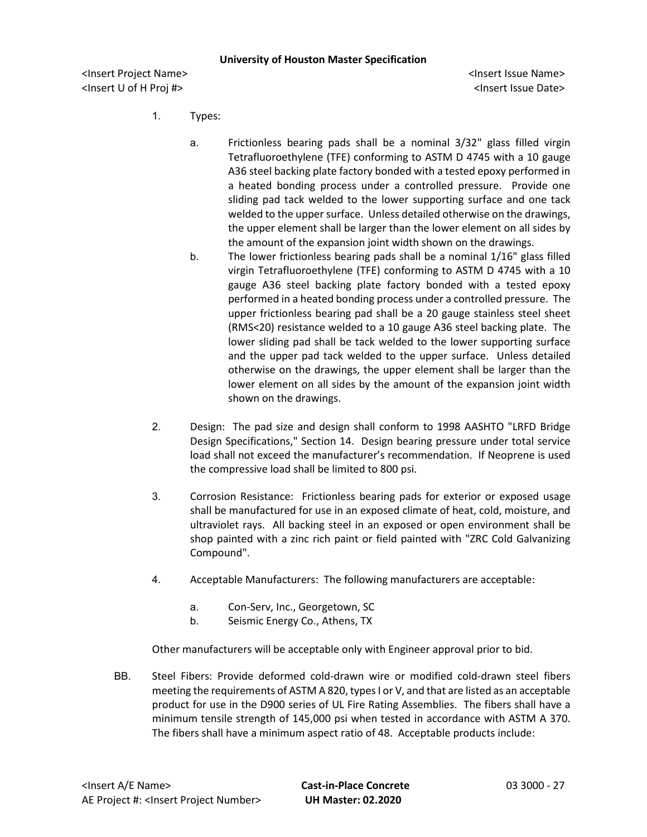<Insert Project Name> <Insert Issue Name> <Insert U of H Proj #> <Insert Issue Date>

- 1. Types:
	- a. Frictionless bearing pads shall be a nominal 3/32" glass filled virgin Tetrafluoroethylene (TFE) conforming to ASTM D 4745 with a 10 gauge A36 steel backing plate factory bonded with a tested epoxy performed in a heated bonding process under a controlled pressure. Provide one sliding pad tack welded to the lower supporting surface and one tack welded to the upper surface. Unless detailed otherwise on the drawings, the upper element shall be larger than the lower element on all sides by the amount of the expansion joint width shown on the drawings.
	- b. The lower frictionless bearing pads shall be a nominal 1/16" glass filled virgin Tetrafluoroethylene (TFE) conforming to ASTM D 4745 with a 10 gauge A36 steel backing plate factory bonded with a tested epoxy performed in a heated bonding process under a controlled pressure. The upper frictionless bearing pad shall be a 20 gauge stainless steel sheet (RMS<20) resistance welded to a 10 gauge A36 steel backing plate. The lower sliding pad shall be tack welded to the lower supporting surface and the upper pad tack welded to the upper surface. Unless detailed otherwise on the drawings, the upper element shall be larger than the lower element on all sides by the amount of the expansion joint width shown on the drawings.
- 2. Design: The pad size and design shall conform to 1998 AASHTO "LRFD Bridge Design Specifications," Section 14. Design bearing pressure under total service load shall not exceed the manufacturer's recommendation. If Neoprene is used the compressive load shall be limited to 800 psi.
- 3. Corrosion Resistance: Frictionless bearing pads for exterior or exposed usage shall be manufactured for use in an exposed climate of heat, cold, moisture, and ultraviolet rays. All backing steel in an exposed or open environment shall be shop painted with a zinc rich paint or field painted with "ZRC Cold Galvanizing Compound".
- 4. Acceptable Manufacturers: The following manufacturers are acceptable:
	- a. Con-Serv, Inc., Georgetown, SC
	- b. Seismic Energy Co., Athens, TX

Other manufacturers will be acceptable only with Engineer approval prior to bid.

BB. Steel Fibers: Provide deformed cold-drawn wire or modified cold-drawn steel fibers meeting the requirements of ASTM A 820, types I or V, and that are listed as an acceptable product for use in the D900 series of UL Fire Rating Assemblies. The fibers shall have a minimum tensile strength of 145,000 psi when tested in accordance with ASTM A 370. The fibers shall have a minimum aspect ratio of 48. Acceptable products include: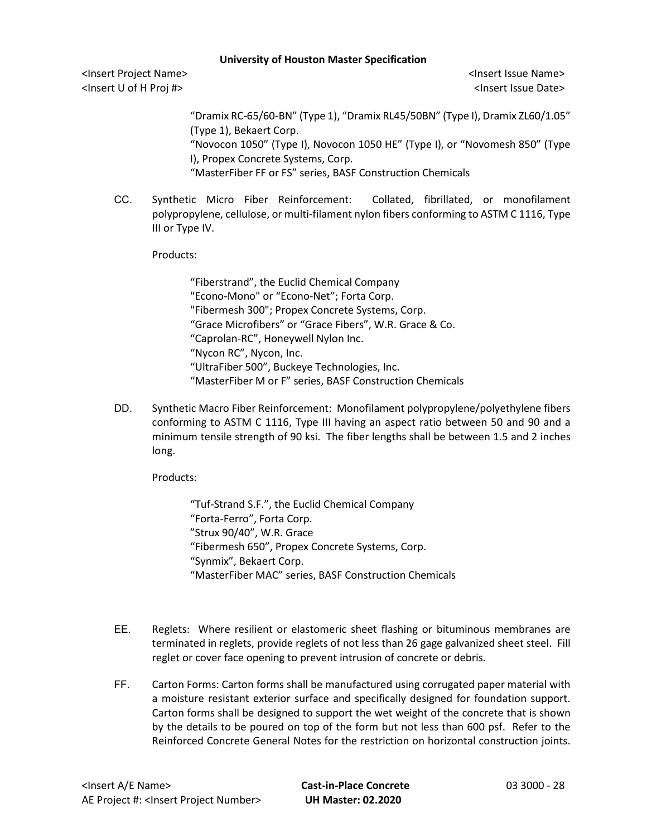<Insert Project Name> <Insert Issue Name> <Insert U of H Proj #> <Insert Issue Date>

"Dramix RC-65/60-BN" (Type 1), "Dramix RL45/50BN" (Type I), Dramix ZL60/1.05" (Type 1), Bekaert Corp.

"Novocon 1050" (Type I), Novocon 1050 HE" (Type I), or "Novomesh 850" (Type I), Propex Concrete Systems, Corp.

"MasterFiber FF or FS" series, BASF Construction Chemicals

CC. Synthetic Micro Fiber Reinforcement: Collated, fibrillated, or monofilament polypropylene, cellulose, or multi-filament nylon fibers conforming to ASTM C 1116, Type III or Type IV.

Products:

"Fiberstrand", the Euclid Chemical Company "Econo-Mono" or "Econo-Net"; Forta Corp. "Fibermesh 300"; Propex Concrete Systems, Corp. "Grace Microfibers" or "Grace Fibers", W.R. Grace & Co. "Caprolan-RC", Honeywell Nylon Inc. "Nycon RC", Nycon, Inc. "UltraFiber 500", Buckeye Technologies, Inc. "MasterFiber M or F" series, BASF Construction Chemicals

DD. Synthetic Macro Fiber Reinforcement: Monofilament polypropylene/polyethylene fibers conforming to ASTM C 1116, Type III having an aspect ratio between 50 and 90 and a minimum tensile strength of 90 ksi. The fiber lengths shall be between 1.5 and 2 inches long.

Products:

"Tuf-Strand S.F.", the Euclid Chemical Company "Forta-Ferro", Forta Corp. "Strux 90/40", W.R. Grace "Fibermesh 650", Propex Concrete Systems, Corp. "Synmix", Bekaert Corp. "MasterFiber MAC" series, BASF Construction Chemicals

- EE. Reglets: Where resilient or elastomeric sheet flashing or bituminous membranes are terminated in reglets, provide reglets of not less than 26 gage galvanized sheet steel. Fill reglet or cover face opening to prevent intrusion of concrete or debris.
- FF. Carton Forms: Carton forms shall be manufactured using corrugated paper material with a moisture resistant exterior surface and specifically designed for foundation support. Carton forms shall be designed to support the wet weight of the concrete that is shown by the details to be poured on top of the form but not less than 600 psf. Refer to the Reinforced Concrete General Notes for the restriction on horizontal construction joints.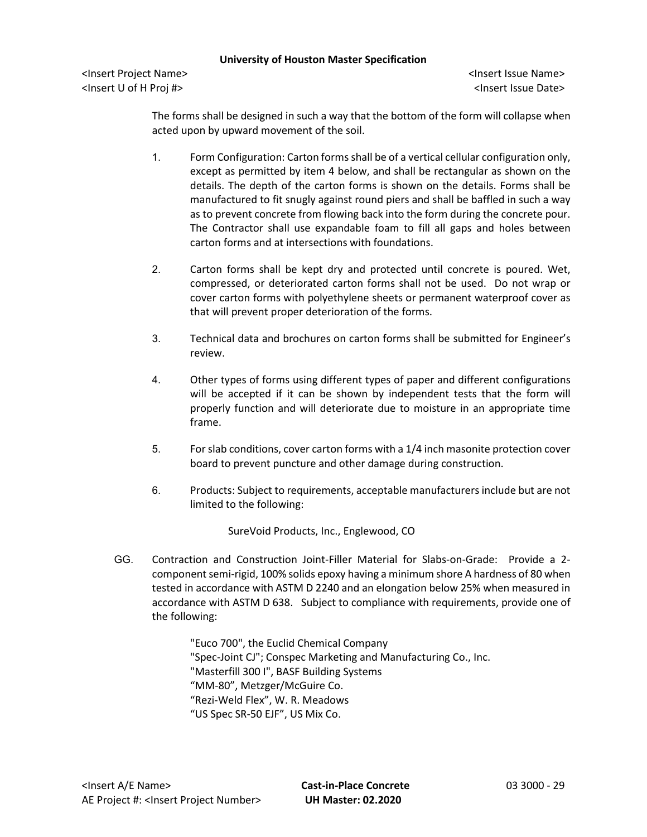<Insert Project Name> <Insert Issue Name> <Insert U of H Proj #> <Insert Issue Date>

The forms shall be designed in such a way that the bottom of the form will collapse when acted upon by upward movement of the soil.

- 1. Form Configuration: Carton forms shall be of a vertical cellular configuration only, except as permitted by item 4 below, and shall be rectangular as shown on the details. The depth of the carton forms is shown on the details. Forms shall be manufactured to fit snugly against round piers and shall be baffled in such a way as to prevent concrete from flowing back into the form during the concrete pour. The Contractor shall use expandable foam to fill all gaps and holes between carton forms and at intersections with foundations.
- 2. Carton forms shall be kept dry and protected until concrete is poured. Wet, compressed, or deteriorated carton forms shall not be used. Do not wrap or cover carton forms with polyethylene sheets or permanent waterproof cover as that will prevent proper deterioration of the forms.
- 3. Technical data and brochures on carton forms shall be submitted for Engineer's review.
- 4. Other types of forms using different types of paper and different configurations will be accepted if it can be shown by independent tests that the form will properly function and will deteriorate due to moisture in an appropriate time frame.
- 5. For slab conditions, cover carton forms with a 1/4 inch masonite protection cover board to prevent puncture and other damage during construction.
- 6. Products: Subject to requirements, acceptable manufacturers include but are not limited to the following:

SureVoid Products, Inc., Englewood, CO

GG. Contraction and Construction Joint-Filler Material for Slabs-on-Grade: Provide a 2 component semi-rigid, 100% solids epoxy having a minimum shore A hardness of 80 when tested in accordance with ASTM D 2240 and an elongation below 25% when measured in accordance with ASTM D 638. Subject to compliance with requirements, provide one of the following:

> "Euco 700", the Euclid Chemical Company "Spec-Joint CJ"; Conspec Marketing and Manufacturing Co., Inc. "Masterfill 300 I", BASF Building Systems "MM-80", Metzger/McGuire Co. "Rezi-Weld Flex", W. R. Meadows "US Spec SR-50 EJF", US Mix Co.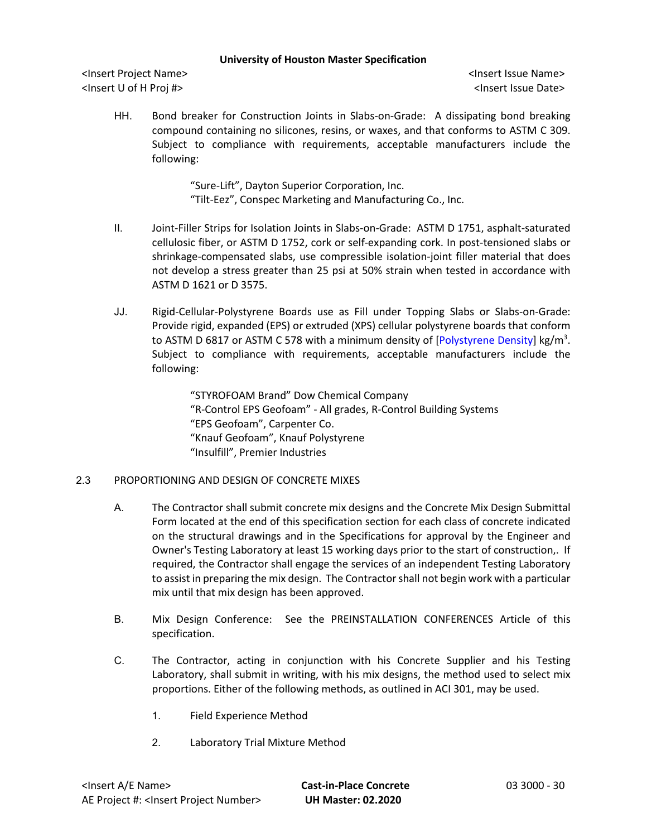<Insert Project Name> <Insert Issue Name> <Insert U of H Proj #> <Insert Issue Date>

HH. Bond breaker for Construction Joints in Slabs-on-Grade: A dissipating bond breaking compound containing no silicones, resins, or waxes, and that conforms to ASTM C 309. Subject to compliance with requirements, acceptable manufacturers include the following:

> "Sure-Lift", Dayton Superior Corporation, Inc. "Tilt-Eez", Conspec Marketing and Manufacturing Co., Inc.

- II. Joint-Filler Strips for Isolation Joints in Slabs-on-Grade: ASTM D 1751, asphalt-saturated cellulosic fiber, or ASTM D 1752, cork or self-expanding cork. In post-tensioned slabs or shrinkage-compensated slabs, use compressible isolation-joint filler material that does not develop a stress greater than 25 psi at 50% strain when tested in accordance with ASTM D 1621 or D 3575.
- JJ. Rigid-Cellular-Polystyrene Boards use as Fill under Topping Slabs or Slabs-on-Grade: Provide rigid, expanded (EPS) or extruded (XPS) cellular polystyrene boards that conform to ASTM D 6817 or ASTM C 578 with a minimum density of [Polystyrene Density] kg/m<sup>3</sup>. Subject to compliance with requirements, acceptable manufacturers include the following:

"STYROFOAM Brand" Dow Chemical Company "R-Control EPS Geofoam" - All grades, R-Control Building Systems "EPS Geofoam", Carpenter Co. "Knauf Geofoam", Knauf Polystyrene "Insulfill", Premier Industries

## 2.3 PROPORTIONING AND DESIGN OF CONCRETE MIXES

- A. The Contractor shall submit concrete mix designs and the Concrete Mix Design Submittal Form located at the end of this specification section for each class of concrete indicated on the structural drawings and in the Specifications for approval by the Engineer and Owner's Testing Laboratory at least 15 working days prior to the start of construction,. If required, the Contractor shall engage the services of an independent Testing Laboratory to assist in preparing the mix design. The Contractor shall not begin work with a particular mix until that mix design has been approved.
- B. Mix Design Conference: See the PREINSTALLATION CONFERENCES Article of this specification.
- C. The Contractor, acting in conjunction with his Concrete Supplier and his Testing Laboratory, shall submit in writing, with his mix designs, the method used to select mix proportions. Either of the following methods, as outlined in ACI 301, may be used.
	- 1. Field Experience Method
	- 2. Laboratory Trial Mixture Method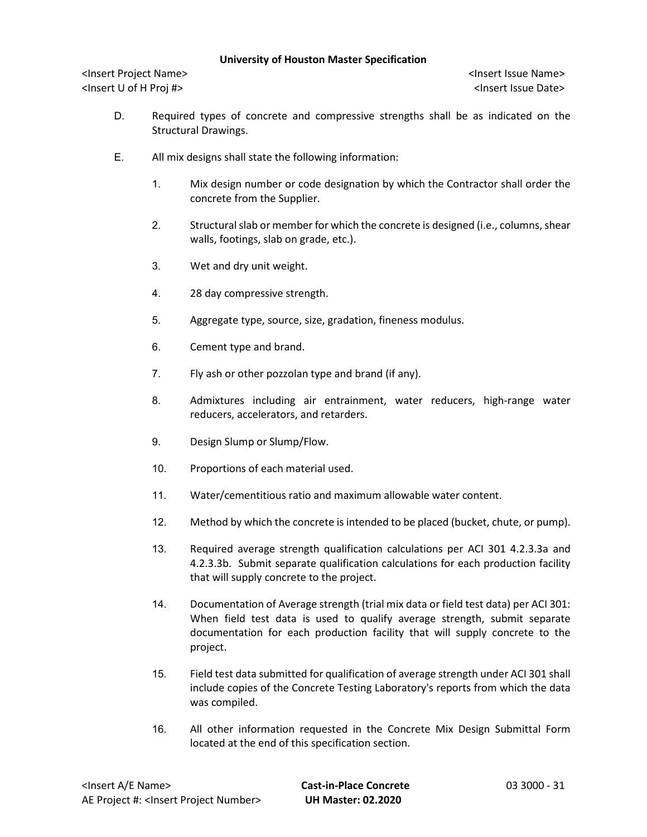- D. Required types of concrete and compressive strengths shall be as indicated on the Structural Drawings.
- E. All mix designs shall state the following information:
	- 1. Mix design number or code designation by which the Contractor shall order the concrete from the Supplier.
	- 2. Structural slab or member for which the concrete is designed (i.e., columns, shear walls, footings, slab on grade, etc.).
	- 3. Wet and dry unit weight.
	- 4. 28 day compressive strength.
	- 5. Aggregate type, source, size, gradation, fineness modulus.
	- 6. Cement type and brand.
	- 7. Fly ash or other pozzolan type and brand (if any).
	- 8. Admixtures including air entrainment, water reducers, high-range water reducers, accelerators, and retarders.
	- 9. Design Slump or Slump/Flow.
	- 10. Proportions of each material used.
	- 11. Water/cementitious ratio and maximum allowable water content.
	- 12. Method by which the concrete is intended to be placed (bucket, chute, or pump).
	- 13. Required average strength qualification calculations per ACI 301 4.2.3.3a and 4.2.3.3b. Submit separate qualification calculations for each production facility that will supply concrete to the project.
	- 14. Documentation of Average strength (trial mix data or field test data) per ACI 301: When field test data is used to qualify average strength, submit separate documentation for each production facility that will supply concrete to the project.
	- 15. Field test data submitted for qualification of average strength under ACI 301 shall include copies of the Concrete Testing Laboratory's reports from which the data was compiled.
	- 16. All other information requested in the Concrete Mix Design Submittal Form located at the end of this specification section.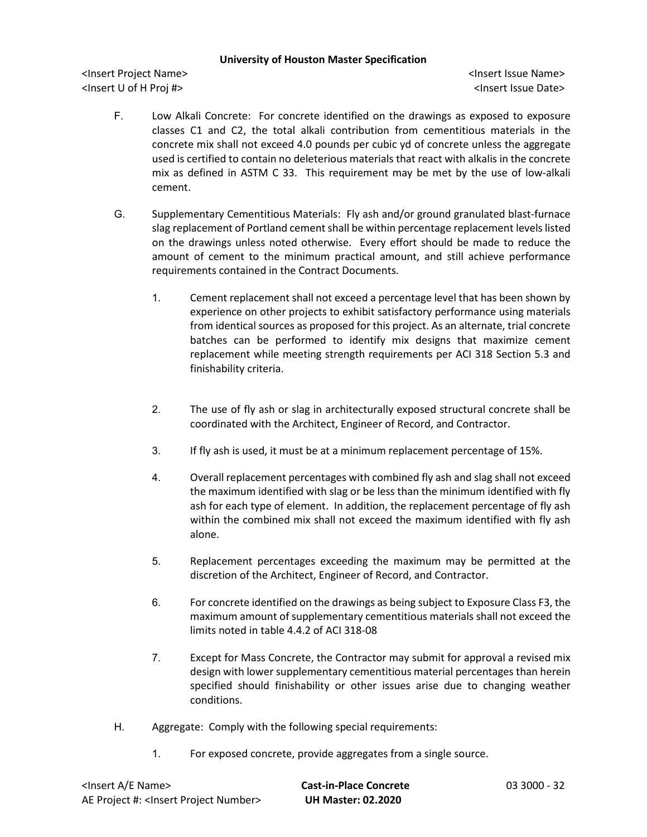- F. Low Alkali Concrete: For concrete identified on the drawings as exposed to exposure classes C1 and C2, the total alkali contribution from cementitious materials in the concrete mix shall not exceed 4.0 pounds per cubic yd of concrete unless the aggregate used is certified to contain no deleterious materials that react with alkalis in the concrete mix as defined in ASTM C 33. This requirement may be met by the use of low-alkali cement.
- G. Supplementary Cementitious Materials: Fly ash and/or ground granulated blast-furnace slag replacement of Portland cement shall be within percentage replacement levels listed on the drawings unless noted otherwise. Every effort should be made to reduce the amount of cement to the minimum practical amount, and still achieve performance requirements contained in the Contract Documents.
	- 1. Cement replacement shall not exceed a percentage level that has been shown by experience on other projects to exhibit satisfactory performance using materials from identical sources as proposed for this project. As an alternate, trial concrete batches can be performed to identify mix designs that maximize cement replacement while meeting strength requirements per ACI 318 Section 5.3 and finishability criteria.
	- 2. The use of fly ash or slag in architecturally exposed structural concrete shall be coordinated with the Architect, Engineer of Record, and Contractor.
	- 3. If fly ash is used, it must be at a minimum replacement percentage of 15%.
	- 4. Overall replacement percentages with combined fly ash and slag shall not exceed the maximum identified with slag or be less than the minimum identified with fly ash for each type of element. In addition, the replacement percentage of fly ash within the combined mix shall not exceed the maximum identified with fly ash alone.
	- 5. Replacement percentages exceeding the maximum may be permitted at the discretion of the Architect, Engineer of Record, and Contractor.
	- 6. For concrete identified on the drawings as being subject to Exposure Class F3, the maximum amount of supplementary cementitious materials shall not exceed the limits noted in table 4.4.2 of ACI 318-08
	- 7. Except for Mass Concrete, the Contractor may submit for approval a revised mix design with lower supplementary cementitious material percentages than herein specified should finishability or other issues arise due to changing weather conditions.
- H. Aggregate: Comply with the following special requirements:
	- 1. For exposed concrete, provide aggregates from a single source.

| <lnsert a="" e="" name=""></lnsert>                  |  |
|------------------------------------------------------|--|
| AE Project #: <lnsert number="" project=""></lnsert> |  |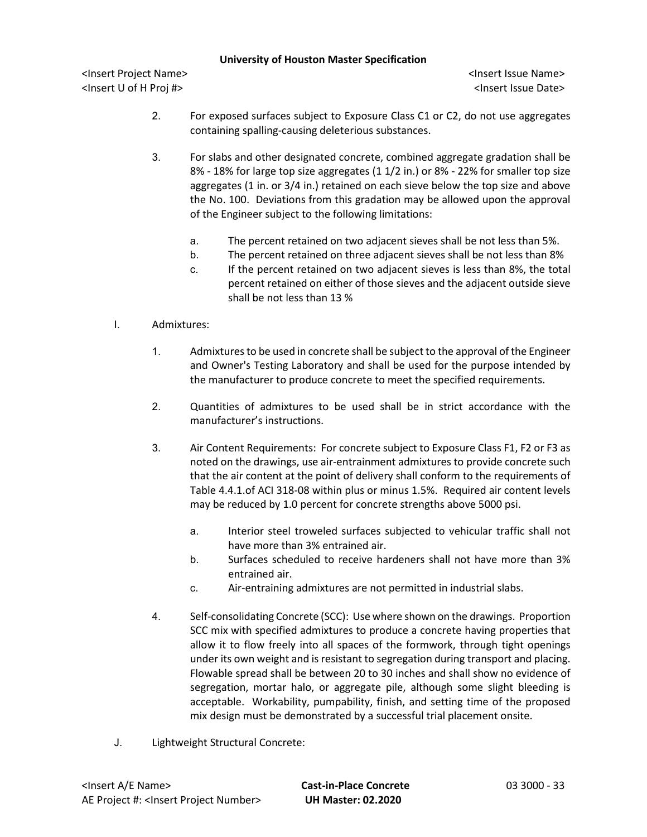- 2. For exposed surfaces subject to Exposure Class C1 or C2, do not use aggregates containing spalling-causing deleterious substances.
- 3. For slabs and other designated concrete, combined aggregate gradation shall be 8% - 18% for large top size aggregates (1 1/2 in.) or 8% - 22% for smaller top size aggregates (1 in. or 3/4 in.) retained on each sieve below the top size and above the No. 100. Deviations from this gradation may be allowed upon the approval of the Engineer subject to the following limitations:
	- a. The percent retained on two adjacent sieves shall be not less than 5%.
	- b. The percent retained on three adjacent sieves shall be not less than 8%
	- c. If the percent retained on two adjacent sieves is less than 8%, the total percent retained on either of those sieves and the adjacent outside sieve shall be not less than 13 %
- I. Admixtures:
	- 1. Admixtures to be used in concrete shall be subject to the approval of the Engineer and Owner's Testing Laboratory and shall be used for the purpose intended by the manufacturer to produce concrete to meet the specified requirements.
	- 2. Quantities of admixtures to be used shall be in strict accordance with the manufacturer's instructions.
	- 3. Air Content Requirements: For concrete subject to Exposure Class F1, F2 or F3 as noted on the drawings, use air-entrainment admixtures to provide concrete such that the air content at the point of delivery shall conform to the requirements of Table 4.4.1.of ACI 318-08 within plus or minus 1.5%. Required air content levels may be reduced by 1.0 percent for concrete strengths above 5000 psi.
		- a. Interior steel troweled surfaces subjected to vehicular traffic shall not have more than 3% entrained air.
		- b. Surfaces scheduled to receive hardeners shall not have more than 3% entrained air.
		- c. Air-entraining admixtures are not permitted in industrial slabs.
	- 4. Self-consolidating Concrete (SCC): Use where shown on the drawings. Proportion SCC mix with specified admixtures to produce a concrete having properties that allow it to flow freely into all spaces of the formwork, through tight openings under its own weight and is resistant to segregation during transport and placing. Flowable spread shall be between 20 to 30 inches and shall show no evidence of segregation, mortar halo, or aggregate pile, although some slight bleeding is acceptable. Workability, pumpability, finish, and setting time of the proposed mix design must be demonstrated by a successful trial placement onsite.
- J. Lightweight Structural Concrete: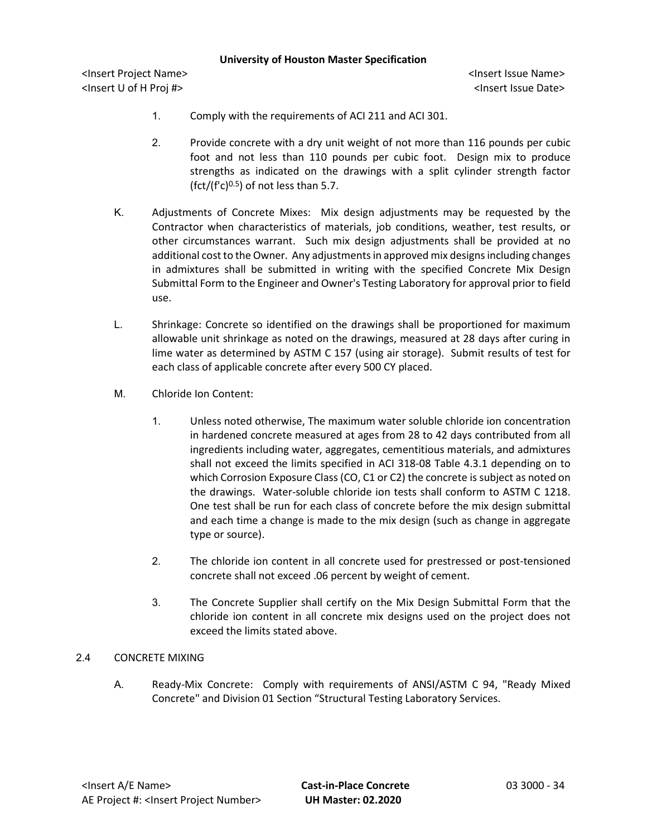<Insert Project Name> <Insert Issue Name> <Insert U of H Proj #> <Insert Issue Date>

- 1. Comply with the requirements of ACI 211 and ACI 301.
- 2. Provide concrete with a dry unit weight of not more than 116 pounds per cubic foot and not less than 110 pounds per cubic foot. Design mix to produce strengths as indicated on the drawings with a split cylinder strength factor (fct/(f'c)<sup>0.5</sup>) of not less than 5.7.
- K. Adjustments of Concrete Mixes: Mix design adjustments may be requested by the Contractor when characteristics of materials, job conditions, weather, test results, or other circumstances warrant. Such mix design adjustments shall be provided at no additional cost to the Owner. Any adjustments in approved mix designs including changes in admixtures shall be submitted in writing with the specified Concrete Mix Design Submittal Form to the Engineer and Owner's Testing Laboratory for approval prior to field use.
- L. Shrinkage: Concrete so identified on the drawings shall be proportioned for maximum allowable unit shrinkage as noted on the drawings, measured at 28 days after curing in lime water as determined by ASTM C 157 (using air storage). Submit results of test for each class of applicable concrete after every 500 CY placed.
- M. Chloride Ion Content:
	- 1. Unless noted otherwise, The maximum water soluble chloride ion concentration in hardened concrete measured at ages from 28 to 42 days contributed from all ingredients including water, aggregates, cementitious materials, and admixtures shall not exceed the limits specified in ACI 318-08 Table 4.3.1 depending on to which Corrosion Exposure Class (CO, C1 or C2) the concrete is subject as noted on the drawings. Water-soluble chloride ion tests shall conform to ASTM C 1218. One test shall be run for each class of concrete before the mix design submittal and each time a change is made to the mix design (such as change in aggregate type or source).
	- 2. The chloride ion content in all concrete used for prestressed or post-tensioned concrete shall not exceed .06 percent by weight of cement.
	- 3. The Concrete Supplier shall certify on the Mix Design Submittal Form that the chloride ion content in all concrete mix designs used on the project does not exceed the limits stated above.

## 2.4 CONCRETE MIXING

A. Ready-Mix Concrete: Comply with requirements of ANSI/ASTM C 94, "Ready Mixed Concrete" and Division 01 Section "Structural Testing Laboratory Services.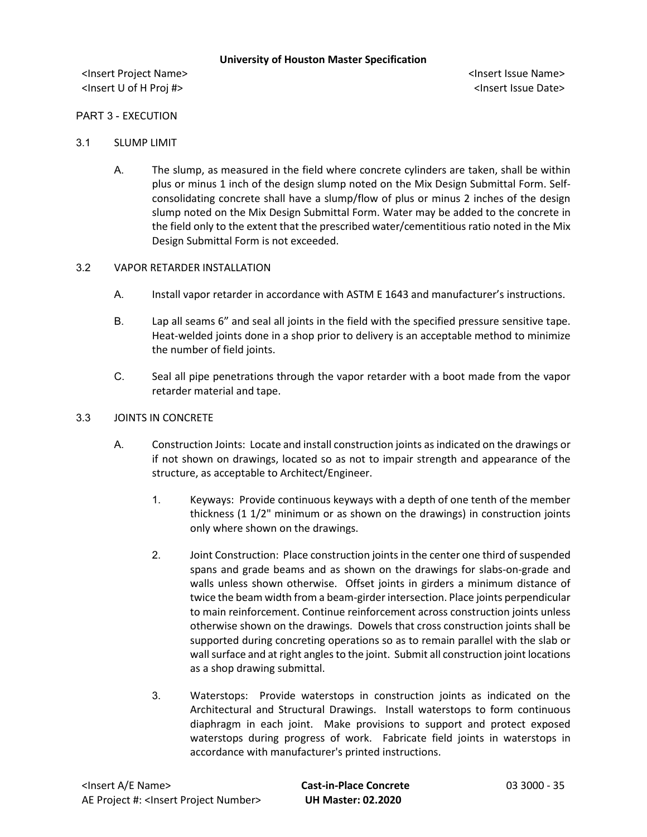<Insert Project Name> <Insert Issue Name> <Insert U of H Proj #> <Insert Issue Date>

### PART 3 - EXECUTION

- 3.1 SLUMP LIMIT
	- A. The slump, as measured in the field where concrete cylinders are taken, shall be within plus or minus 1 inch of the design slump noted on the Mix Design Submittal Form. Selfconsolidating concrete shall have a slump/flow of plus or minus 2 inches of the design slump noted on the Mix Design Submittal Form. Water may be added to the concrete in the field only to the extent that the prescribed water/cementitious ratio noted in the Mix Design Submittal Form is not exceeded.

### 3.2 VAPOR RETARDER INSTALLATION

- A. Install vapor retarder in accordance with ASTM E 1643 and manufacturer's instructions.
- B. Lap all seams 6" and seal all joints in the field with the specified pressure sensitive tape. Heat-welded joints done in a shop prior to delivery is an acceptable method to minimize the number of field joints.
- C. Seal all pipe penetrations through the vapor retarder with a boot made from the vapor retarder material and tape.
- 3.3 JOINTS IN CONCRETE
	- A. Construction Joints: Locate and install construction joints as indicated on the drawings or if not shown on drawings, located so as not to impair strength and appearance of the structure, as acceptable to Architect/Engineer.
		- 1. Keyways: Provide continuous keyways with a depth of one tenth of the member thickness (1 1/2" minimum or as shown on the drawings) in construction joints only where shown on the drawings.
		- 2. Joint Construction: Place construction joints in the center one third of suspended spans and grade beams and as shown on the drawings for slabs-on-grade and walls unless shown otherwise. Offset joints in girders a minimum distance of twice the beam width from a beam-girder intersection. Place joints perpendicular to main reinforcement. Continue reinforcement across construction joints unless otherwise shown on the drawings. Dowels that cross construction joints shall be supported during concreting operations so as to remain parallel with the slab or wall surface and at right angles to the joint. Submit all construction joint locations as a shop drawing submittal.
		- 3. Waterstops: Provide waterstops in construction joints as indicated on the Architectural and Structural Drawings. Install waterstops to form continuous diaphragm in each joint. Make provisions to support and protect exposed waterstops during progress of work. Fabricate field joints in waterstops in accordance with manufacturer's printed instructions.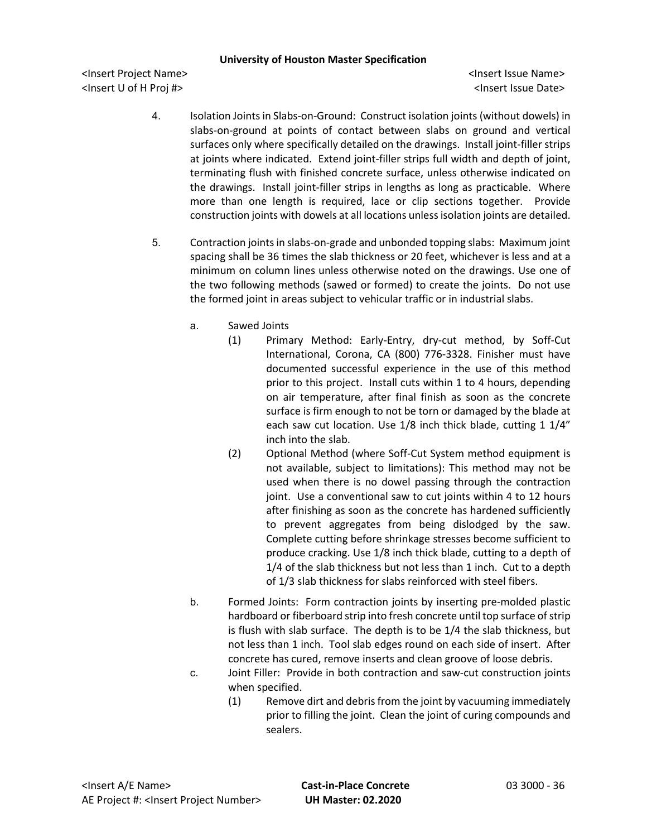- 4. Isolation Joints in Slabs-on-Ground: Construct isolation joints (without dowels) in slabs-on-ground at points of contact between slabs on ground and vertical surfaces only where specifically detailed on the drawings. Install joint-filler strips at joints where indicated. Extend joint-filler strips full width and depth of joint, terminating flush with finished concrete surface, unless otherwise indicated on the drawings. Install joint-filler strips in lengths as long as practicable. Where more than one length is required, lace or clip sections together. Provide construction joints with dowels at all locations unless isolation joints are detailed.
- 5. Contraction joints in slabs-on-grade and unbonded topping slabs: Maximum joint spacing shall be 36 times the slab thickness or 20 feet, whichever is less and at a minimum on column lines unless otherwise noted on the drawings. Use one of the two following methods (sawed or formed) to create the joints. Do not use the formed joint in areas subject to vehicular traffic or in industrial slabs.
	- a. Sawed Joints
		- (1) Primary Method: Early-Entry, dry-cut method, by Soff-Cut International, Corona, CA (800) 776-3328. Finisher must have documented successful experience in the use of this method prior to this project. Install cuts within 1 to 4 hours, depending on air temperature, after final finish as soon as the concrete surface is firm enough to not be torn or damaged by the blade at each saw cut location. Use 1/8 inch thick blade, cutting 1 1/4" inch into the slab.
		- (2) Optional Method (where Soff-Cut System method equipment is not available, subject to limitations): This method may not be used when there is no dowel passing through the contraction joint. Use a conventional saw to cut joints within 4 to 12 hours after finishing as soon as the concrete has hardened sufficiently to prevent aggregates from being dislodged by the saw. Complete cutting before shrinkage stresses become sufficient to produce cracking. Use 1/8 inch thick blade, cutting to a depth of 1/4 of the slab thickness but not less than 1 inch. Cut to a depth of 1/3 slab thickness for slabs reinforced with steel fibers.
	- b. Formed Joints: Form contraction joints by inserting pre-molded plastic hardboard or fiberboard strip into fresh concrete until top surface of strip is flush with slab surface. The depth is to be 1/4 the slab thickness, but not less than 1 inch. Tool slab edges round on each side of insert. After concrete has cured, remove inserts and clean groove of loose debris.
	- c. Joint Filler: Provide in both contraction and saw-cut construction joints when specified.
		- (1) Remove dirt and debris from the joint by vacuuming immediately prior to filling the joint. Clean the joint of curing compounds and sealers.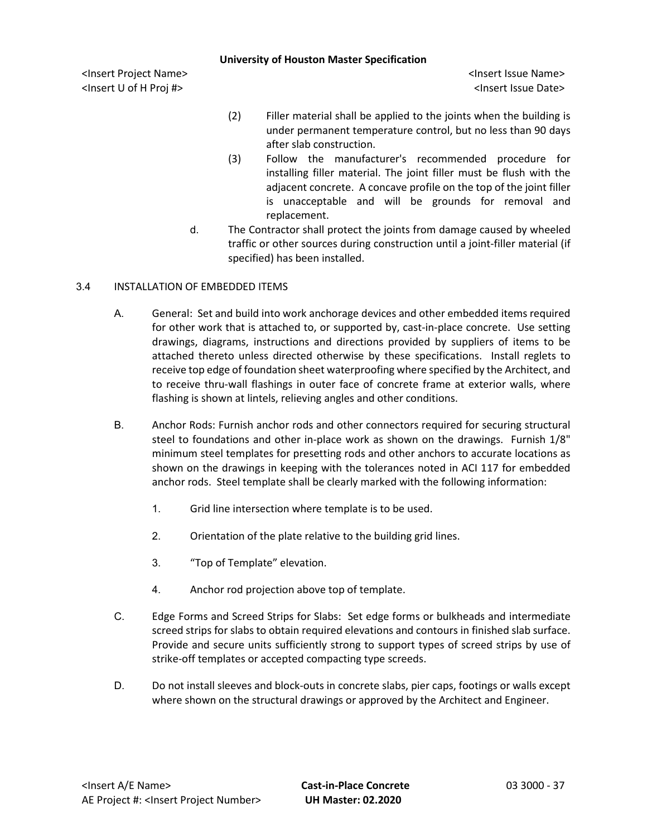<Insert Project Name> <Insert Issue Name> <Insert U of H Proj #> <Insert Issue Date>

- (2) Filler material shall be applied to the joints when the building is under permanent temperature control, but no less than 90 days after slab construction.
- (3) Follow the manufacturer's recommended procedure for installing filler material. The joint filler must be flush with the adjacent concrete. A concave profile on the top of the joint filler is unacceptable and will be grounds for removal and replacement.
- d. The Contractor shall protect the joints from damage caused by wheeled traffic or other sources during construction until a joint-filler material (if specified) has been installed.

# 3.4 INSTALLATION OF EMBEDDED ITEMS

- A. General: Set and build into work anchorage devices and other embedded items required for other work that is attached to, or supported by, cast-in-place concrete. Use setting drawings, diagrams, instructions and directions provided by suppliers of items to be attached thereto unless directed otherwise by these specifications. Install reglets to receive top edge of foundation sheet waterproofing where specified by the Architect, and to receive thru-wall flashings in outer face of concrete frame at exterior walls, where flashing is shown at lintels, relieving angles and other conditions.
- B. Anchor Rods: Furnish anchor rods and other connectors required for securing structural steel to foundations and other in-place work as shown on the drawings. Furnish 1/8" minimum steel templates for presetting rods and other anchors to accurate locations as shown on the drawings in keeping with the tolerances noted in ACI 117 for embedded anchor rods. Steel template shall be clearly marked with the following information:
	- 1. Grid line intersection where template is to be used.
	- 2. Orientation of the plate relative to the building grid lines.
	- 3. "Top of Template" elevation.
	- 4. Anchor rod projection above top of template.
- C. Edge Forms and Screed Strips for Slabs: Set edge forms or bulkheads and intermediate screed strips for slabs to obtain required elevations and contours in finished slab surface. Provide and secure units sufficiently strong to support types of screed strips by use of strike-off templates or accepted compacting type screeds.
- D. Do not install sleeves and block-outs in concrete slabs, pier caps, footings or walls except where shown on the structural drawings or approved by the Architect and Engineer.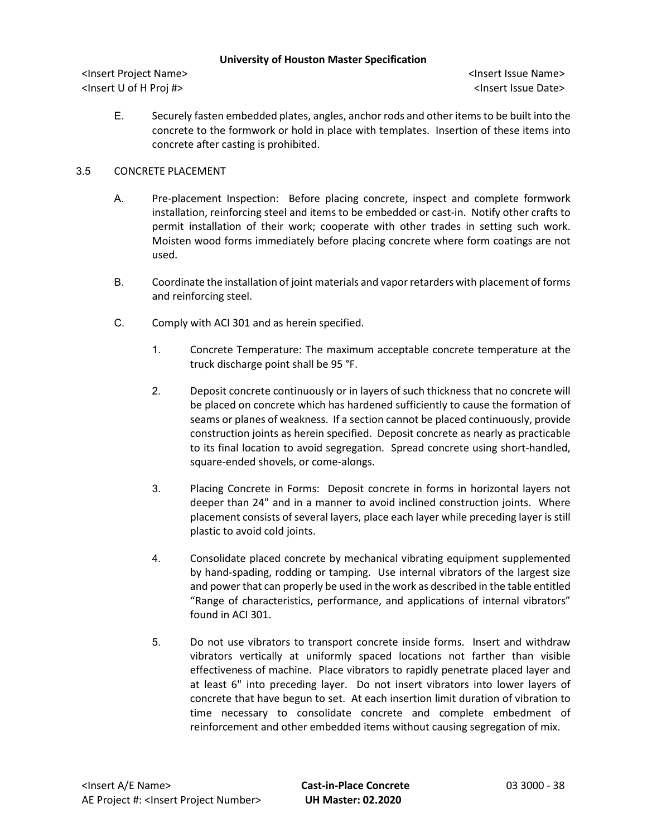<Insert Project Name> <Insert Issue Name> <Insert U of H Proj #> <Insert Issue Date>

E. Securely fasten embedded plates, angles, anchor rods and other items to be built into the concrete to the formwork or hold in place with templates. Insertion of these items into concrete after casting is prohibited.

# 3.5 CONCRETE PLACEMENT

- A. Pre-placement Inspection: Before placing concrete, inspect and complete formwork installation, reinforcing steel and items to be embedded or cast-in. Notify other crafts to permit installation of their work; cooperate with other trades in setting such work. Moisten wood forms immediately before placing concrete where form coatings are not used.
- B. Coordinate the installation of joint materials and vapor retarders with placement of forms and reinforcing steel.
- C. Comply with ACI 301 and as herein specified.
	- 1. Concrete Temperature: The maximum acceptable concrete temperature at the truck discharge point shall be 95 °F.
	- 2. Deposit concrete continuously or in layers of such thickness that no concrete will be placed on concrete which has hardened sufficiently to cause the formation of seams or planes of weakness. If a section cannot be placed continuously, provide construction joints as herein specified. Deposit concrete as nearly as practicable to its final location to avoid segregation. Spread concrete using short-handled, square-ended shovels, or come-alongs.
	- 3. Placing Concrete in Forms: Deposit concrete in forms in horizontal layers not deeper than 24" and in a manner to avoid inclined construction joints. Where placement consists of several layers, place each layer while preceding layer is still plastic to avoid cold joints.
	- 4. Consolidate placed concrete by mechanical vibrating equipment supplemented by hand-spading, rodding or tamping. Use internal vibrators of the largest size and power that can properly be used in the work as described in the table entitled "Range of characteristics, performance, and applications of internal vibrators" found in ACI 301.
	- 5. Do not use vibrators to transport concrete inside forms. Insert and withdraw vibrators vertically at uniformly spaced locations not farther than visible effectiveness of machine. Place vibrators to rapidly penetrate placed layer and at least 6" into preceding layer. Do not insert vibrators into lower layers of concrete that have begun to set. At each insertion limit duration of vibration to time necessary to consolidate concrete and complete embedment of reinforcement and other embedded items without causing segregation of mix.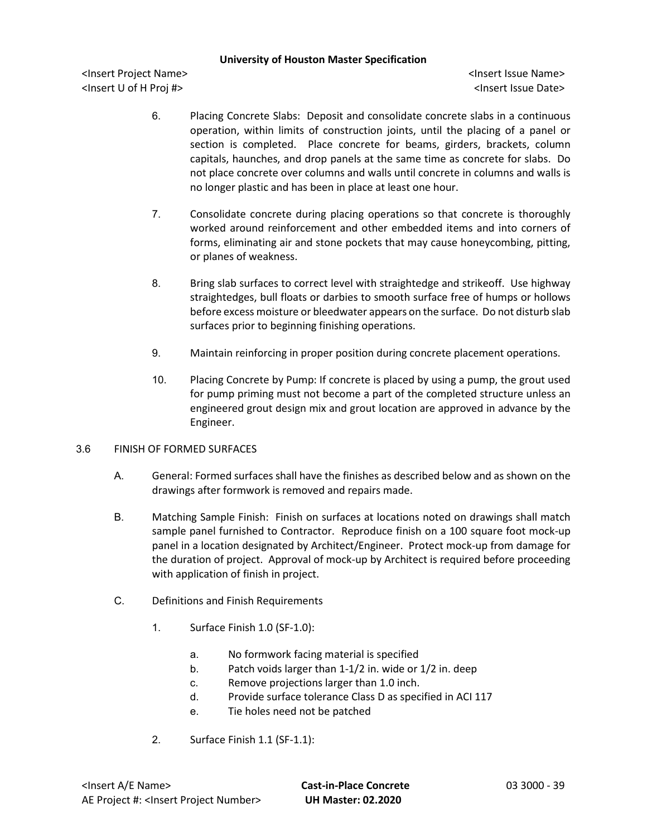<Insert Project Name> <Insert Issue Name> <Insert U of H Proj #> <Insert Issue Date>

- 6. Placing Concrete Slabs: Deposit and consolidate concrete slabs in a continuous operation, within limits of construction joints, until the placing of a panel or section is completed. Place concrete for beams, girders, brackets, column capitals, haunches, and drop panels at the same time as concrete for slabs. Do not place concrete over columns and walls until concrete in columns and walls is no longer plastic and has been in place at least one hour.
- 7. Consolidate concrete during placing operations so that concrete is thoroughly worked around reinforcement and other embedded items and into corners of forms, eliminating air and stone pockets that may cause honeycombing, pitting, or planes of weakness.
- 8. Bring slab surfaces to correct level with straightedge and strikeoff. Use highway straightedges, bull floats or darbies to smooth surface free of humps or hollows before excess moisture or bleedwater appears on the surface. Do not disturb slab surfaces prior to beginning finishing operations.
- 9. Maintain reinforcing in proper position during concrete placement operations.
- 10. Placing Concrete by Pump: If concrete is placed by using a pump, the grout used for pump priming must not become a part of the completed structure unless an engineered grout design mix and grout location are approved in advance by the Engineer.

## 3.6 FINISH OF FORMED SURFACES

- A. General: Formed surfaces shall have the finishes as described below and as shown on the drawings after formwork is removed and repairs made.
- B. Matching Sample Finish: Finish on surfaces at locations noted on drawings shall match sample panel furnished to Contractor. Reproduce finish on a 100 square foot mock-up panel in a location designated by Architect/Engineer. Protect mock-up from damage for the duration of project. Approval of mock-up by Architect is required before proceeding with application of finish in project.
- C. Definitions and Finish Requirements
	- 1. Surface Finish 1.0 (SF-1.0):
		- a. No formwork facing material is specified
		- b. Patch voids larger than 1-1/2 in. wide or 1/2 in. deep
		- c. Remove projections larger than 1.0 inch.
		- d. Provide surface tolerance Class D as specified in ACI 117
		- e. Tie holes need not be patched
	- 2. Surface Finish 1.1 (SF-1.1):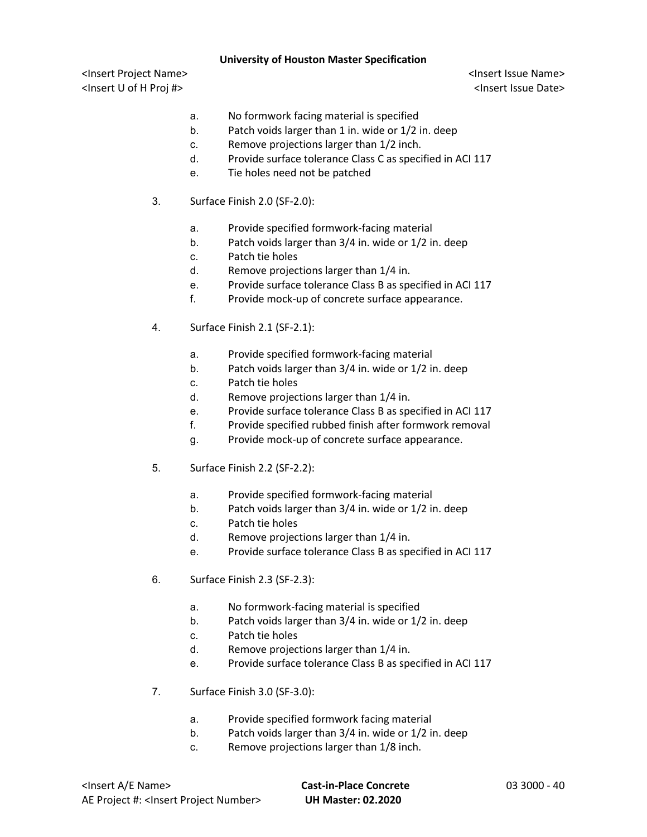- a. No formwork facing material is specified
- b. Patch voids larger than 1 in. wide or 1/2 in. deep
- c. Remove projections larger than 1/2 inch.
- d. Provide surface tolerance Class C as specified in ACI 117
- e. Tie holes need not be patched
- 3. Surface Finish 2.0 (SF-2.0):
	- a. Provide specified formwork-facing material
	- b. Patch voids larger than 3/4 in. wide or 1/2 in. deep
	- c. Patch tie holes
	- d. Remove projections larger than 1/4 in.
	- e. Provide surface tolerance Class B as specified in ACI 117
	- f. Provide mock-up of concrete surface appearance.
- 4. Surface Finish 2.1 (SF-2.1):
	- a. Provide specified formwork-facing material
	- b. Patch voids larger than 3/4 in. wide or 1/2 in. deep
	- c. Patch tie holes
	- d. Remove projections larger than 1/4 in.
	- e. Provide surface tolerance Class B as specified in ACI 117
	- f. Provide specified rubbed finish after formwork removal
	- g. Provide mock-up of concrete surface appearance.
- 5. Surface Finish 2.2 (SF-2.2):
	- a. Provide specified formwork-facing material
	- b. Patch voids larger than 3/4 in. wide or 1/2 in. deep
	- c. Patch tie holes
	- d. Remove projections larger than 1/4 in.
	- e. Provide surface tolerance Class B as specified in ACI 117
- 6. Surface Finish 2.3 (SF-2.3):
	- a. No formwork-facing material is specified
	- b. Patch voids larger than 3/4 in. wide or 1/2 in. deep
	- c. Patch tie holes
	- d. Remove projections larger than 1/4 in.
	- e. Provide surface tolerance Class B as specified in ACI 117
- 7. Surface Finish 3.0 (SF-3.0):
	- a. Provide specified formwork facing material
	- b. Patch voids larger than 3/4 in. wide or 1/2 in. deep
	- c. Remove projections larger than 1/8 inch.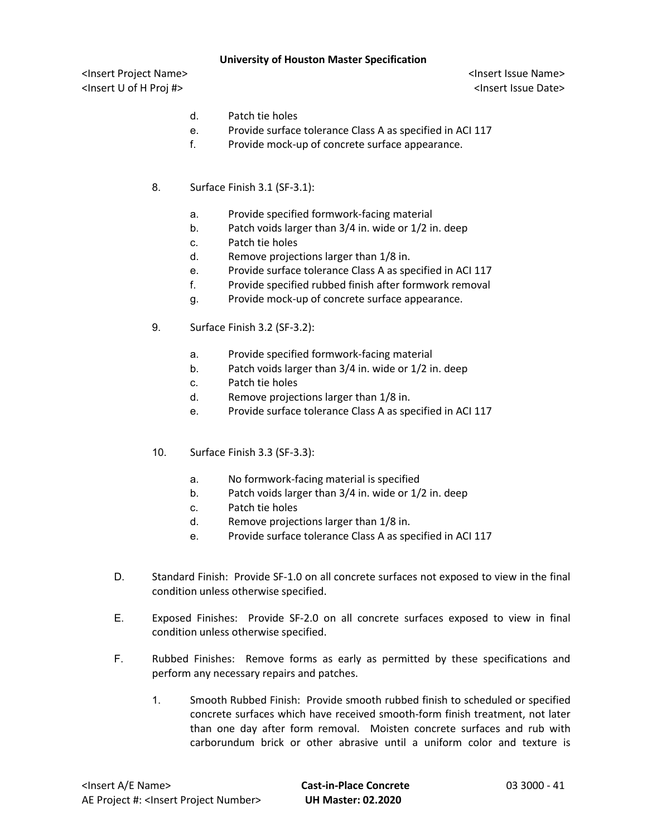- d. Patch tie holes
- e. Provide surface tolerance Class A as specified in ACI 117
- f. Provide mock-up of concrete surface appearance.
- 8. Surface Finish 3.1 (SF-3.1):
	- a. Provide specified formwork-facing material
	- b. Patch voids larger than 3/4 in. wide or 1/2 in. deep
	- c. Patch tie holes
	- d. Remove projections larger than 1/8 in.
	- e. Provide surface tolerance Class A as specified in ACI 117
	- f. Provide specified rubbed finish after formwork removal
	- g. Provide mock-up of concrete surface appearance.
- 9. Surface Finish 3.2 (SF-3.2):
	- a. Provide specified formwork-facing material
	- b. Patch voids larger than 3/4 in. wide or 1/2 in. deep
	- c. Patch tie holes
	- d. Remove projections larger than 1/8 in.
	- e. Provide surface tolerance Class A as specified in ACI 117
- 10. Surface Finish 3.3 (SF-3.3):
	- a. No formwork-facing material is specified
	- b. Patch voids larger than 3/4 in. wide or 1/2 in. deep
	- c. Patch tie holes
	- d. Remove projections larger than 1/8 in.
	- e. Provide surface tolerance Class A as specified in ACI 117
- D. Standard Finish: Provide SF-1.0 on all concrete surfaces not exposed to view in the final condition unless otherwise specified.
- E. Exposed Finishes: Provide SF-2.0 on all concrete surfaces exposed to view in final condition unless otherwise specified.
- F. Rubbed Finishes: Remove forms as early as permitted by these specifications and perform any necessary repairs and patches.
	- 1. Smooth Rubbed Finish: Provide smooth rubbed finish to scheduled or specified concrete surfaces which have received smooth-form finish treatment, not later than one day after form removal. Moisten concrete surfaces and rub with carborundum brick or other abrasive until a uniform color and texture is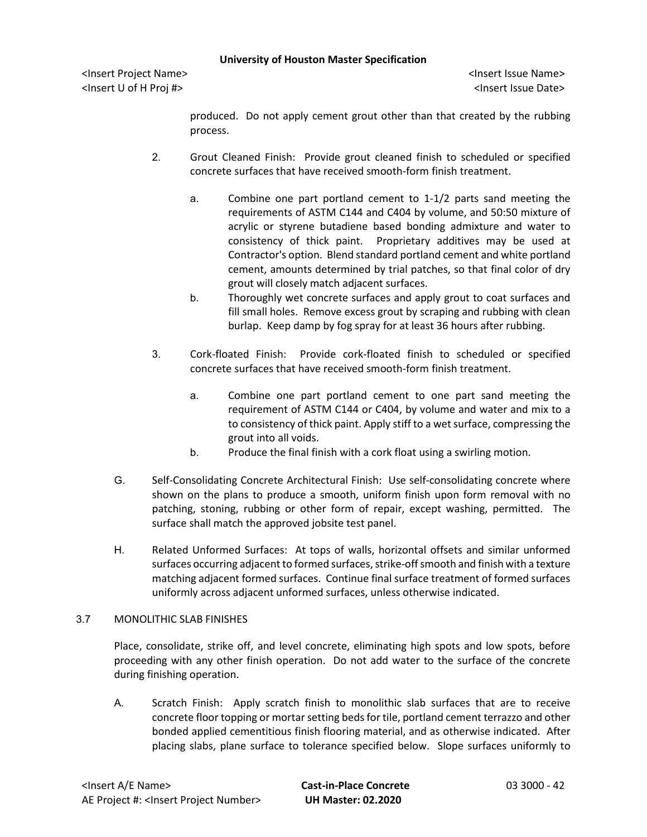<Insert Project Name> <Insert Issue Name> <Insert U of H Proj #> <Insert Issue Date>

produced. Do not apply cement grout other than that created by the rubbing process.

- 2. Grout Cleaned Finish: Provide grout cleaned finish to scheduled or specified concrete surfaces that have received smooth-form finish treatment.
	- a. Combine one part portland cement to 1-1/2 parts sand meeting the requirements of ASTM C144 and C404 by volume, and 50:50 mixture of acrylic or styrene butadiene based bonding admixture and water to consistency of thick paint. Proprietary additives may be used at Contractor's option. Blend standard portland cement and white portland cement, amounts determined by trial patches, so that final color of dry grout will closely match adjacent surfaces.
	- b. Thoroughly wet concrete surfaces and apply grout to coat surfaces and fill small holes. Remove excess grout by scraping and rubbing with clean burlap. Keep damp by fog spray for at least 36 hours after rubbing.
- 3. Cork-floated Finish: Provide cork-floated finish to scheduled or specified concrete surfaces that have received smooth-form finish treatment.
	- a. Combine one part portland cement to one part sand meeting the requirement of ASTM C144 or C404, by volume and water and mix to a to consistency of thick paint. Apply stiff to a wet surface, compressing the grout into all voids.
	- b. Produce the final finish with a cork float using a swirling motion.
- G. Self-Consolidating Concrete Architectural Finish: Use self-consolidating concrete where shown on the plans to produce a smooth, uniform finish upon form removal with no patching, stoning, rubbing or other form of repair, except washing, permitted. The surface shall match the approved jobsite test panel.
- H. Related Unformed Surfaces: At tops of walls, horizontal offsets and similar unformed surfaces occurring adjacent to formed surfaces, strike-off smooth and finish with a texture matching adjacent formed surfaces. Continue final surface treatment of formed surfaces uniformly across adjacent unformed surfaces, unless otherwise indicated.

## 3.7 MONOLITHIC SLAB FINISHES

Place, consolidate, strike off, and level concrete, eliminating high spots and low spots, before proceeding with any other finish operation. Do not add water to the surface of the concrete during finishing operation.

A. Scratch Finish: Apply scratch finish to monolithic slab surfaces that are to receive concrete floor topping or mortar setting beds for tile, portland cement terrazzo and other bonded applied cementitious finish flooring material, and as otherwise indicated. After placing slabs, plane surface to tolerance specified below. Slope surfaces uniformly to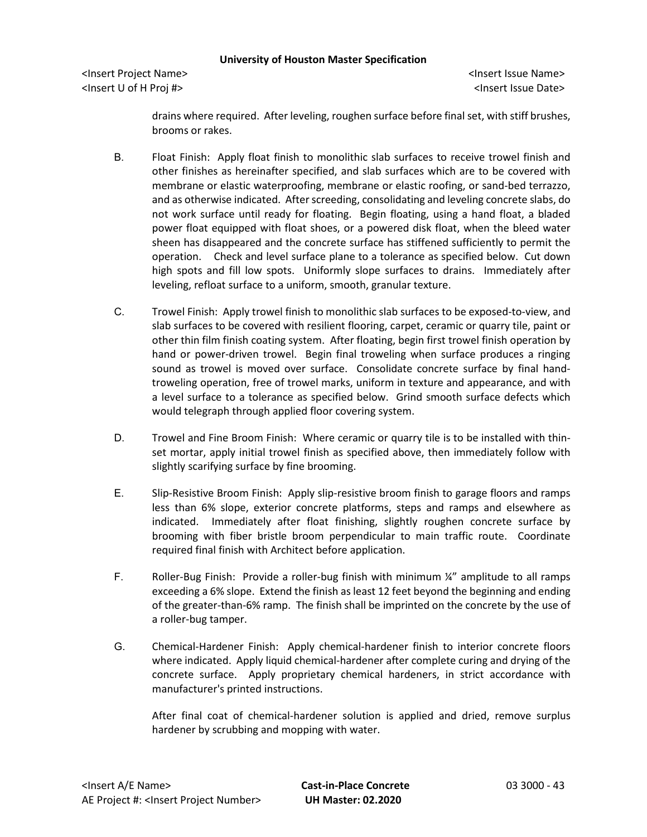<Insert Project Name> <Insert Issue Name> <Insert U of H Proj #> <Insert Issue Date>

drains where required. After leveling, roughen surface before final set, with stiff brushes, brooms or rakes.

- B. Float Finish: Apply float finish to monolithic slab surfaces to receive trowel finish and other finishes as hereinafter specified, and slab surfaces which are to be covered with membrane or elastic waterproofing, membrane or elastic roofing, or sand-bed terrazzo, and as otherwise indicated. After screeding, consolidating and leveling concrete slabs, do not work surface until ready for floating. Begin floating, using a hand float, a bladed power float equipped with float shoes, or a powered disk float, when the bleed water sheen has disappeared and the concrete surface has stiffened sufficiently to permit the operation. Check and level surface plane to a tolerance as specified below. Cut down high spots and fill low spots. Uniformly slope surfaces to drains. Immediately after leveling, refloat surface to a uniform, smooth, granular texture.
- C. Trowel Finish: Apply trowel finish to monolithic slab surfaces to be exposed-to-view, and slab surfaces to be covered with resilient flooring, carpet, ceramic or quarry tile, paint or other thin film finish coating system. After floating, begin first trowel finish operation by hand or power-driven trowel. Begin final troweling when surface produces a ringing sound as trowel is moved over surface. Consolidate concrete surface by final handtroweling operation, free of trowel marks, uniform in texture and appearance, and with a level surface to a tolerance as specified below. Grind smooth surface defects which would telegraph through applied floor covering system.
- D. Trowel and Fine Broom Finish: Where ceramic or quarry tile is to be installed with thinset mortar, apply initial trowel finish as specified above, then immediately follow with slightly scarifying surface by fine brooming.
- E. Slip-Resistive Broom Finish: Apply slip-resistive broom finish to garage floors and ramps less than 6% slope, exterior concrete platforms, steps and ramps and elsewhere as indicated. Immediately after float finishing, slightly roughen concrete surface by brooming with fiber bristle broom perpendicular to main traffic route. Coordinate required final finish with Architect before application.
- F. Roller-Bug Finish: Provide a roller-bug finish with minimum ¼" amplitude to all ramps exceeding a 6% slope. Extend the finish as least 12 feet beyond the beginning and ending of the greater-than-6% ramp. The finish shall be imprinted on the concrete by the use of a roller-bug tamper.
- G. Chemical-Hardener Finish: Apply chemical-hardener finish to interior concrete floors where indicated. Apply liquid chemical-hardener after complete curing and drying of the concrete surface. Apply proprietary chemical hardeners, in strict accordance with manufacturer's printed instructions.

After final coat of chemical-hardener solution is applied and dried, remove surplus hardener by scrubbing and mopping with water.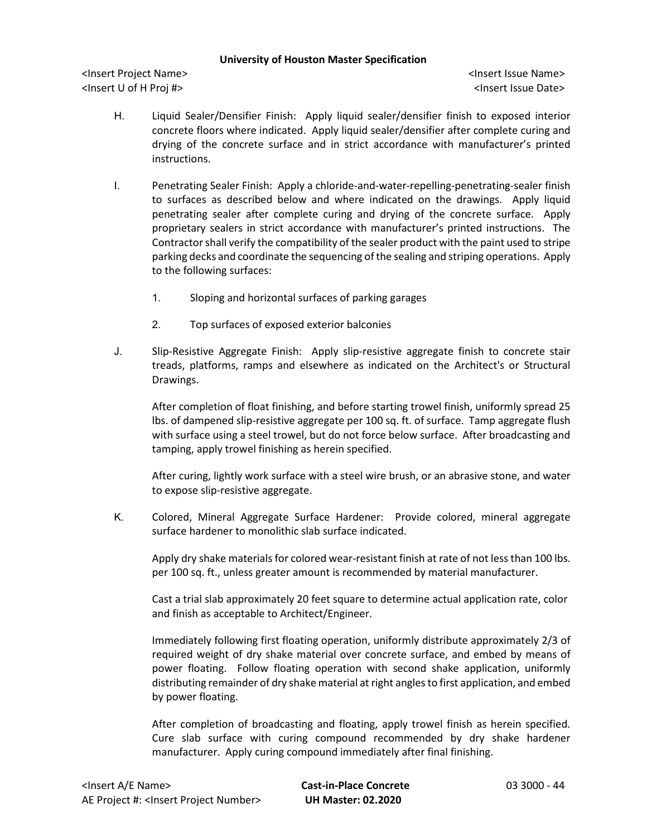<Insert Project Name> <Insert Issue Name> <Insert U of H Proj #> <Insert Issue Date>

- H. Liquid Sealer/Densifier Finish: Apply liquid sealer/densifier finish to exposed interior concrete floors where indicated. Apply liquid sealer/densifier after complete curing and drying of the concrete surface and in strict accordance with manufacturer's printed instructions.
- I. Penetrating Sealer Finish: Apply a chloride-and-water-repelling-penetrating-sealer finish to surfaces as described below and where indicated on the drawings. Apply liquid penetrating sealer after complete curing and drying of the concrete surface. Apply proprietary sealers in strict accordance with manufacturer's printed instructions. The Contractor shall verify the compatibility of the sealer product with the paint used to stripe parking decks and coordinate the sequencing of the sealing and striping operations. Apply to the following surfaces:
	- 1. Sloping and horizontal surfaces of parking garages
	- 2. Top surfaces of exposed exterior balconies
- J. Slip-Resistive Aggregate Finish: Apply slip-resistive aggregate finish to concrete stair treads, platforms, ramps and elsewhere as indicated on the Architect's or Structural Drawings.

After completion of float finishing, and before starting trowel finish, uniformly spread 25 lbs. of dampened slip-resistive aggregate per 100 sq. ft. of surface. Tamp aggregate flush with surface using a steel trowel, but do not force below surface. After broadcasting and tamping, apply trowel finishing as herein specified.

After curing, lightly work surface with a steel wire brush, or an abrasive stone, and water to expose slip-resistive aggregate.

K. Colored, Mineral Aggregate Surface Hardener: Provide colored, mineral aggregate surface hardener to monolithic slab surface indicated.

Apply dry shake materials for colored wear-resistant finish at rate of not less than 100 lbs. per 100 sq. ft., unless greater amount is recommended by material manufacturer.

Cast a trial slab approximately 20 feet square to determine actual application rate, color and finish as acceptable to Architect/Engineer.

Immediately following first floating operation, uniformly distribute approximately 2/3 of required weight of dry shake material over concrete surface, and embed by means of power floating. Follow floating operation with second shake application, uniformly distributing remainder of dry shake material at right angles to first application, and embed by power floating.

After completion of broadcasting and floating, apply trowel finish as herein specified. Cure slab surface with curing compound recommended by dry shake hardener manufacturer. Apply curing compound immediately after final finishing.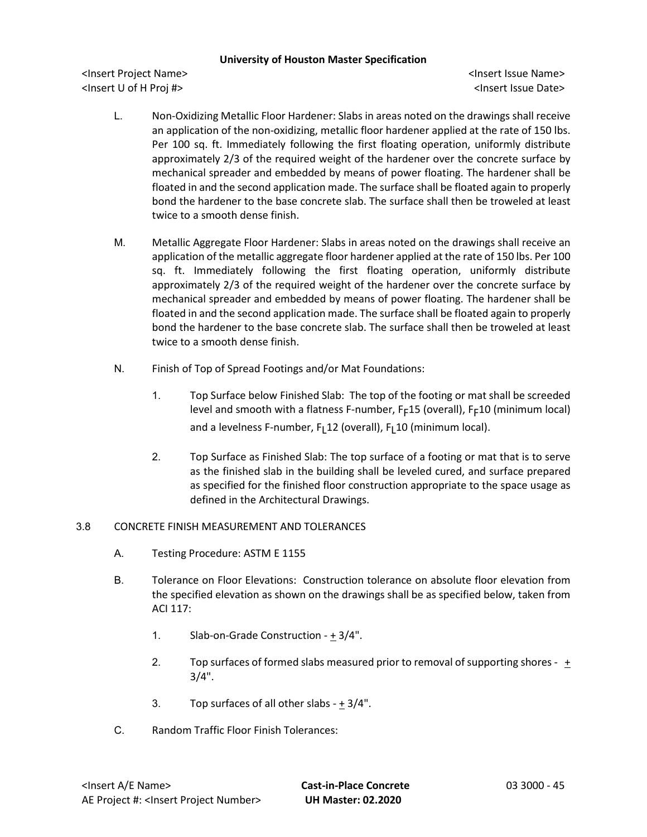<Insert Project Name> <Insert Issue Name> <Insert U of H Proj #> <Insert Issue Date>

- L. Non-Oxidizing Metallic Floor Hardener: Slabs in areas noted on the drawings shall receive an application of the non-oxidizing, metallic floor hardener applied at the rate of 150 lbs. Per 100 sq. ft. Immediately following the first floating operation, uniformly distribute approximately 2/3 of the required weight of the hardener over the concrete surface by mechanical spreader and embedded by means of power floating. The hardener shall be floated in and the second application made. The surface shall be floated again to properly bond the hardener to the base concrete slab. The surface shall then be troweled at least twice to a smooth dense finish.
- M. Metallic Aggregate Floor Hardener: Slabs in areas noted on the drawings shall receive an application of the metallic aggregate floor hardener applied at the rate of 150 lbs. Per 100 sq. ft. Immediately following the first floating operation, uniformly distribute approximately 2/3 of the required weight of the hardener over the concrete surface by mechanical spreader and embedded by means of power floating. The hardener shall be floated in and the second application made. The surface shall be floated again to properly bond the hardener to the base concrete slab. The surface shall then be troweled at least twice to a smooth dense finish.
- N. Finish of Top of Spread Footings and/or Mat Foundations:
	- 1. Top Surface below Finished Slab: The top of the footing or mat shall be screeded level and smooth with a flatness F-number,  $F_F15$  (overall),  $F_F10$  (minimum local) and a levelness F-number,  $F_1$ 12 (overall),  $F_1$ 10 (minimum local).
	- 2. Top Surface as Finished Slab: The top surface of a footing or mat that is to serve as the finished slab in the building shall be leveled cured, and surface prepared as specified for the finished floor construction appropriate to the space usage as defined in the Architectural Drawings.

## 3.8 CONCRETE FINISH MEASUREMENT AND TOLERANCES

- A. Testing Procedure: ASTM E 1155
- B. Tolerance on Floor Elevations: Construction tolerance on absolute floor elevation from the specified elevation as shown on the drawings shall be as specified below, taken from ACI 117:
	- 1. Slab-on-Grade Construction  $\pm$  3/4".
	- 2. Top surfaces of formed slabs measured prior to removal of supporting shores + 3/4".
	- 3. Top surfaces of all other slabs  $+ 3/4$ ".
- C. Random Traffic Floor Finish Tolerances: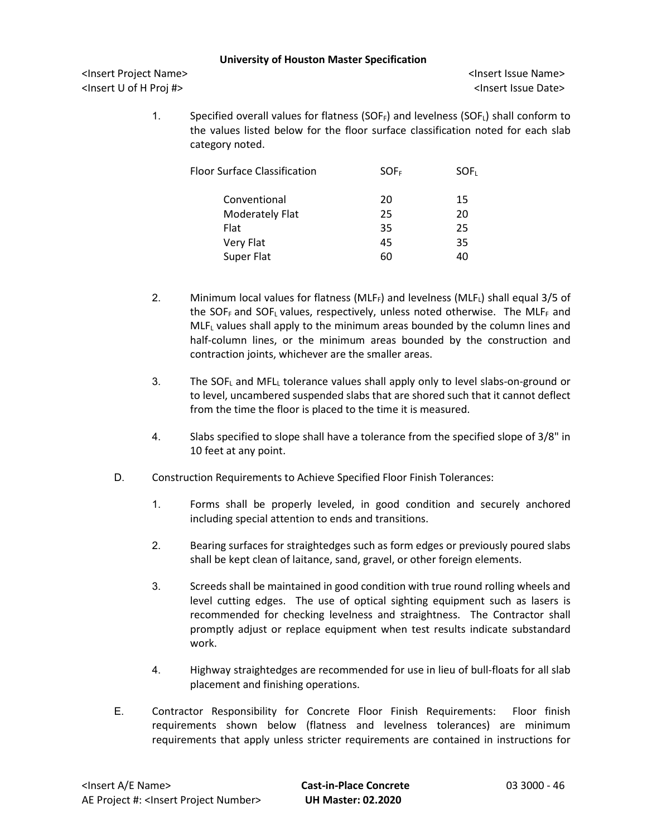<Insert Project Name> <Insert Issue Name> <Insert U of H Proj #> <Insert Issue Date>

1. Specified overall values for flatness (SOF $_F$ ) and levelness (SOF $_L$ ) shall conform to the values listed below for the floor surface classification noted for each slab category noted.

| Floor Surface Classification | SOF <sub>F</sub> | SOF <sub>L</sub> |
|------------------------------|------------------|------------------|
| Conventional                 | 20               | 15               |
| <b>Moderately Flat</b>       | 25               | 20               |
| Flat                         | 35               | 25               |
| Very Flat                    | 45               | 35               |
| Super Flat                   | 60               | 40               |
|                              |                  |                  |

- 2. Minimum local values for flatness (MLF $_F$ ) and levelness (MLF $_L$ ) shall equal 3/5 of the SOF<sub>F</sub> and SOF<sub>L</sub> values, respectively, unless noted otherwise. The MLF<sub>F</sub> and MLFL values shall apply to the minimum areas bounded by the column lines and half-column lines, or the minimum areas bounded by the construction and contraction joints, whichever are the smaller areas.
- 3. The SOFL and MFLL tolerance values shall apply only to level slabs-on-ground or to level, uncambered suspended slabs that are shored such that it cannot deflect from the time the floor is placed to the time it is measured.
- 4. Slabs specified to slope shall have a tolerance from the specified slope of 3/8" in 10 feet at any point.
- D. Construction Requirements to Achieve Specified Floor Finish Tolerances:
	- 1. Forms shall be properly leveled, in good condition and securely anchored including special attention to ends and transitions.
	- 2. Bearing surfaces for straightedges such as form edges or previously poured slabs shall be kept clean of laitance, sand, gravel, or other foreign elements.
	- 3. Screeds shall be maintained in good condition with true round rolling wheels and level cutting edges. The use of optical sighting equipment such as lasers is recommended for checking levelness and straightness. The Contractor shall promptly adjust or replace equipment when test results indicate substandard work.
	- 4. Highway straightedges are recommended for use in lieu of bull-floats for all slab placement and finishing operations.
- E. Contractor Responsibility for Concrete Floor Finish Requirements: Floor finish requirements shown below (flatness and levelness tolerances) are minimum requirements that apply unless stricter requirements are contained in instructions for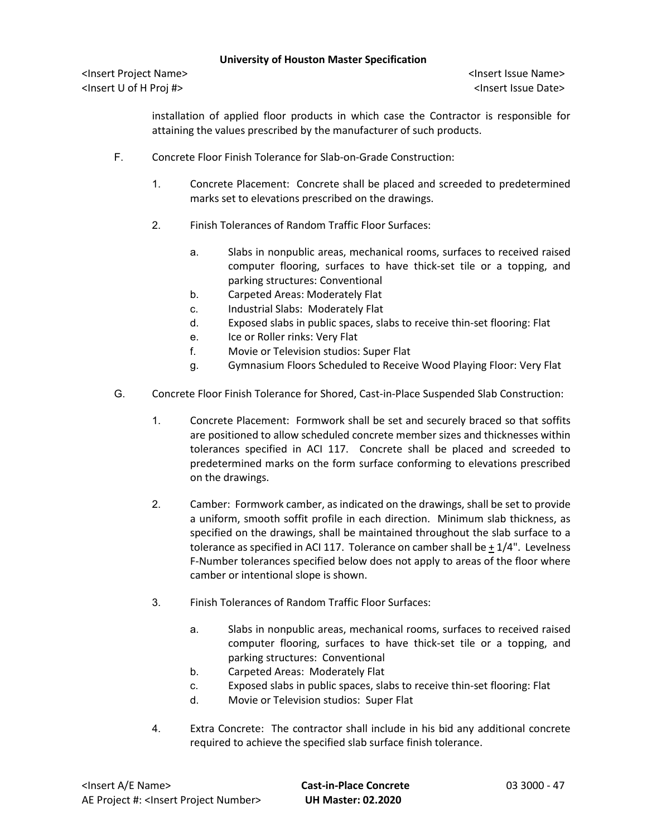<Insert Project Name> <Insert Issue Name> <Insert U of H Proj #> <Insert Issue Date>

installation of applied floor products in which case the Contractor is responsible for attaining the values prescribed by the manufacturer of such products.

- F. Concrete Floor Finish Tolerance for Slab-on-Grade Construction:
	- 1. Concrete Placement: Concrete shall be placed and screeded to predetermined marks set to elevations prescribed on the drawings.
	- 2. Finish Tolerances of Random Traffic Floor Surfaces:
		- a. Slabs in nonpublic areas, mechanical rooms, surfaces to received raised computer flooring, surfaces to have thick-set tile or a topping, and parking structures: Conventional
		- b. Carpeted Areas: Moderately Flat
		- c. Industrial Slabs: Moderately Flat
		- d. Exposed slabs in public spaces, slabs to receive thin-set flooring: Flat
		- e. Ice or Roller rinks: Very Flat
		- f. Movie or Television studios: Super Flat
		- g. Gymnasium Floors Scheduled to Receive Wood Playing Floor: Very Flat
- G. Concrete Floor Finish Tolerance for Shored, Cast-in-Place Suspended Slab Construction:
	- 1. Concrete Placement: Formwork shall be set and securely braced so that soffits are positioned to allow scheduled concrete member sizes and thicknesses within tolerances specified in ACI 117. Concrete shall be placed and screeded to predetermined marks on the form surface conforming to elevations prescribed on the drawings.
	- 2. Camber: Formwork camber, as indicated on the drawings, shall be set to provide a uniform, smooth soffit profile in each direction. Minimum slab thickness, as specified on the drawings, shall be maintained throughout the slab surface to a tolerance as specified in ACI 117. Tolerance on camber shall be + 1/4". Levelness F-Number tolerances specified below does not apply to areas of the floor where camber or intentional slope is shown.
	- 3. Finish Tolerances of Random Traffic Floor Surfaces:
		- a. Slabs in nonpublic areas, mechanical rooms, surfaces to received raised computer flooring, surfaces to have thick-set tile or a topping, and parking structures: Conventional
		- b. Carpeted Areas: Moderately Flat
		- c. Exposed slabs in public spaces, slabs to receive thin-set flooring: Flat
		- d. Movie or Television studios: Super Flat
	- 4. Extra Concrete: The contractor shall include in his bid any additional concrete required to achieve the specified slab surface finish tolerance.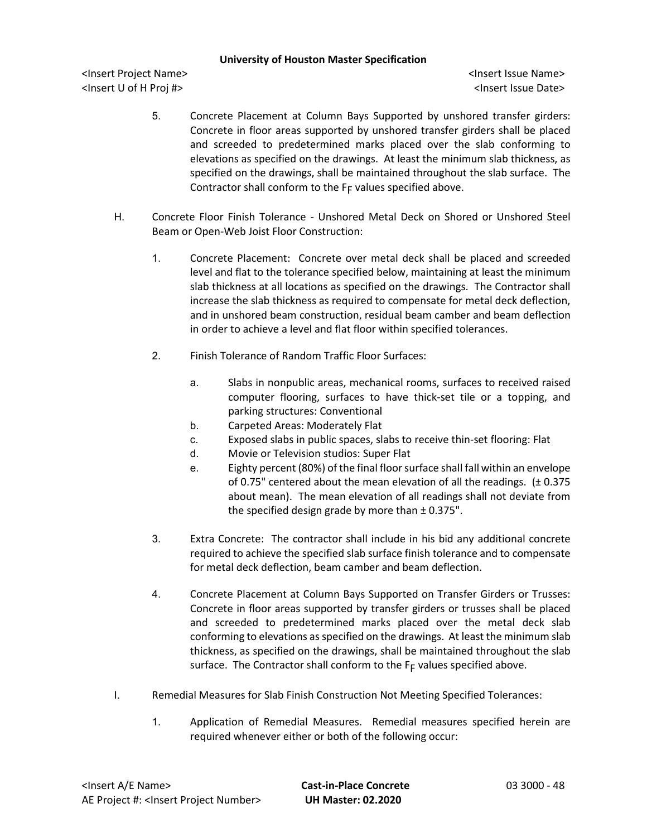- 5. Concrete Placement at Column Bays Supported by unshored transfer girders: Concrete in floor areas supported by unshored transfer girders shall be placed and screeded to predetermined marks placed over the slab conforming to elevations as specified on the drawings. At least the minimum slab thickness, as specified on the drawings, shall be maintained throughout the slab surface. The Contractor shall conform to the  $F_F$  values specified above.
- H. Concrete Floor Finish Tolerance Unshored Metal Deck on Shored or Unshored Steel Beam or Open-Web Joist Floor Construction:
	- 1. Concrete Placement: Concrete over metal deck shall be placed and screeded level and flat to the tolerance specified below, maintaining at least the minimum slab thickness at all locations as specified on the drawings. The Contractor shall increase the slab thickness as required to compensate for metal deck deflection, and in unshored beam construction, residual beam camber and beam deflection in order to achieve a level and flat floor within specified tolerances.
	- 2. Finish Tolerance of Random Traffic Floor Surfaces:
		- a. Slabs in nonpublic areas, mechanical rooms, surfaces to received raised computer flooring, surfaces to have thick-set tile or a topping, and parking structures: Conventional
		- b. Carpeted Areas: Moderately Flat
		- c. Exposed slabs in public spaces, slabs to receive thin-set flooring: Flat
		- d. Movie or Television studios: Super Flat
		- e. Eighty percent (80%) of the final floor surface shall fall within an envelope of 0.75" centered about the mean elevation of all the readings. (± 0.375 about mean). The mean elevation of all readings shall not deviate from the specified design grade by more than  $\pm$  0.375".
	- 3. Extra Concrete: The contractor shall include in his bid any additional concrete required to achieve the specified slab surface finish tolerance and to compensate for metal deck deflection, beam camber and beam deflection.
	- 4. Concrete Placement at Column Bays Supported on Transfer Girders or Trusses: Concrete in floor areas supported by transfer girders or trusses shall be placed and screeded to predetermined marks placed over the metal deck slab conforming to elevations as specified on the drawings. At least the minimum slab thickness, as specified on the drawings, shall be maintained throughout the slab surface. The Contractor shall conform to the  $F_F$  values specified above.
- I. Remedial Measures for Slab Finish Construction Not Meeting Specified Tolerances:
	- 1. Application of Remedial Measures. Remedial measures specified herein are required whenever either or both of the following occur: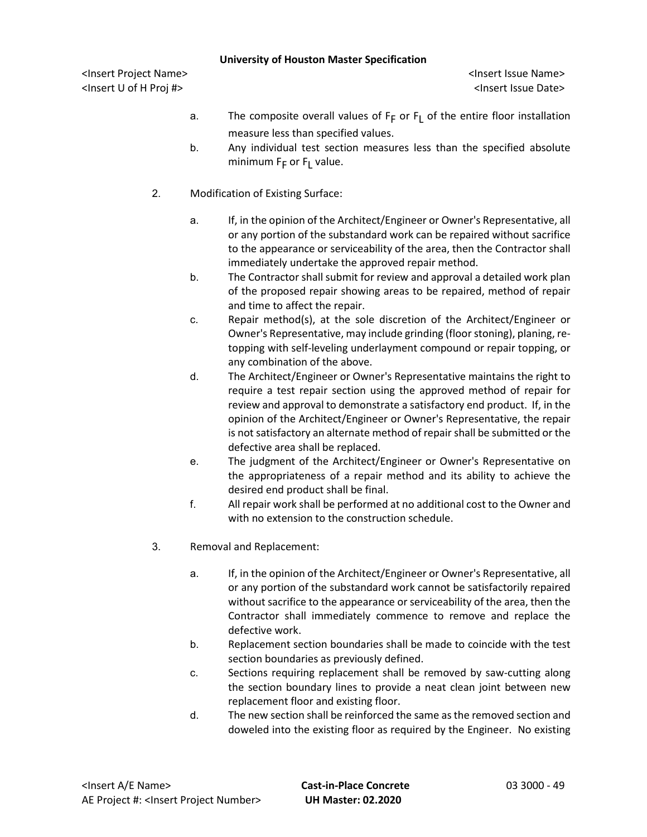- a. The composite overall values of  $F_F$  or  $F_I$  of the entire floor installation measure less than specified values.
- b. Any individual test section measures less than the specified absolute minimum  $F_F$  or  $F_L$  value.
- 2. Modification of Existing Surface:
	- a. If, in the opinion of the Architect/Engineer or Owner's Representative, all or any portion of the substandard work can be repaired without sacrifice to the appearance or serviceability of the area, then the Contractor shall immediately undertake the approved repair method.
	- b. The Contractor shall submit for review and approval a detailed work plan of the proposed repair showing areas to be repaired, method of repair and time to affect the repair.
	- c. Repair method(s), at the sole discretion of the Architect/Engineer or Owner's Representative, may include grinding (floor stoning), planing, retopping with self-leveling underlayment compound or repair topping, or any combination of the above.
	- d. The Architect/Engineer or Owner's Representative maintains the right to require a test repair section using the approved method of repair for review and approval to demonstrate a satisfactory end product. If, in the opinion of the Architect/Engineer or Owner's Representative, the repair is not satisfactory an alternate method of repair shall be submitted or the defective area shall be replaced.
	- e. The judgment of the Architect/Engineer or Owner's Representative on the appropriateness of a repair method and its ability to achieve the desired end product shall be final.
	- f. All repair work shall be performed at no additional cost to the Owner and with no extension to the construction schedule.
- 3. Removal and Replacement:
	- a. If, in the opinion of the Architect/Engineer or Owner's Representative, all or any portion of the substandard work cannot be satisfactorily repaired without sacrifice to the appearance or serviceability of the area, then the Contractor shall immediately commence to remove and replace the defective work.
	- b. Replacement section boundaries shall be made to coincide with the test section boundaries as previously defined.
	- c. Sections requiring replacement shall be removed by saw-cutting along the section boundary lines to provide a neat clean joint between new replacement floor and existing floor.
	- d. The new section shall be reinforced the same as the removed section and doweled into the existing floor as required by the Engineer. No existing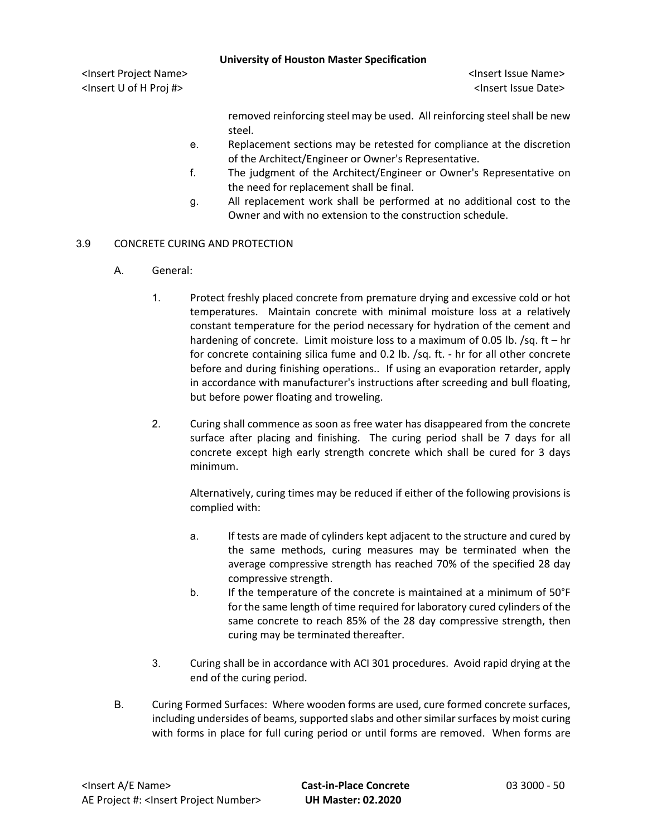|                                                                                         |    | <b>University of Houston Master Specification</b>                                   |
|-----------------------------------------------------------------------------------------|----|-------------------------------------------------------------------------------------|
| <insert name="" project=""><br/><lnsert #="" h="" of="" proj="" u=""></lnsert></insert> |    | <lnsert issue="" name=""><br/><lnsert date="" issue=""></lnsert></lnsert>           |
|                                                                                         |    | removed reinforcing steel may be used. All reinforcing steel shall be new<br>steel. |
|                                                                                         | е. | Replacement sections may be retested for compliance at the discretion               |

- e. Replacement sections may be retested for compliance at the discretion of the Architect/Engineer or Owner's Representative.
- f. The judgment of the Architect/Engineer or Owner's Representative on the need for replacement shall be final.
- g. All replacement work shall be performed at no additional cost to the Owner and with no extension to the construction schedule.

# 3.9 CONCRETE CURING AND PROTECTION

- A. General:
	- 1. Protect freshly placed concrete from premature drying and excessive cold or hot temperatures. Maintain concrete with minimal moisture loss at a relatively constant temperature for the period necessary for hydration of the cement and hardening of concrete. Limit moisture loss to a maximum of 0.05 lb.  $\sqrt{sq}$ . ft – hr for concrete containing silica fume and 0.2 lb. /sq. ft. - hr for all other concrete before and during finishing operations.. If using an evaporation retarder, apply in accordance with manufacturer's instructions after screeding and bull floating, but before power floating and troweling.
	- 2. Curing shall commence as soon as free water has disappeared from the concrete surface after placing and finishing. The curing period shall be 7 days for all concrete except high early strength concrete which shall be cured for 3 days minimum.

Alternatively, curing times may be reduced if either of the following provisions is complied with:

- a. If tests are made of cylinders kept adjacent to the structure and cured by the same methods, curing measures may be terminated when the average compressive strength has reached 70% of the specified 28 day compressive strength.
- b. If the temperature of the concrete is maintained at a minimum of 50°F for the same length of time required for laboratory cured cylinders of the same concrete to reach 85% of the 28 day compressive strength, then curing may be terminated thereafter.
- 3. Curing shall be in accordance with ACI 301 procedures. Avoid rapid drying at the end of the curing period.
- B. Curing Formed Surfaces: Where wooden forms are used, cure formed concrete surfaces, including undersides of beams, supported slabs and other similar surfaces by moist curing with forms in place for full curing period or until forms are removed. When forms are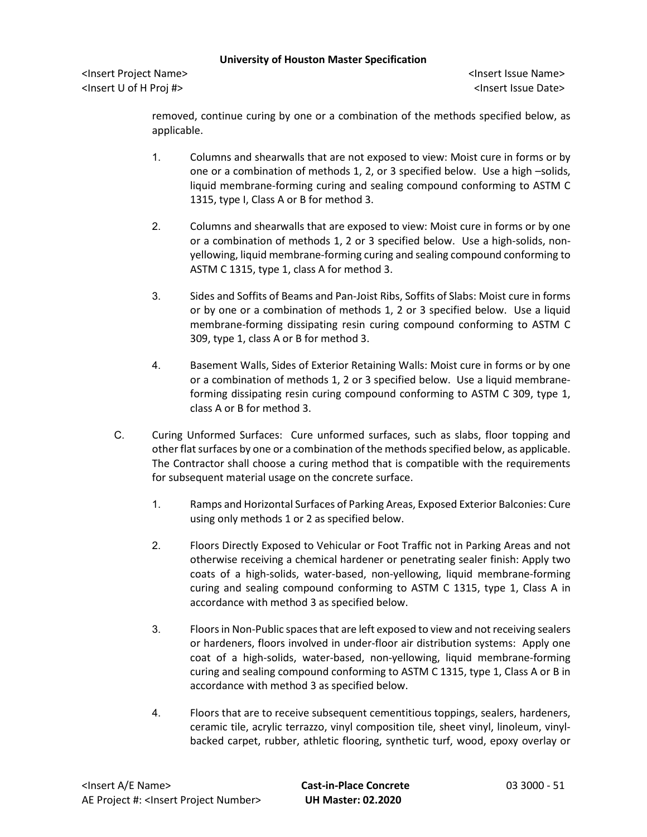<Insert Project Name> <Insert Issue Name> <Insert U of H Proj #> <Insert Issue Date>

removed, continue curing by one or a combination of the methods specified below, as applicable.

- 1. Columns and shearwalls that are not exposed to view: Moist cure in forms or by one or a combination of methods 1, 2, or 3 specified below. Use a high –solids, liquid membrane-forming curing and sealing compound conforming to ASTM C 1315, type I, Class A or B for method 3.
- 2. Columns and shearwalls that are exposed to view: Moist cure in forms or by one or a combination of methods 1, 2 or 3 specified below. Use a high-solids, nonyellowing, liquid membrane-forming curing and sealing compound conforming to ASTM C 1315, type 1, class A for method 3.
- 3. Sides and Soffits of Beams and Pan-Joist Ribs, Soffits of Slabs: Moist cure in forms or by one or a combination of methods 1, 2 or 3 specified below. Use a liquid membrane-forming dissipating resin curing compound conforming to ASTM C 309, type 1, class A or B for method 3.
- 4. Basement Walls, Sides of Exterior Retaining Walls: Moist cure in forms or by one or a combination of methods 1, 2 or 3 specified below. Use a liquid membraneforming dissipating resin curing compound conforming to ASTM C 309, type 1, class A or B for method 3.
- C. Curing Unformed Surfaces: Cure unformed surfaces, such as slabs, floor topping and other flat surfaces by one or a combination of the methods specified below, as applicable. The Contractor shall choose a curing method that is compatible with the requirements for subsequent material usage on the concrete surface.
	- 1. Ramps and Horizontal Surfaces of Parking Areas, Exposed Exterior Balconies: Cure using only methods 1 or 2 as specified below.
	- 2. Floors Directly Exposed to Vehicular or Foot Traffic not in Parking Areas and not otherwise receiving a chemical hardener or penetrating sealer finish: Apply two coats of a high-solids, water-based, non-yellowing, liquid membrane-forming curing and sealing compound conforming to ASTM C 1315, type 1, Class A in accordance with method 3 as specified below.
	- 3. Floors in Non-Public spaces that are left exposed to view and not receiving sealers or hardeners, floors involved in under-floor air distribution systems: Apply one coat of a high-solids, water-based, non-yellowing, liquid membrane-forming curing and sealing compound conforming to ASTM C 1315, type 1, Class A or B in accordance with method 3 as specified below.
	- 4. Floors that are to receive subsequent cementitious toppings, sealers, hardeners, ceramic tile, acrylic terrazzo, vinyl composition tile, sheet vinyl, linoleum, vinylbacked carpet, rubber, athletic flooring, synthetic turf, wood, epoxy overlay or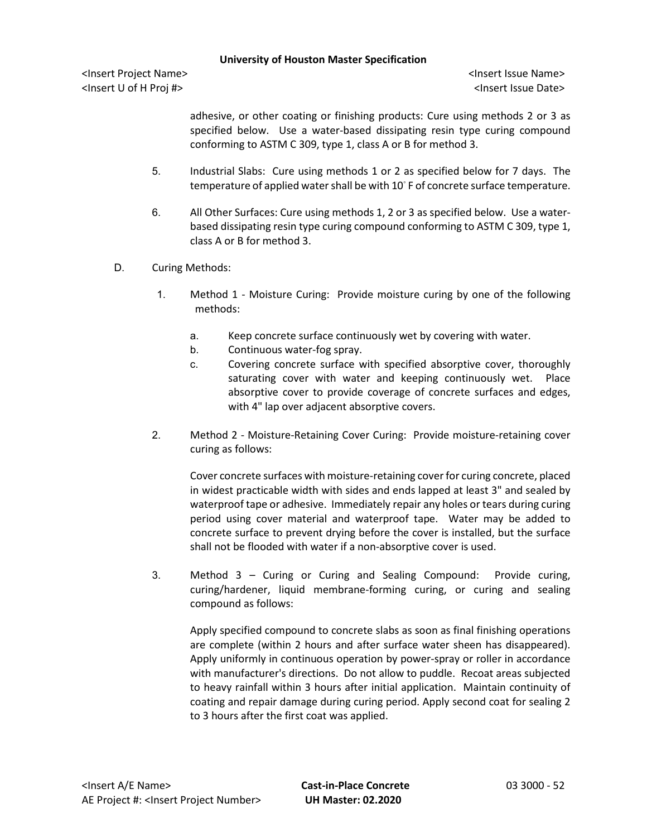<Insert Project Name> <Insert Issue Name> <Insert U of H Proj #> <Insert Issue Date>

adhesive, or other coating or finishing products: Cure using methods 2 or 3 as specified below. Use a water-based dissipating resin type curing compound conforming to ASTM C 309, type 1, class A or B for method 3.

- 5. Industrial Slabs: Cure using methods 1 or 2 as specified below for 7 days. The temperature of applied water shall be with 10℃ F of concrete surface temperature.
- 6. All Other Surfaces: Cure using methods 1, 2 or 3 as specified below. Use a waterbased dissipating resin type curing compound conforming to ASTM C 309, type 1, class A or B for method 3.
- D. Curing Methods:
	- 1. Method 1 Moisture Curing: Provide moisture curing by one of the following methods:
		- a. Keep concrete surface continuously wet by covering with water.
		- b. Continuous water-fog spray.
		- c. Covering concrete surface with specified absorptive cover, thoroughly saturating cover with water and keeping continuously wet. Place absorptive cover to provide coverage of concrete surfaces and edges, with 4" lap over adjacent absorptive covers.
	- 2. Method 2 Moisture-Retaining Cover Curing: Provide moisture-retaining cover curing as follows:

Cover concrete surfaces with moisture-retaining cover for curing concrete, placed in widest practicable width with sides and ends lapped at least 3" and sealed by waterproof tape or adhesive. Immediately repair any holes or tears during curing period using cover material and waterproof tape. Water may be added to concrete surface to prevent drying before the cover is installed, but the surface shall not be flooded with water if a non-absorptive cover is used.

3. Method 3 – Curing or Curing and Sealing Compound: Provide curing, curing/hardener, liquid membrane-forming curing, or curing and sealing compound as follows:

Apply specified compound to concrete slabs as soon as final finishing operations are complete (within 2 hours and after surface water sheen has disappeared). Apply uniformly in continuous operation by power-spray or roller in accordance with manufacturer's directions. Do not allow to puddle. Recoat areas subjected to heavy rainfall within 3 hours after initial application. Maintain continuity of coating and repair damage during curing period. Apply second coat for sealing 2 to 3 hours after the first coat was applied.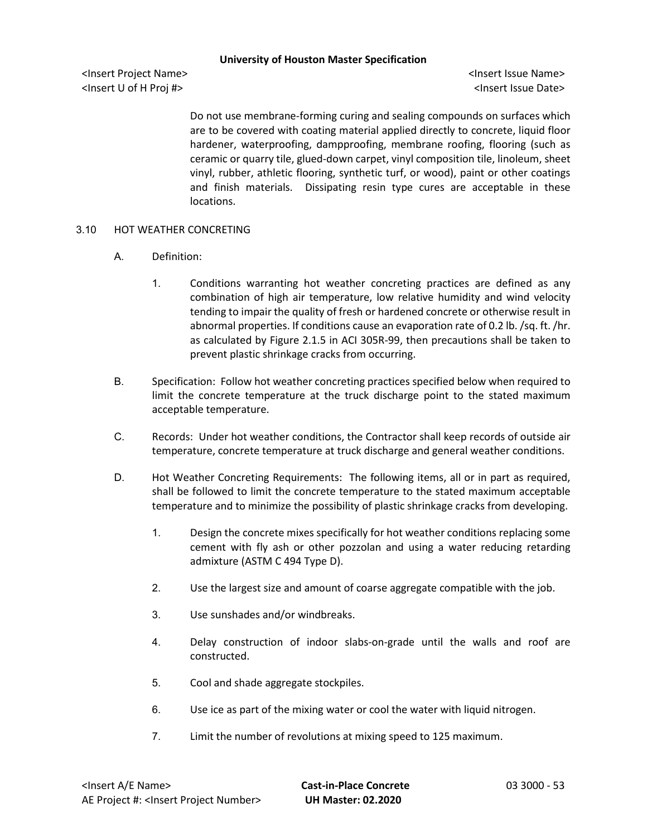<Insert Project Name> <Insert Issue Name> <Insert U of H Proj #> <Insert Issue Date>

Do not use membrane-forming curing and sealing compounds on surfaces which are to be covered with coating material applied directly to concrete, liquid floor hardener, waterproofing, dampproofing, membrane roofing, flooring (such as ceramic or quarry tile, glued-down carpet, vinyl composition tile, linoleum, sheet vinyl, rubber, athletic flooring, synthetic turf, or wood), paint or other coatings and finish materials. Dissipating resin type cures are acceptable in these locations.

## 3.10 HOT WEATHER CONCRETING

- A. Definition:
	- 1. Conditions warranting hot weather concreting practices are defined as any combination of high air temperature, low relative humidity and wind velocity tending to impair the quality of fresh or hardened concrete or otherwise result in abnormal properties. If conditions cause an evaporation rate of 0.2 lb. /sq. ft. /hr. as calculated by Figure 2.1.5 in ACI 305R-99, then precautions shall be taken to prevent plastic shrinkage cracks from occurring.
- B. Specification: Follow hot weather concreting practices specified below when required to limit the concrete temperature at the truck discharge point to the stated maximum acceptable temperature.
- C. Records: Under hot weather conditions, the Contractor shall keep records of outside air temperature, concrete temperature at truck discharge and general weather conditions.
- D. Hot Weather Concreting Requirements: The following items, all or in part as required, shall be followed to limit the concrete temperature to the stated maximum acceptable temperature and to minimize the possibility of plastic shrinkage cracks from developing.
	- 1. Design the concrete mixes specifically for hot weather conditions replacing some cement with fly ash or other pozzolan and using a water reducing retarding admixture (ASTM C 494 Type D).
	- 2. Use the largest size and amount of coarse aggregate compatible with the job.
	- 3. Use sunshades and/or windbreaks.
	- 4. Delay construction of indoor slabs-on-grade until the walls and roof are constructed.
	- 5. Cool and shade aggregate stockpiles.
	- 6. Use ice as part of the mixing water or cool the water with liquid nitrogen.
	- 7. Limit the number of revolutions at mixing speed to 125 maximum.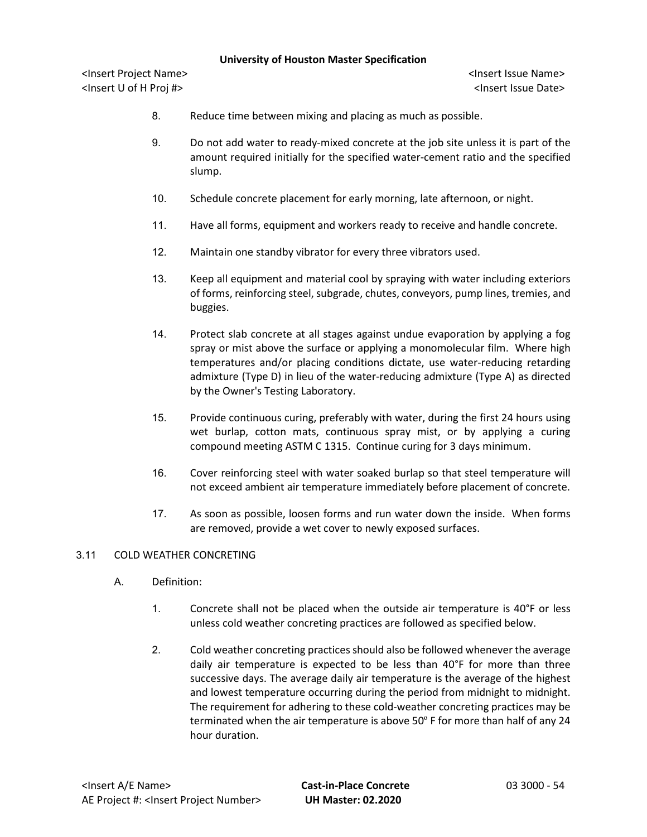<Insert Project Name> <Insert Issue Name> <Insert U of H Proj #> <Insert Issue Date>

- 8. Reduce time between mixing and placing as much as possible.
- 9. Do not add water to ready-mixed concrete at the job site unless it is part of the amount required initially for the specified water-cement ratio and the specified slump.
- 10. Schedule concrete placement for early morning, late afternoon, or night.
- 11. Have all forms, equipment and workers ready to receive and handle concrete.
- 12. Maintain one standby vibrator for every three vibrators used.
- 13. Keep all equipment and material cool by spraying with water including exteriors of forms, reinforcing steel, subgrade, chutes, conveyors, pump lines, tremies, and buggies.
- 14. Protect slab concrete at all stages against undue evaporation by applying a fog spray or mist above the surface or applying a monomolecular film. Where high temperatures and/or placing conditions dictate, use water-reducing retarding admixture (Type D) in lieu of the water-reducing admixture (Type A) as directed by the Owner's Testing Laboratory.
- 15. Provide continuous curing, preferably with water, during the first 24 hours using wet burlap, cotton mats, continuous spray mist, or by applying a curing compound meeting ASTM C 1315. Continue curing for 3 days minimum.
- 16. Cover reinforcing steel with water soaked burlap so that steel temperature will not exceed ambient air temperature immediately before placement of concrete.
- 17. As soon as possible, loosen forms and run water down the inside. When forms are removed, provide a wet cover to newly exposed surfaces.

### 3.11 COLD WEATHER CONCRETING

- A. Definition:
	- 1. Concrete shall not be placed when the outside air temperature is 40°F or less unless cold weather concreting practices are followed as specified below.
	- 2. Cold weather concreting practices should also be followed whenever the average daily air temperature is expected to be less than 40°F for more than three successive days. The average daily air temperature is the average of the highest and lowest temperature occurring during the period from midnight to midnight. The requirement for adhering to these cold-weather concreting practices may be terminated when the air temperature is above 50º F for more than half of any 24 hour duration.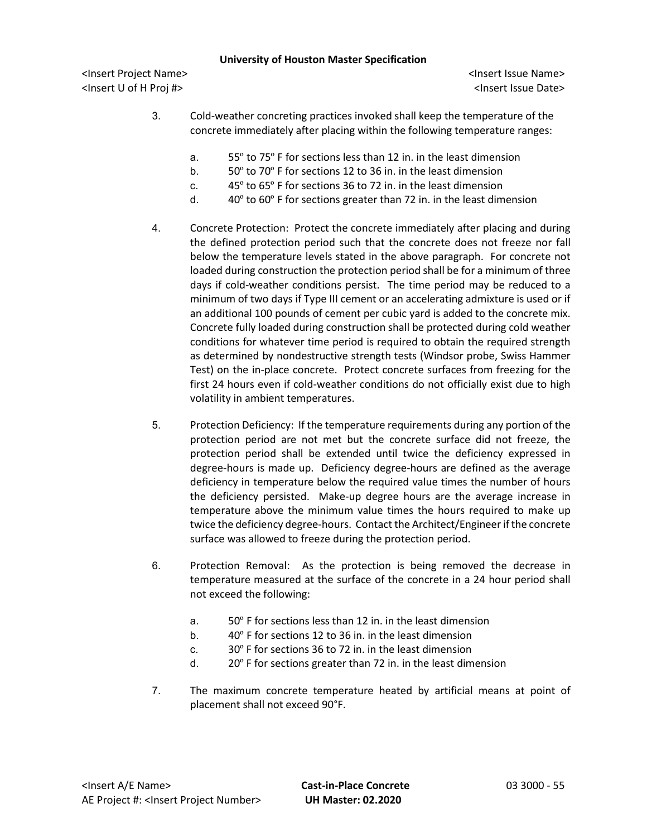- 3. Cold-weather concreting practices invoked shall keep the temperature of the concrete immediately after placing within the following temperature ranges:
	- a. 55º to 75º F for sections less than 12 in. in the least dimension
	- b. 50º to 70º F for sections 12 to 36 in. in the least dimension
	- c. 45º to 65º F for sections 36 to 72 in. in the least dimension
	- d. 40º to 60º F for sections greater than 72 in. in the least dimension
- 4. Concrete Protection: Protect the concrete immediately after placing and during the defined protection period such that the concrete does not freeze nor fall below the temperature levels stated in the above paragraph. For concrete not loaded during construction the protection period shall be for a minimum of three days if cold-weather conditions persist. The time period may be reduced to a minimum of two days if Type III cement or an accelerating admixture is used or if an additional 100 pounds of cement per cubic yard is added to the concrete mix. Concrete fully loaded during construction shall be protected during cold weather conditions for whatever time period is required to obtain the required strength as determined by nondestructive strength tests (Windsor probe, Swiss Hammer Test) on the in-place concrete. Protect concrete surfaces from freezing for the first 24 hours even if cold-weather conditions do not officially exist due to high volatility in ambient temperatures.
- 5. Protection Deficiency: If the temperature requirements during any portion of the protection period are not met but the concrete surface did not freeze, the protection period shall be extended until twice the deficiency expressed in degree-hours is made up. Deficiency degree-hours are defined as the average deficiency in temperature below the required value times the number of hours the deficiency persisted. Make-up degree hours are the average increase in temperature above the minimum value times the hours required to make up twice the deficiency degree-hours. Contact the Architect/Engineer if the concrete surface was allowed to freeze during the protection period.
- 6. Protection Removal: As the protection is being removed the decrease in temperature measured at the surface of the concrete in a 24 hour period shall not exceed the following:
	- a. 50º F for sections less than 12 in. in the least dimension
	- b. 40º F for sections 12 to 36 in. in the least dimension
	- c. 30º F for sections 36 to 72 in. in the least dimension
	- d. 20º F for sections greater than 72 in. in the least dimension
- 7. The maximum concrete temperature heated by artificial means at point of placement shall not exceed 90°F.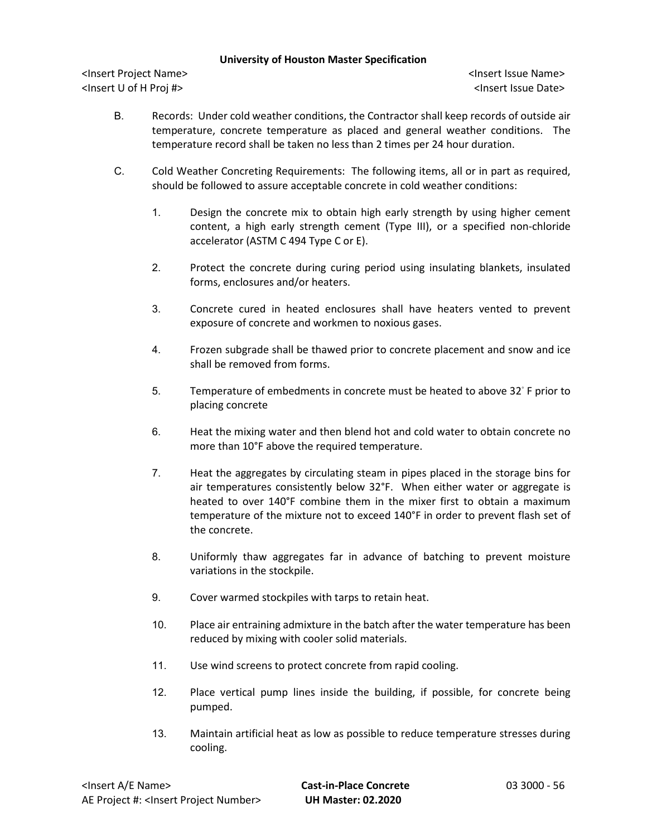- B. Records: Under cold weather conditions, the Contractor shall keep records of outside air temperature, concrete temperature as placed and general weather conditions. The temperature record shall be taken no less than 2 times per 24 hour duration.
- C. Cold Weather Concreting Requirements: The following items, all or in part as required, should be followed to assure acceptable concrete in cold weather conditions:
	- 1. Design the concrete mix to obtain high early strength by using higher cement content, a high early strength cement (Type III), or a specified non-chloride accelerator (ASTM C 494 Type C or E).
	- 2. Protect the concrete during curing period using insulating blankets, insulated forms, enclosures and/or heaters.
	- 3. Concrete cured in heated enclosures shall have heaters vented to prevent exposure of concrete and workmen to noxious gases.
	- 4. Frozen subgrade shall be thawed prior to concrete placement and snow and ice shall be removed from forms.
	- 5. Temperature of embedments in concrete must be heated to above 32◦ F prior to placing concrete
	- 6. Heat the mixing water and then blend hot and cold water to obtain concrete no more than 10°F above the required temperature.
	- 7. Heat the aggregates by circulating steam in pipes placed in the storage bins for air temperatures consistently below 32°F. When either water or aggregate is heated to over 140°F combine them in the mixer first to obtain a maximum temperature of the mixture not to exceed 140°F in order to prevent flash set of the concrete.
	- 8. Uniformly thaw aggregates far in advance of batching to prevent moisture variations in the stockpile.
	- 9. Cover warmed stockpiles with tarps to retain heat.
	- 10. Place air entraining admixture in the batch after the water temperature has been reduced by mixing with cooler solid materials.
	- 11. Use wind screens to protect concrete from rapid cooling.
	- 12. Place vertical pump lines inside the building, if possible, for concrete being pumped.
	- 13. Maintain artificial heat as low as possible to reduce temperature stresses during cooling.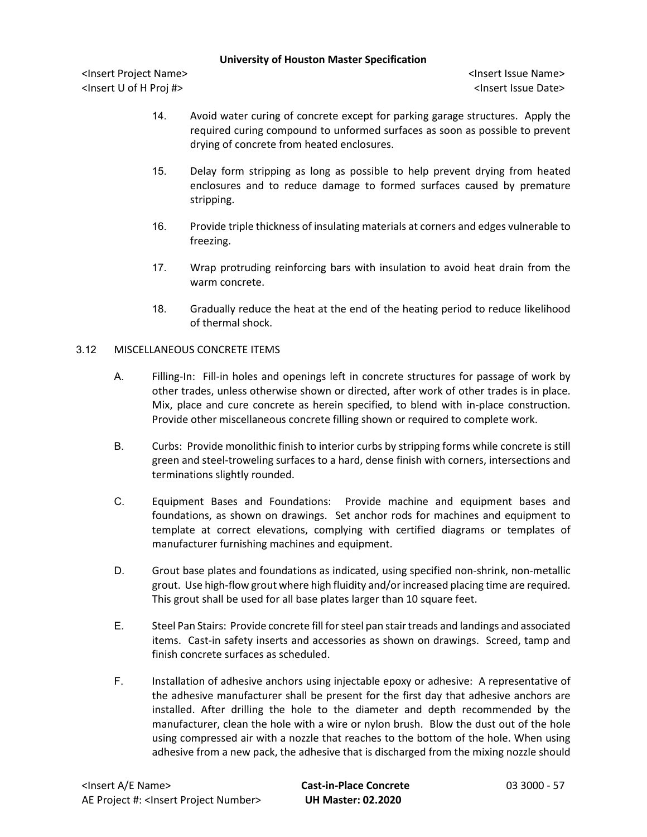<Insert Project Name> <Insert Issue Name> <Insert U of H Proj #> <Insert Issue Date>

- 14. Avoid water curing of concrete except for parking garage structures. Apply the required curing compound to unformed surfaces as soon as possible to prevent drying of concrete from heated enclosures.
- 15. Delay form stripping as long as possible to help prevent drying from heated enclosures and to reduce damage to formed surfaces caused by premature stripping.
- 16. Provide triple thickness of insulating materials at corners and edges vulnerable to freezing.
- 17. Wrap protruding reinforcing bars with insulation to avoid heat drain from the warm concrete.
- 18. Gradually reduce the heat at the end of the heating period to reduce likelihood of thermal shock.

# 3.12 MISCELLANEOUS CONCRETE ITEMS

- A. Filling-In: Fill-in holes and openings left in concrete structures for passage of work by other trades, unless otherwise shown or directed, after work of other trades is in place. Mix, place and cure concrete as herein specified, to blend with in-place construction. Provide other miscellaneous concrete filling shown or required to complete work.
- B. Curbs: Provide monolithic finish to interior curbs by stripping forms while concrete is still green and steel-troweling surfaces to a hard, dense finish with corners, intersections and terminations slightly rounded.
- C. Equipment Bases and Foundations: Provide machine and equipment bases and foundations, as shown on drawings. Set anchor rods for machines and equipment to template at correct elevations, complying with certified diagrams or templates of manufacturer furnishing machines and equipment.
- D. Grout base plates and foundations as indicated, using specified non-shrink, non-metallic grout. Use high-flow grout where high fluidity and/or increased placing time are required. This grout shall be used for all base plates larger than 10 square feet.
- E. Steel Pan Stairs: Provide concrete fill for steel pan stair treads and landings and associated items. Cast-in safety inserts and accessories as shown on drawings. Screed, tamp and finish concrete surfaces as scheduled.
- F. Installation of adhesive anchors using injectable epoxy or adhesive: A representative of the adhesive manufacturer shall be present for the first day that adhesive anchors are installed. After drilling the hole to the diameter and depth recommended by the manufacturer, clean the hole with a wire or nylon brush. Blow the dust out of the hole using compressed air with a nozzle that reaches to the bottom of the hole. When using adhesive from a new pack, the adhesive that is discharged from the mixing nozzle should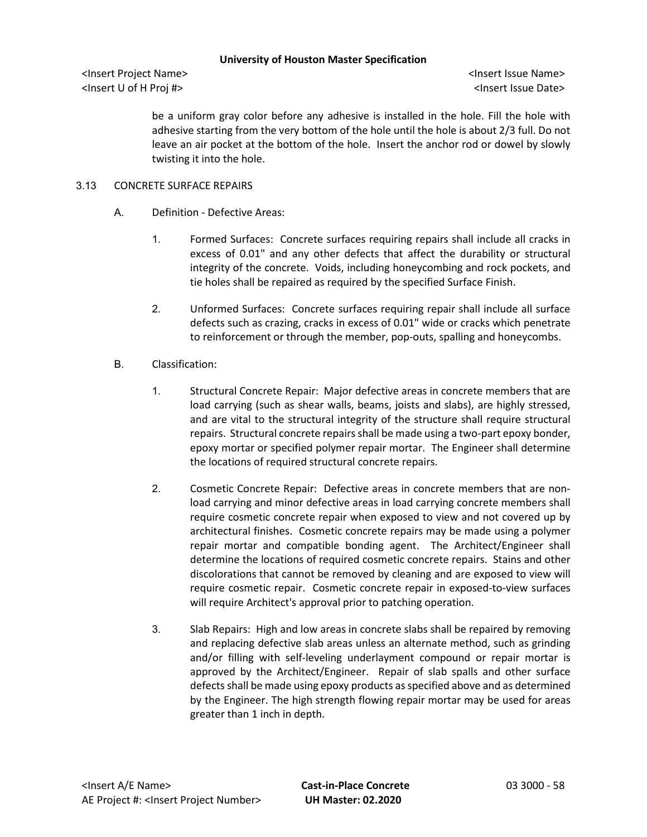<Insert Project Name> <Insert Issue Name> <Insert U of H Proj #> <Insert Issue Date>

be a uniform gray color before any adhesive is installed in the hole. Fill the hole with adhesive starting from the very bottom of the hole until the hole is about 2/3 full. Do not leave an air pocket at the bottom of the hole. Insert the anchor rod or dowel by slowly twisting it into the hole.

## 3.13 CONCRETE SURFACE REPAIRS

- A. Definition Defective Areas:
	- 1. Formed Surfaces: Concrete surfaces requiring repairs shall include all cracks in excess of 0.01" and any other defects that affect the durability or structural integrity of the concrete. Voids, including honeycombing and rock pockets, and tie holes shall be repaired as required by the specified Surface Finish.
	- 2. Unformed Surfaces: Concrete surfaces requiring repair shall include all surface defects such as crazing, cracks in excess of 0.01" wide or cracks which penetrate to reinforcement or through the member, pop-outs, spalling and honeycombs.
- B. Classification:
	- 1. Structural Concrete Repair: Major defective areas in concrete members that are load carrying (such as shear walls, beams, joists and slabs), are highly stressed, and are vital to the structural integrity of the structure shall require structural repairs. Structural concrete repairs shall be made using a two-part epoxy bonder, epoxy mortar or specified polymer repair mortar. The Engineer shall determine the locations of required structural concrete repairs.
	- 2. Cosmetic Concrete Repair: Defective areas in concrete members that are nonload carrying and minor defective areas in load carrying concrete members shall require cosmetic concrete repair when exposed to view and not covered up by architectural finishes. Cosmetic concrete repairs may be made using a polymer repair mortar and compatible bonding agent. The Architect/Engineer shall determine the locations of required cosmetic concrete repairs. Stains and other discolorations that cannot be removed by cleaning and are exposed to view will require cosmetic repair. Cosmetic concrete repair in exposed-to-view surfaces will require Architect's approval prior to patching operation.
	- 3. Slab Repairs: High and low areas in concrete slabs shall be repaired by removing and replacing defective slab areas unless an alternate method, such as grinding and/or filling with self-leveling underlayment compound or repair mortar is approved by the Architect/Engineer. Repair of slab spalls and other surface defects shall be made using epoxy products as specified above and as determined by the Engineer. The high strength flowing repair mortar may be used for areas greater than 1 inch in depth.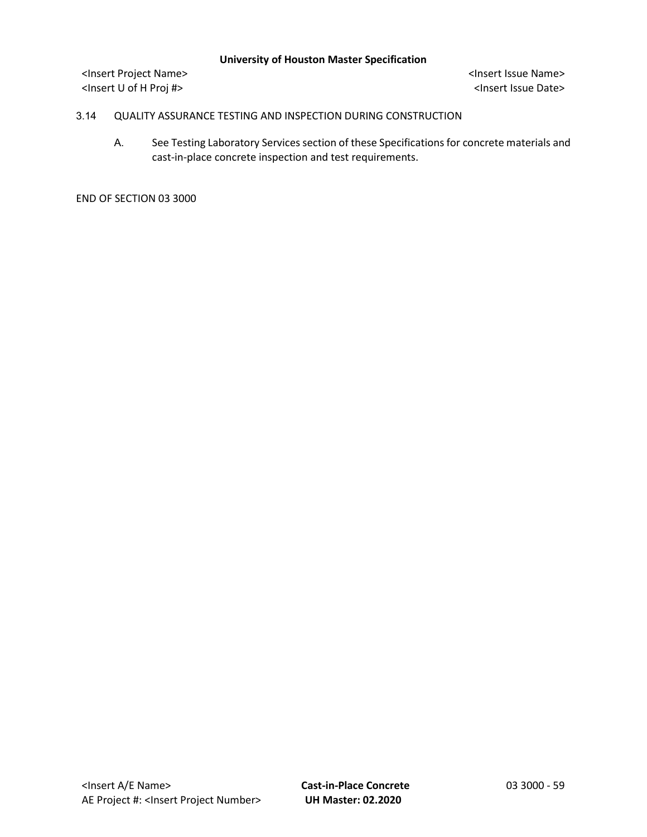<Insert Project Name> <Insert Issue Name> <Insert U of H Proj #> <Insert Issue Date>

## 3.14 QUALITY ASSURANCE TESTING AND INSPECTION DURING CONSTRUCTION

A. See Testing Laboratory Services section of these Specifications for concrete materials and cast-in-place concrete inspection and test requirements.

END OF SECTION 03 3000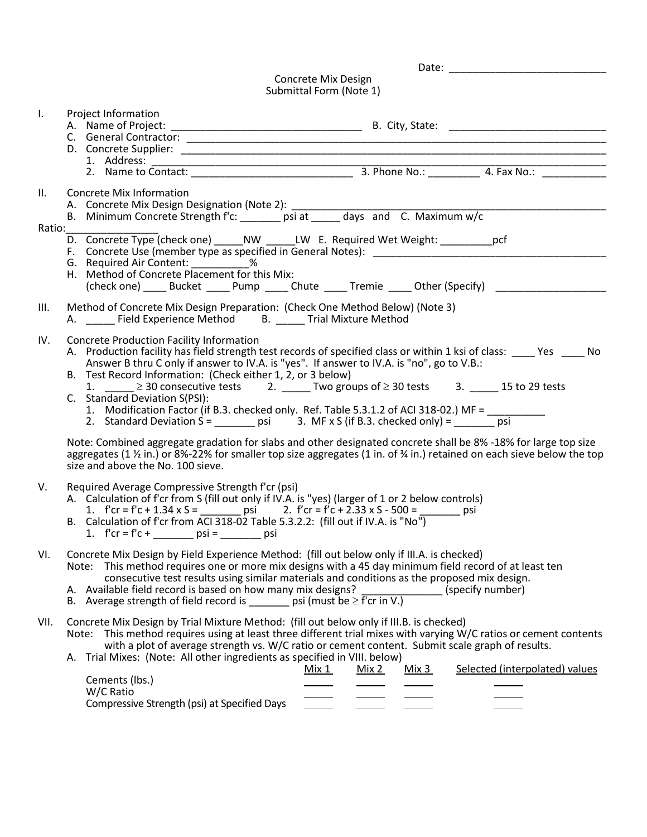|            | Concrete Mix Design<br>Submittal Form (Note 1)                                                                                                                                                                                                                                                                                                                                                                                                                                                                                                                                                                                                                                                                                                            |
|------------|-----------------------------------------------------------------------------------------------------------------------------------------------------------------------------------------------------------------------------------------------------------------------------------------------------------------------------------------------------------------------------------------------------------------------------------------------------------------------------------------------------------------------------------------------------------------------------------------------------------------------------------------------------------------------------------------------------------------------------------------------------------|
| I.         | Project Information                                                                                                                                                                                                                                                                                                                                                                                                                                                                                                                                                                                                                                                                                                                                       |
| II.        | Concrete Mix Information                                                                                                                                                                                                                                                                                                                                                                                                                                                                                                                                                                                                                                                                                                                                  |
| Ratio:____ | D. Concrete Type (check one) _____ NW ______LW E. Required Wet Weight: __________ pcf<br>F. Concrete Use (member type as specified in General Notes): Networkships are also also also also be a series<br>G. Required Air Content: ____________%<br>H. Method of Concrete Placement for this Mix:<br>(check one) Bucket Pump Chute Tremie Other (Specify)                                                                                                                                                                                                                                                                                                                                                                                                 |
| Ш.         | Method of Concrete Mix Design Preparation: (Check One Method Below) (Note 3)<br>A. _____ Field Experience Method B. ____ Trial Mixture Method                                                                                                                                                                                                                                                                                                                                                                                                                                                                                                                                                                                                             |
| IV.        | Concrete Production Facility Information<br>A. Production facility has field strength test records of specified class or within 1 ksi of class: _____ Yes _____ No<br>Answer B thru C only if answer to IV.A. is "yes". If answer to IV.A. is "no", go to V.B.:<br>B. Test Record Information: (Check either 1, 2, or 3 below)<br>1. $\geq$ 30 consecutive tests 2. Two groups of $\geq$ 30 tests 3. 15 to 29 tests<br>C. Standard Deviation S(PSI):<br>1. Modification Factor (if B.3. checked only. Ref. Table 5.3.1.2 of ACI 318-02.) MF =<br>2. Standard Deviation S = ________ psi 3. MF x S (if B.3. checked only) = ________ psi<br>Note: Combined aggregate gradation for slabs and other designated concrete shall be 8% -18% for large top size |
|            | aggregates (1 $\frac{1}{2}$ in.) or 8%-22% for smaller top size aggregates (1 in. of $\frac{3}{4}$ in.) retained on each sieve below the top<br>size and above the No. 100 sieve.                                                                                                                                                                                                                                                                                                                                                                                                                                                                                                                                                                         |
| V.         | Required Average Compressive Strength f'cr (psi)<br>A. Calculation of f'cr from S (fill out only if IV.A. is "yes) (larger of 1 or 2 below controls)<br>1. $f'cr = f'c + 1.34 \times S =$ psi 2. $f'cr = f'c + 2.33 \times S - 500 =$ psi psi<br>B. Calculation of f'cr from ACI 318-02 Table 5.3.2.2: (fill out if IV.A. is "No")<br>1. f'cr = f'c + ________ psi = _______ psi                                                                                                                                                                                                                                                                                                                                                                          |
| VI.        | Concrete Mix Design by Field Experience Method: (fill out below only if III.A. is checked)<br>Note: This method requires one or more mix designs with a 45 day minimum field record of at least ten<br>consecutive test results using similar materials and conditions as the proposed mix design.<br>A. Available field record is based on how many mix designs?<br>(specify number)<br>B. Average strength of field record is ______ psi (must be $\geq$ f'cr in V.)                                                                                                                                                                                                                                                                                    |
| VII.       | Concrete Mix Design by Trial Mixture Method: (fill out below only if III.B. is checked)<br>Note: This method requires using at least three different trial mixes with varying W/C ratios or cement contents<br>with a plot of average strength vs. W/C ratio or cement content. Submit scale graph of results.<br>A. Trial Mixes: (Note: All other ingredients as specified in VIII. below)<br>Selected (interpolated) values<br>Mix 1<br>Mix 2<br><u>Mix 3</u><br>Cements (lbs.)<br>W/C Ratio                                                                                                                                                                                                                                                            |

Compressive Strength (psi) at Specified Days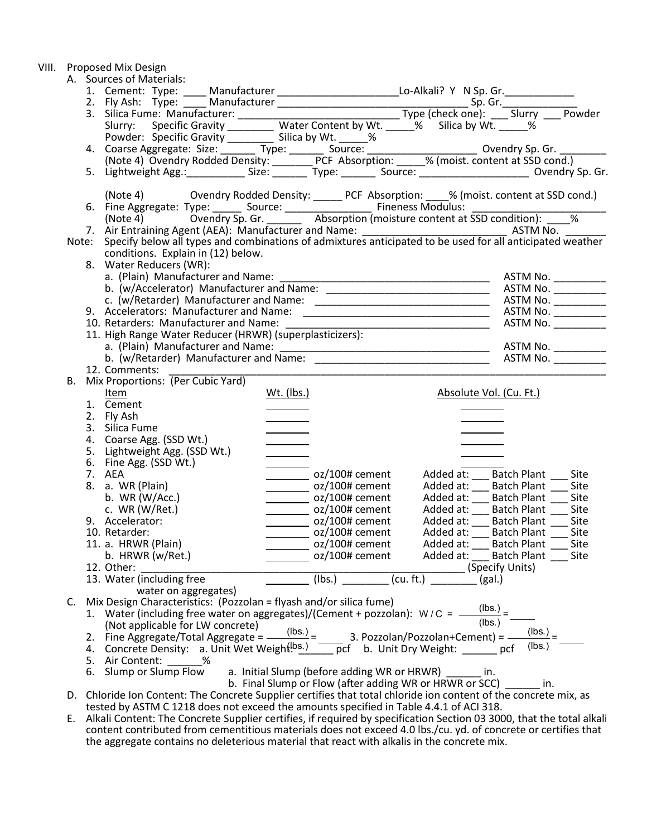|  |    | VIII. Proposed Mix Design                                                                                                                                                                                                      |                                                                                                                                                                                                                                      |                                                                     |                                                                                                                    |                                         |      |
|--|----|--------------------------------------------------------------------------------------------------------------------------------------------------------------------------------------------------------------------------------|--------------------------------------------------------------------------------------------------------------------------------------------------------------------------------------------------------------------------------------|---------------------------------------------------------------------|--------------------------------------------------------------------------------------------------------------------|-----------------------------------------|------|
|  |    | A. Sources of Materials:                                                                                                                                                                                                       |                                                                                                                                                                                                                                      |                                                                     |                                                                                                                    |                                         |      |
|  |    | 1. Cement: Type: ____ Manufacturer _________________________Lo-Alkali? Y N Sp. Gr. ______________                                                                                                                              |                                                                                                                                                                                                                                      |                                                                     |                                                                                                                    |                                         |      |
|  |    |                                                                                                                                                                                                                                |                                                                                                                                                                                                                                      |                                                                     |                                                                                                                    |                                         |      |
|  |    |                                                                                                                                                                                                                                |                                                                                                                                                                                                                                      |                                                                     |                                                                                                                    |                                         |      |
|  |    | 2. Fly Ash: Type: Manufacturer Space Content by Wt. Sp. Gr. The Sp. Gr. The Space Content Survey: Specific Gravity Content by Wt. Specific Gravity Content by Wt. Specific Gravity Content by Wt. Specific Gravity Content by  |                                                                                                                                                                                                                                      |                                                                     |                                                                                                                    |                                         |      |
|  |    |                                                                                                                                                                                                                                |                                                                                                                                                                                                                                      |                                                                     |                                                                                                                    |                                         |      |
|  |    |                                                                                                                                                                                                                                |                                                                                                                                                                                                                                      |                                                                     |                                                                                                                    |                                         |      |
|  |    | Powder: Specific Gravity Silica by Wt. 4. Coarse Aggregate: Size: Type: Source: Coarse Aggregate: Size: Type: Source: Coarse Aggregate: Size: Type: Source: Coarse Aggregate: Size: Type: Source: Coarse Aggregate: Size: Type |                                                                                                                                                                                                                                      |                                                                     |                                                                                                                    |                                         |      |
|  |    | 5. Lightweight Agg.: Size: Size: Type: Source: Source: Summer Sylvendry Sp. Gr.                                                                                                                                                |                                                                                                                                                                                                                                      |                                                                     |                                                                                                                    |                                         |      |
|  |    | (Note 4) Ovendry Rodded Density: ______ PCF Absorption: ____% (moist. content at SSD cond.)                                                                                                                                    |                                                                                                                                                                                                                                      |                                                                     |                                                                                                                    |                                         |      |
|  |    | 6. Fine Aggregate: Type: Source: Source: Fineness Modulus: Superintive 4) Covendry Sp. Gr. Superintive monotune content at SSD condition): Superintive 4)                                                                      |                                                                                                                                                                                                                                      |                                                                     |                                                                                                                    |                                         |      |
|  |    |                                                                                                                                                                                                                                |                                                                                                                                                                                                                                      |                                                                     |                                                                                                                    |                                         |      |
|  |    |                                                                                                                                                                                                                                |                                                                                                                                                                                                                                      |                                                                     |                                                                                                                    |                                         |      |
|  |    |                                                                                                                                                                                                                                |                                                                                                                                                                                                                                      |                                                                     |                                                                                                                    |                                         |      |
|  |    | conditions. Explain in (12) below.                                                                                                                                                                                             |                                                                                                                                                                                                                                      |                                                                     |                                                                                                                    |                                         |      |
|  |    | 8. Water Reducers (WR):                                                                                                                                                                                                        |                                                                                                                                                                                                                                      |                                                                     |                                                                                                                    |                                         |      |
|  |    |                                                                                                                                                                                                                                |                                                                                                                                                                                                                                      |                                                                     |                                                                                                                    |                                         |      |
|  |    |                                                                                                                                                                                                                                |                                                                                                                                                                                                                                      |                                                                     |                                                                                                                    |                                         |      |
|  |    |                                                                                                                                                                                                                                |                                                                                                                                                                                                                                      |                                                                     |                                                                                                                    | ASTM No. __________                     |      |
|  |    |                                                                                                                                                                                                                                |                                                                                                                                                                                                                                      |                                                                     |                                                                                                                    | ASTM No. __________                     |      |
|  |    | 10. Retarders: Manufacturer and Name:<br>10. Netaruers. Ivianuracturer and Name: [11]<br>11. High Range Water Reducer (HRWR) (superplasticizers):                                                                              |                                                                                                                                                                                                                                      |                                                                     |                                                                                                                    | ASTM No.                                |      |
|  |    |                                                                                                                                                                                                                                |                                                                                                                                                                                                                                      |                                                                     |                                                                                                                    |                                         |      |
|  |    |                                                                                                                                                                                                                                |                                                                                                                                                                                                                                      |                                                                     |                                                                                                                    |                                         |      |
|  |    |                                                                                                                                                                                                                                |                                                                                                                                                                                                                                      |                                                                     |                                                                                                                    |                                         |      |
|  |    | 12. Comments:                                                                                                                                                                                                                  |                                                                                                                                                                                                                                      |                                                                     |                                                                                                                    |                                         |      |
|  | В. | Mix Proportions: (Per Cubic Yard)                                                                                                                                                                                              |                                                                                                                                                                                                                                      |                                                                     |                                                                                                                    |                                         |      |
|  |    | Item                                                                                                                                                                                                                           | <u>Wt. (lbs.)</u>                                                                                                                                                                                                                    |                                                                     | Absolute Vol. (Cu. Ft.)                                                                                            |                                         |      |
|  |    | 1. Cement                                                                                                                                                                                                                      |                                                                                                                                                                                                                                      |                                                                     |                                                                                                                    |                                         |      |
|  |    | 2. Fly Ash                                                                                                                                                                                                                     |                                                                                                                                                                                                                                      |                                                                     |                                                                                                                    |                                         |      |
|  |    | 3. Silica Fume                                                                                                                                                                                                                 | <u> Liberature de la provincia de la provincia de la provincia de la provincia de la provincia de la provincia de la provincia de la provincia de la provincia de la provincia de la provincia de la provincia de la provincia d</u> |                                                                     |                                                                                                                    |                                         |      |
|  |    | 4. Coarse Agg. (SSD Wt.)                                                                                                                                                                                                       | $\overline{\phantom{a}}$                                                                                                                                                                                                             |                                                                     |                                                                                                                    |                                         |      |
|  |    | 5. Lightweight Agg. (SSD Wt.)                                                                                                                                                                                                  |                                                                                                                                                                                                                                      |                                                                     |                                                                                                                    |                                         |      |
|  |    | 6. Fine Agg. (SSD Wt.)                                                                                                                                                                                                         |                                                                                                                                                                                                                                      |                                                                     |                                                                                                                    |                                         |      |
|  |    | 7. AEA                                                                                                                                                                                                                         |                                                                                                                                                                                                                                      | $\frac{1}{2}$ oz/100# cement                                        | Added at: ___ Batch Plant ___ Site                                                                                 |                                         |      |
|  |    | 8. a. WR (Plain)                                                                                                                                                                                                               |                                                                                                                                                                                                                                      | __________ oz/100# cement                                           | Added at: ____ Batch Plant ____ Site<br>Added at: ___ Batch Plant ____ Site<br>Added at: ___ Batch Plant ____ Site |                                         |      |
|  |    | b. WR $(W/Acc.)$                                                                                                                                                                                                               |                                                                                                                                                                                                                                      | $\frac{1}{2}$ oz/100# cement                                        |                                                                                                                    |                                         |      |
|  |    | c. $WR(W/Ret.)$                                                                                                                                                                                                                |                                                                                                                                                                                                                                      | $\frac{1}{2}$ oz/100# cement                                        |                                                                                                                    |                                         |      |
|  |    | 9. Accelerator:                                                                                                                                                                                                                |                                                                                                                                                                                                                                      | $\sim$ 0z/100# cement                                               | Added at: Batch Plant Site                                                                                         |                                         |      |
|  |    | 10. Retarder:                                                                                                                                                                                                                  |                                                                                                                                                                                                                                      | oz/100# cement                                                      | Added at:                                                                                                          | <b>Batch Plant</b>                      | Site |
|  |    | 11. a. HRWR (Plain)                                                                                                                                                                                                            |                                                                                                                                                                                                                                      | oz/100# cement                                                      | Added at:                                                                                                          | <b>Batch Plant</b>                      | Site |
|  |    | b. HRWR (w/Ret.)                                                                                                                                                                                                               |                                                                                                                                                                                                                                      | oz/100# cement                                                      | Added at:                                                                                                          | <b>Batch Plant</b>                      | Site |
|  |    | 12. Other:                                                                                                                                                                                                                     |                                                                                                                                                                                                                                      |                                                                     | (Specify Units)                                                                                                    |                                         |      |
|  |    | 13. Water (including free                                                                                                                                                                                                      |                                                                                                                                                                                                                                      | $(lbs.)$ $(cu. ft.)$                                                | (gal.)                                                                                                             |                                         |      |
|  |    | water on aggregates)                                                                                                                                                                                                           |                                                                                                                                                                                                                                      |                                                                     |                                                                                                                    |                                         |      |
|  | C. | Mix Design Characteristics: (Pozzolan = flyash and/or silica fume)                                                                                                                                                             |                                                                                                                                                                                                                                      |                                                                     |                                                                                                                    |                                         |      |
|  |    | 1. Water (including free water on aggregates)/(Cement + pozzolan): $W/C =$ —                                                                                                                                                   |                                                                                                                                                                                                                                      |                                                                     |                                                                                                                    | $\frac{(\text{lbs.})}{(\text{lbs.})}$ = |      |
|  |    | (Not applicable for LW concrete)                                                                                                                                                                                               |                                                                                                                                                                                                                                      |                                                                     |                                                                                                                    |                                         |      |
|  |    | 2. Fine Aggregate/Total Aggregate = $\frac{(\text{lbs.})}{\sqrt{2}}$ =                                                                                                                                                         |                                                                                                                                                                                                                                      |                                                                     | 3. Pozzolan/Pozzolan+Cement) = -                                                                                   | $(lbs.)$ <sub>=</sub>                   |      |
|  |    | 4. Concrete Density: a. Unit Wet Weight <sup>[bs.)</sup> pcf b. Unit Dry Weight: _______ pcf                                                                                                                                   |                                                                                                                                                                                                                                      |                                                                     |                                                                                                                    | (lbs.)                                  |      |
|  |    | 5. Air Content: %                                                                                                                                                                                                              |                                                                                                                                                                                                                                      |                                                                     |                                                                                                                    |                                         |      |
|  |    | 6. Slump or Slump Flow                                                                                                                                                                                                         |                                                                                                                                                                                                                                      | a. Initial Slump (before adding WR or HRWR)                         | $\overline{\phantom{a}}$ in.                                                                                       |                                         |      |
|  |    |                                                                                                                                                                                                                                |                                                                                                                                                                                                                                      | b. Final Slump or Flow (after adding WR or HRWR or SCC) _______ in. |                                                                                                                    |                                         |      |
|  |    | D. Chloride Ion Content: The Concrete Supplier certifies that total chloride ion content of the concrete mix, as                                                                                                               |                                                                                                                                                                                                                                      |                                                                     |                                                                                                                    |                                         |      |

tested by ASTM C 1218 does not exceed the amounts specified in Table 4.4.1 of ACI 318. E. Alkali Content: The Concrete Supplier certifies, if required by specification Section 03 3000, that the total alkali content contributed from cementitious materials does not exceed 4.0 lbs./cu. yd. of concrete or certifies that the aggregate contains no deleterious material that react with alkalis in the concrete mix.